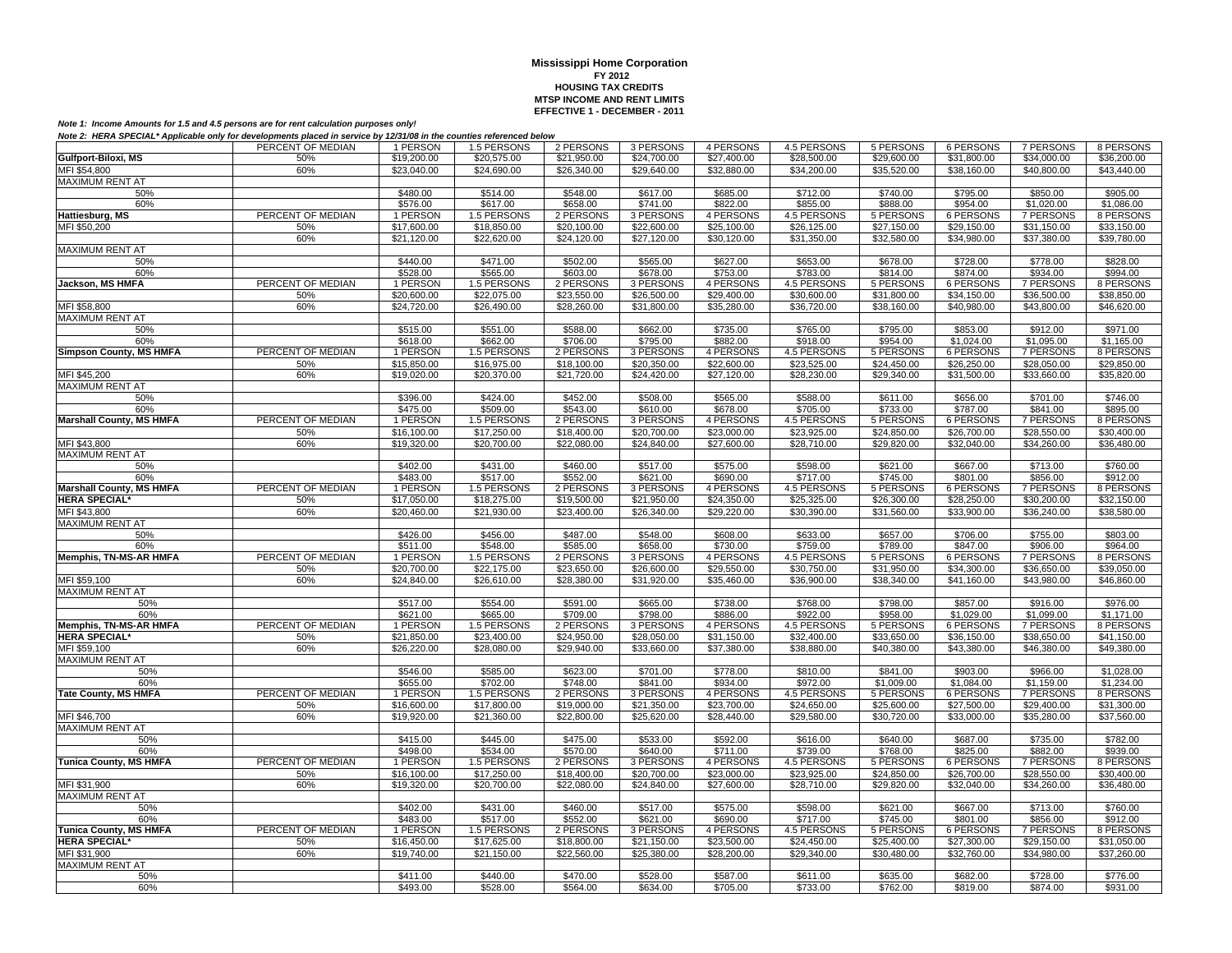|                                        | PERCENT OF MEDIAN | 1 PERSON    | 1.5 PERSONS | 2 PERSONS   | 3 PERSONS   | 4 PERSONS   | 4.5 PERSONS        | 5 PERSONS   | 6 PERSONS        | 7 PERSONS        | 8 PERSONS   |
|----------------------------------------|-------------------|-------------|-------------|-------------|-------------|-------------|--------------------|-------------|------------------|------------------|-------------|
| Gulfport-Biloxi, MS                    | 50%               | \$19,200.00 | \$20,575.00 | \$21,950.00 | \$24,700.00 | \$27,400.00 | \$28,500.00        | \$29,600.00 | \$31,800.00      | \$34,000.00      | \$36,200.00 |
| MFI \$54,800                           | 60%               | \$23,040.00 | \$24,690.00 | \$26,340.00 | \$29,640.00 | \$32,880.00 | \$34,200.00        | \$35,520.00 | \$38,160.00      | \$40,800.00      | \$43,440.00 |
| <b>MAXIMUM RENT AT</b>                 |                   |             |             |             |             |             |                    |             |                  |                  |             |
| 50%                                    |                   | \$480.00    | \$514.00    | \$548.00    | \$617.00    | \$685.00    | \$712.00           | \$740.00    | \$795.00         | \$850.00         | \$905.00    |
| 60%                                    |                   | \$576.00    | \$617.00    | \$658.00    | \$741.00    | \$822.00    | \$855.00           | \$888.00    | \$954.00         | \$1,020.00       | \$1,086.00  |
| Hattiesburg, MS                        | PERCENT OF MEDIAN | 1 PERSON    | 1.5 PERSONS | 2 PERSONS   | 3 PERSONS   | 4 PERSONS   | 4.5 PERSONS        | 5 PERSONS   | <b>6 PERSONS</b> | 7 PERSONS        | 8 PERSONS   |
| MFI \$50,200                           | 50%               | \$17,600.00 | \$18,850.00 | \$20,100.00 | \$22,600.00 | \$25,100.00 | \$26,125.00        | \$27,150.00 | \$29,150.00      | \$31,150.00      | \$33,150.00 |
|                                        | 60%               | \$21,120.00 | \$22,620.00 | \$24,120.00 | \$27,120.00 | \$30,120.00 | \$31,350.00        | \$32,580.00 | \$34,980.00      | \$37,380.00      | \$39,780.00 |
| <b>MAXIMUM RENT AT</b>                 |                   |             |             |             |             |             |                    |             |                  |                  |             |
| 50%                                    |                   | \$440.00    | \$471.00    | \$502.00    | \$565.00    | \$627.00    | \$653.00           | \$678.00    | \$728.00         | \$778.00         | \$828.00    |
| 60%                                    |                   | \$528.00    | \$565.00    | \$603.00    | \$678.00    | \$753.00    | \$783.00           | \$814.00    | \$874.00         | \$934.00         | \$994.00    |
| Jackson, MS HMFA                       | PERCENT OF MEDIAN | 1 PERSON    | 1.5 PERSONS | 2 PERSONS   | 3 PERSONS   | 4 PERSONS   | 4.5 PERSONS        | 5 PERSONS   | 6 PERSONS        | <b>7 PERSONS</b> | 8 PERSONS   |
|                                        | 50%               | \$20,600.00 | \$22,075.00 | \$23,550.00 | \$26,500.00 | \$29,400.00 | \$30,600.00        | \$31,800.00 | \$34,150.00      | \$36,500.00      | \$38,850.00 |
| MFI \$58,800                           | 60%               | \$24,720.00 | \$26,490.00 | \$28,260.00 | \$31,800.00 | \$35,280.00 | \$36,720.00        | \$38,160.00 | \$40,980.00      | \$43,800.00      | \$46,620.00 |
| <b>MAXIMUM RENT AT</b>                 |                   |             |             |             |             |             |                    |             |                  |                  |             |
| 50%                                    |                   | \$515.00    | \$551.00    | \$588.00    | \$662.00    | \$735.00    | \$765.00           | \$795.00    | \$853.00         | \$912.00         | \$971.00    |
| 60%                                    |                   | \$618.00    | \$662.00    | \$706.00    | \$795.00    | \$882.00    | \$918.00           | \$954.00    | \$1,024.00       | \$1,095.00       | \$1,165.00  |
| <b>Simpson County, MS HMFA</b>         | PERCENT OF MEDIAN | 1 PERSON    | 1.5 PERSONS | 2 PERSONS   | 3 PERSONS   | 4 PERSONS   | <b>4.5 PERSONS</b> | 5 PERSONS   | 6 PERSONS        | 7 PERSONS        | 8 PERSONS   |
|                                        | 50%               | \$15,850.00 | \$16,975.00 | \$18,100.00 | \$20,350.00 | \$22,600.00 | \$23,525.00        | \$24,450.00 | \$26,250.00      | \$28,050.00      | \$29,850.00 |
|                                        | 60%               | \$19,020.00 | \$20,370.00 | \$21,720.00 | \$24,420.00 | \$27,120.00 | \$28,230.00        | \$29,340.00 | \$31,500.00      | \$33,660.00      | \$35,820.00 |
| MFI \$45,200<br><b>MAXIMUM RENT AT</b> |                   |             |             |             |             |             |                    |             |                  |                  |             |
| 50%                                    |                   | \$396.00    | \$424.00    | \$452.00    | \$508.00    | \$565.00    | \$588.00           | \$611.00    | \$656.00         | \$701.00         | \$746.00    |
| 60%                                    |                   | \$475.00    | \$509.00    | \$543.00    | \$610.00    | \$678.00    | \$705.00           | \$733.00    | \$787.00         | \$841.00         | \$895.00    |
| <b>Marshall County, MS HMFA</b>        | PERCENT OF MEDIAN | 1 PERSON    | 1.5 PERSONS | 2 PERSONS   | 3 PERSONS   | 4 PERSONS   | 4.5 PERSONS        | 5 PERSONS   | 6 PERSONS        | 7 PERSONS        | 8 PERSONS   |
|                                        | 50%               | \$16,100.00 | \$17,250.00 | \$18,400.00 | \$20,700.00 | \$23,000.00 | \$23,925.00        | \$24,850.00 | \$26,700.00      | \$28,550.00      | \$30,400.00 |
| MFI \$43,800                           | 60%               | \$19,320.00 | \$20,700.00 | \$22,080.00 | \$24,840.00 | \$27,600.00 | \$28,710.00        | \$29,820.00 | \$32,040.00      | \$34,260.00      | \$36,480.00 |
| <b>MAXIMUM RENT AT</b>                 |                   |             |             |             |             |             |                    |             |                  |                  |             |
| 50%                                    |                   | \$402.00    | \$431.00    | \$460.00    | \$517.00    | \$575.00    | \$598.00           | \$621.00    | \$667.00         | \$713.00         | \$760.00    |
| 60%                                    |                   | \$483.00    | \$517.00    | \$552.00    | \$621.00    | \$690.00    | \$717.00           | \$745.00    | \$801.00         | \$856.00         | \$912.00    |
| <b>Marshall County, MS HMFA</b>        | PERCENT OF MEDIAN | 1 PERSON    | 1.5 PERSONS | 2 PERSONS   | 3 PERSONS   | 4 PERSONS   | 4.5 PERSONS        | 5 PERSONS   | 6 PERSONS        | 7 PERSONS        | 8 PERSONS   |
| <b>HERA SPECIAL*</b>                   | 50%               | \$17,050.00 | \$18,275.00 | \$19,500.00 | \$21,950.00 | \$24,350.00 | \$25,325.00        | \$26,300.00 | \$28,250.00      | \$30,200.00      | \$32,150.00 |
| MFI \$43,800                           | 60%               | \$20,460.00 | \$21,930.00 | \$23,400.00 | \$26,340.00 | \$29,220.00 | \$30,390.00        | \$31,560.00 | \$33,900.00      | \$36,240.00      | \$38,580.00 |
| <b>MAXIMUM RENT AT</b>                 |                   |             |             |             |             |             |                    |             |                  |                  |             |
| 50%                                    |                   | \$426.00    | \$456.00    | \$487.00    | \$548.00    | \$608.00    | \$633.00           | \$657.00    | \$706.00         | \$755.00         | \$803.00    |
| 60%                                    |                   | \$511.00    | \$548.00    | \$585.00    | \$658.00    | \$730.00    | \$759.00           | \$789.00    | \$847.00         | \$906.00         | \$964.00    |
| Memphis, TN-MS-AR HMFA                 | PERCENT OF MEDIAN | 1 PERSON    | 1.5 PERSONS | 2 PERSONS   | 3 PERSONS   | 4 PERSONS   | 4.5 PERSONS        | 5 PERSONS   | 6 PERSONS        | 7 PERSONS        | 8 PERSONS   |
|                                        | 50%               | \$20,700.00 | \$22,175.00 | \$23,650.00 | \$26,600.00 | \$29,550.00 | \$30,750.00        | \$31,950.00 | \$34,300.00      | \$36,650.00      | \$39,050.00 |
| MFI \$59,100                           | 60%               | \$24,840.00 | \$26,610.00 | \$28,380.00 | \$31,920.00 | \$35,460.00 | \$36,900.00        | \$38,340.00 | \$41,160.00      | \$43,980.00      | \$46,860.00 |
| <b>MAXIMUM RENT AT</b>                 |                   |             |             |             |             |             |                    |             |                  |                  |             |
| 50%                                    |                   | \$517.00    | \$554.00    | \$591.00    | \$665.00    | \$738.00    | \$768.00           | \$798.00    | \$857.00         | \$916.00         | \$976.00    |
| 60%                                    |                   | \$621.00    | \$665.00    | \$709.00    | \$798.00    | \$886.00    | \$922.00           | \$958.00    | \$1.029.00       | \$1,099.00       | \$1.171.00  |
| Memphis, TN-MS-AR HMFA                 | PERCENT OF MEDIAN | 1 PERSON    | 1.5 PERSONS | 2 PERSONS   | 3 PERSONS   | 4 PERSONS   | <b>4.5 PERSONS</b> | 5 PERSONS   | 6 PERSONS        | <b>7 PERSONS</b> | 8 PERSONS   |
| <b>HERA SPECIAL*</b>                   | 50%               | \$21,850.00 | \$23,400.00 | \$24,950.00 | \$28,050.00 | \$31,150.00 | \$32,400.00        | \$33,650.00 | \$36,150.00      | \$38,650.00      | \$41,150.00 |
| MFI \$59,100                           | 60%               | \$26,220.00 | \$28,080.00 | \$29,940.00 | \$33,660.00 | \$37,380.00 | \$38,880.00        | \$40,380.00 | \$43,380.00      | \$46,380.00      | \$49,380.00 |
| <b>MAXIMUM RENT AT</b>                 |                   |             |             |             |             |             |                    |             |                  |                  |             |
| 50%                                    |                   | \$546.00    | \$585.00    | \$623.00    | \$701.00    | \$778.00    | \$810.00           | \$841.00    | \$903.00         | \$966.00         | \$1,028.00  |
| 60%                                    |                   | \$655.00    | \$702.00    | \$748.00    | \$841.00    | \$934.00    | \$972.00           | \$1,009.00  | \$1,084.00       | \$1,159.00       | \$1,234.00  |
| <b>Tate County, MS HMFA</b>            | PERCENT OF MEDIAN | 1 PERSON    | 1.5 PERSONS | 2 PERSONS   | 3 PERSONS   | 4 PERSONS   | 4.5 PERSONS        | 5 PERSONS   | 6 PERSONS        | <b>7 PERSONS</b> | 8 PERSONS   |
|                                        | 50%               | \$16,600.00 | \$17,800.00 | \$19,000.00 | \$21,350.00 | \$23,700.00 | \$24,650.00        | \$25,600.00 | \$27,500.00      | \$29,400.00      | \$31,300.00 |
| MFI \$46,700                           | 60%               | \$19,920.00 | \$21,360.00 | \$22,800.00 | \$25,620.00 | \$28,440.00 | \$29,580.00        | \$30,720.00 | \$33,000.00      | \$35,280.00      | \$37,560.00 |
| <b>MAXIMUM RENT AT</b>                 |                   |             |             |             |             |             |                    |             |                  |                  |             |
| 50%                                    |                   | \$415.00    | \$445.00    | \$475.00    | \$533.00    | \$592.00    | \$616.00           | \$640.00    | \$687.00         | \$735.00         | \$782.00    |
| 60%                                    |                   | \$498.00    | \$534.00    | \$570.00    | \$640.00    | \$711.00    | \$739.00           | \$768.00    | \$825.00         | \$882.00         | \$939.00    |
| <b>Tunica County, MS HMFA</b>          | PERCENT OF MEDIAN | 1 PERSON    | 1.5 PERSONS | 2 PERSONS   | 3 PERSONS   | 4 PERSONS   | 4.5 PERSONS        | 5 PERSONS   | <b>6 PERSONS</b> | <b>7 PERSONS</b> | 8 PERSONS   |
|                                        | 50%               | \$16,100.00 | \$17,250.00 | \$18,400.00 | \$20,700.00 | \$23,000.00 | \$23,925.00        | \$24,850.00 | \$26,700.00      | \$28,550.00      | \$30,400.00 |
| MFI \$31,900                           | 60%               | \$19,320.00 | \$20,700.00 | \$22,080.00 | \$24,840.00 | \$27,600.00 | \$28,710.00        | \$29,820.00 | \$32,040.00      | \$34,260.00      | \$36,480.00 |
| MAXIMUM RENT AT                        |                   |             |             |             |             |             |                    |             |                  |                  |             |
| 50%                                    |                   | \$402.00    | \$431.00    | \$460.00    | \$517.00    | \$575.00    | \$598.00           | \$621.00    | \$667.00         | \$713.00         | \$760.00    |
| 60%                                    |                   | \$483.00    | \$517.00    | \$552.00    | \$621.00    | \$690.00    | \$717.00           | \$745.00    | \$801.00         | \$856.00         | \$912.00    |
| Tunica County, MS HMFA                 | PERCENT OF MEDIAN | 1 PERSON    | 1.5 PERSONS | 2 PERSONS   | 3 PERSONS   | 4 PERSONS   | 4.5 PERSONS        | 5 PERSONS   | 6 PERSONS        | <b>7 PERSONS</b> | 8 PERSONS   |
| <b>HERA SPECIAL*</b>                   | 50%               | \$16,450.00 | \$17,625.00 | \$18,800.00 | \$21,150.00 | \$23,500.00 | \$24,450.00        | \$25,400.00 | \$27,300.00      | \$29,150.00      | \$31,050.00 |
| MFI \$31,900                           | 60%               | \$19,740.00 | \$21,150.00 | \$22,560.00 | \$25,380.00 | \$28,200.00 | \$29,340.00        | \$30,480.00 | \$32,760.00      | \$34,980.00      | \$37,260.00 |
| <b>MAXIMUM RENT AT</b>                 |                   |             |             |             |             |             |                    |             |                  |                  |             |
| 50%                                    |                   | \$411.00    | \$440.00    | \$470.00    | \$528.00    | \$587.00    | \$611.00           | \$635.00    | \$682.00         | \$728.00         | \$776.00    |
| 60%                                    |                   | \$493.00    | \$528.00    | \$564.00    | \$634.00    | \$705.00    | \$733.00           | \$762.00    | \$819.00         | \$874.00         | \$931.00    |
|                                        |                   |             |             |             |             |             |                    |             |                  |                  |             |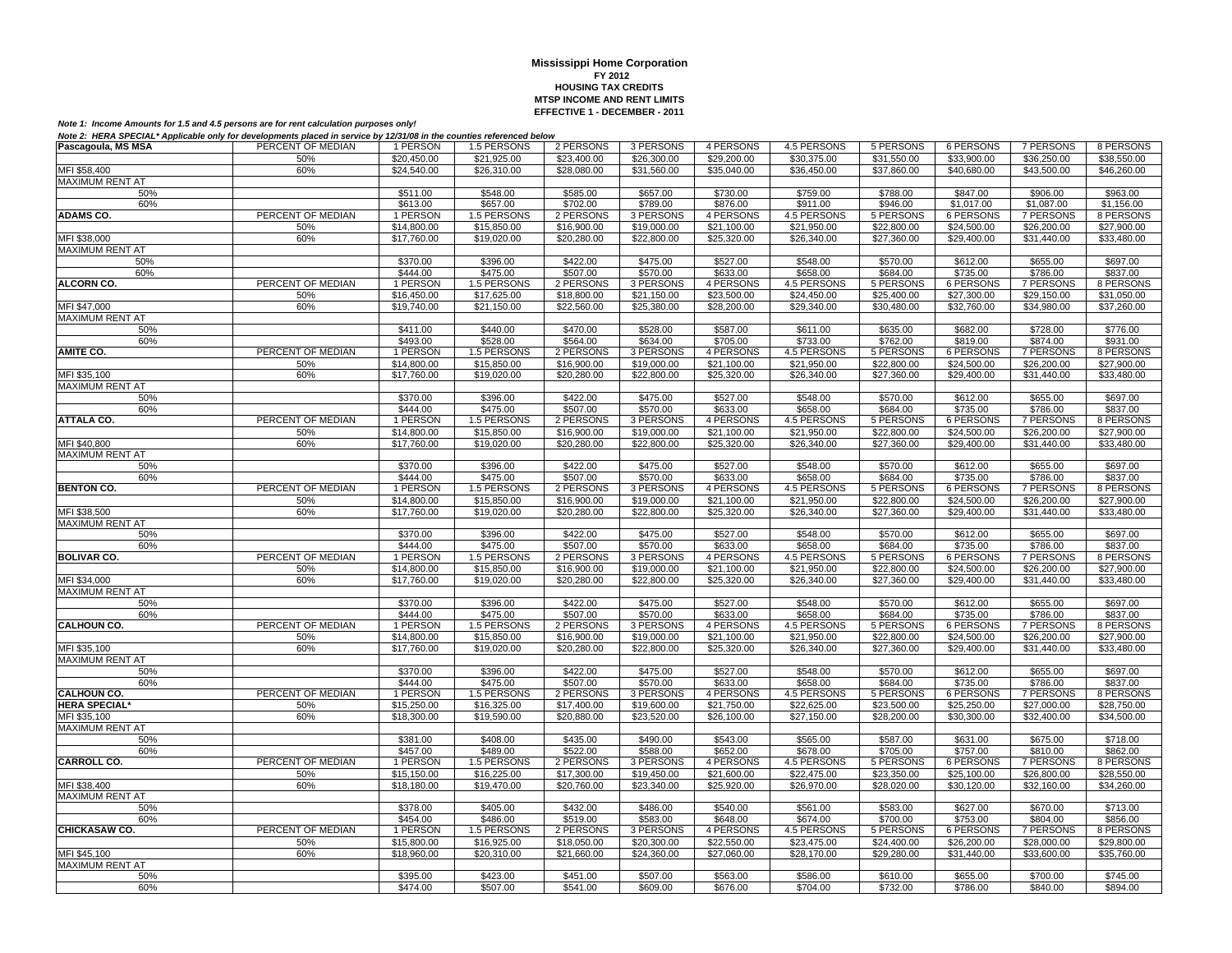| Pascagoula, MS MSA     | PERCENT OF MEDIAN | 1 PERSON    | 1.5 PERSONS | 2 PERSONS   | 3 PERSONS   | 4 PERSONS   | 4.5 PERSONS | 5 PERSONS        | 6 PERSONS        | 7 PERSONS        | 8 PERSONS   |
|------------------------|-------------------|-------------|-------------|-------------|-------------|-------------|-------------|------------------|------------------|------------------|-------------|
|                        | 50%               | \$20,450.00 | \$21,925.00 | \$23,400.00 | \$26,300.00 | \$29,200.00 | \$30,375.00 | \$31,550.00      | \$33,900.00      | \$36,250.00      | \$38,550.00 |
| MFI \$58,400           | 60%               | \$24,540.00 | \$26,310.00 | \$28,080.00 | \$31,560.00 | \$35,040,00 | \$36,450.00 | \$37,860.00      | \$40,680.00      | \$43,500.00      | \$46,260.00 |
| MAXIMUM RENT AT        |                   |             |             |             |             |             |             |                  |                  |                  |             |
| 50%                    |                   | \$511.00    | \$548.00    | \$585.00    | \$657.00    | \$730.00    | \$759.00    | \$788.00         | \$847.00         | \$906.00         | \$963.00    |
| 60%                    |                   | \$613.00    | \$657.00    | \$702.00    | \$789.00    | \$876.00    | \$911.00    | \$946.00         | \$1,017.00       | \$1,087.00       | \$1,156.00  |
| <b>ADAMS CO.</b>       | PERCENT OF MEDIAN | 1 PERSON    | 1.5 PERSONS | 2 PERSONS   | 3 PERSONS   | 4 PERSONS   | 4.5 PERSONS | 5 PERSONS        | 6 PERSONS        | <b>7 PERSONS</b> | 8 PERSONS   |
|                        | 50%               | \$14,800.00 | \$15,850.00 | \$16,900.00 | \$19,000.00 | \$21,100.00 | \$21,950.00 | \$22,800.00      | \$24,500.00      | \$26,200.00      | \$27,900.00 |
| MFI \$38,000           | 60%               | \$17,760.00 | \$19.020.00 | \$20,280.00 | \$22,800.00 | \$25,320.00 | \$26,340.00 | \$27,360.00      | \$29,400.00      | \$31,440.00      | \$33,480.00 |
| <b>MAXIMUM RENT AT</b> |                   |             |             |             |             |             |             |                  |                  |                  |             |
| 50%                    |                   | \$370.00    | \$396.00    | \$422.00    | \$475.00    | \$527.00    | \$548.00    | \$570.00         | \$612.00         |                  | \$697.00    |
|                        |                   |             |             |             |             |             |             |                  |                  | \$655.00         |             |
| 60%                    | PERCENT OF MEDIAN | \$444.00    | \$475.00    | \$507.00    | \$570.00    | \$633.00    | \$658.00    | \$684.00         | \$735.00         | \$786.00         | \$837.00    |
| <b>ALCORN CO.</b>      |                   | 1 PERSON    | 1.5 PERSONS | 2 PERSONS   | 3 PERSONS   | 4 PERSONS   | 4.5 PERSONS | 5 PERSONS        | 6 PERSONS        | <b>7 PERSONS</b> | 8 PERSONS   |
|                        | 50%               | \$16,450.00 | \$17,625.00 | \$18,800.00 | \$21,150.00 | \$23,500.00 | \$24,450.00 | \$25,400.00      | \$27,300.00      | \$29,150.00      | \$31,050.00 |
| MFI \$47,000           | 60%               | \$19,740.00 | \$21,150.00 | \$22,560.00 | \$25,380.00 | \$28,200.00 | \$29,340.00 | \$30,480.00      | \$32,760.00      | \$34,980.00      | \$37,260.00 |
| MAXIMUM RENT AT        |                   |             |             |             |             |             |             |                  |                  |                  |             |
| 50%                    |                   | \$411.00    | \$440.00    | \$470.00    | \$528.00    | \$587.00    | \$611.00    | \$635.00         | \$682.00         | \$728.00         | \$776.00    |
| 60%                    |                   | \$493.00    | \$528.00    | \$564.00    | \$634.00    | \$705.00    | \$733.00    | \$762.00         | \$819.00         | \$874.00         | \$931.00    |
| <b>AMITE CO.</b>       | PERCENT OF MEDIAN | 1 PERSON    | 1.5 PERSONS | 2 PERSONS   | 3 PERSONS   | 4 PERSONS   | 4.5 PERSONS | 5 PERSONS        | <b>6 PERSONS</b> | <b>7 PERSONS</b> | 8 PERSONS   |
|                        | 50%               | \$14,800.00 | \$15,850.00 | \$16,900.00 | \$19,000.00 | \$21,100.00 | \$21,950.00 | \$22,800.00      | \$24,500.00      | \$26,200.00      | \$27,900.00 |
| MFI \$35.100           | 60%               | \$17,760.00 | \$19.020.00 | \$20,280.00 | \$22,800.00 | \$25,320.00 | \$26,340.00 | \$27,360.00      | \$29,400.00      | \$31.440.00      | \$33,480.00 |
| <b>MAXIMUM RENT AT</b> |                   |             |             |             |             |             |             |                  |                  |                  |             |
| 50%                    |                   | \$370.00    | \$396.00    | \$422.00    | \$475.00    | \$527.00    | \$548.00    | \$570.00         | \$612.00         | \$655.00         | \$697.00    |
| 60%                    |                   | \$444.00    | \$475.00    | \$507.00    | \$570.00    | \$633.00    | \$658.00    | \$684.00         | \$735.00         | \$786.00         | \$837.00    |
| <b>ATTALA CO.</b>      | PERCENT OF MEDIAN | 1 PERSON    | 1.5 PERSONS | 2 PERSONS   | 3 PERSONS   | 4 PERSONS   | 4.5 PERSONS | 5 PERSONS        | 6 PERSONS        | <b>7 PERSONS</b> | 8 PERSONS   |
|                        | 50%               | \$14,800.00 | \$15,850.00 | \$16,900.00 | \$19,000.00 | \$21,100.00 | \$21,950.00 | \$22,800.00      | \$24,500.00      | \$26,200.00      | \$27,900.00 |
| MFI \$40,800           | 60%               | \$17,760.00 | \$19,020.00 | \$20,280.00 | \$22,800.00 | \$25,320.00 | \$26,340.00 | \$27,360.00      | \$29,400.00      | \$31,440.00      | \$33,480.00 |
| <b>MAXIMUM RENT AT</b> |                   |             |             |             |             |             |             |                  |                  |                  |             |
| 50%                    |                   | \$370.00    | \$396.00    | \$422.00    | \$475.00    | \$527.00    | \$548.00    | \$570.00         | \$612.00         | \$655.00         | \$697.00    |
| 60%                    |                   | \$444.00    | \$475.00    | \$507.00    | \$570.00    | \$633.00    | \$658.00    | \$684.00         | \$735.00         | \$786.00         | \$837.00    |
| <b>BENTON CO.</b>      | PERCENT OF MEDIAN | 1 PERSON    | 1.5 PERSONS | 2 PERSONS   | 3 PERSONS   | 4 PERSONS   | 4.5 PERSONS | 5 PERSONS        | <b>6 PERSONS</b> | <b>7 PERSONS</b> | 8 PERSONS   |
|                        | 50%               | \$14,800.00 | \$15,850.00 | \$16,900.00 | \$19,000.00 | \$21,100.00 | \$21,950.00 | \$22,800.00      | \$24,500.00      | \$26,200.00      | \$27,900.00 |
| MFI \$38,500           | 60%               |             | \$19,020.00 | \$20,280.00 | \$22,800.00 | \$25,320.00 | \$26,340.00 |                  | \$29,400.00      | \$31,440.00      | \$33,480.00 |
|                        |                   | \$17,760.00 |             |             |             |             |             | \$27,360.00      |                  |                  |             |
| <b>MAXIMUM RENT AT</b> |                   |             |             |             |             |             |             |                  |                  |                  |             |
| 50%                    |                   | \$370.00    | \$396.00    | \$422.00    | \$475.00    | \$527.00    | \$548.00    | \$570.00         | \$612.00         | \$655.00         | \$697.00    |
| 60%                    |                   | \$444.00    | \$475.00    | \$507.00    | \$570.00    | \$633.00    | \$658.00    | \$684.00         | \$735.00         | \$786.00         | \$837.00    |
| <b>BOLIVAR CO.</b>     | PERCENT OF MEDIAN | 1 PERSON    | 1.5 PERSONS | 2 PERSONS   | 3 PERSONS   | 4 PERSONS   | 4.5 PERSONS | 5 PERSONS        | 6 PERSONS        | <b>7 PERSONS</b> | 8 PERSONS   |
|                        | 50%               | \$14,800.00 | \$15,850.00 | \$16,900.00 | \$19,000.00 | \$21,100.00 | \$21,950.00 | \$22,800.00      | \$24,500.00      | \$26,200.00      | \$27,900.00 |
| MFI \$34,000           | 60%               | \$17,760.00 | \$19,020.00 | \$20,280.00 | \$22,800.00 | \$25,320.00 | \$26,340.00 | \$27,360.00      | \$29,400.00      | \$31,440.00      | \$33,480.00 |
| <b>MAXIMUM RENT AT</b> |                   |             |             |             |             |             |             |                  |                  |                  |             |
| 50%                    |                   | \$370.00    | \$396.00    | \$422.00    | \$475.00    | \$527.00    | \$548.00    | \$570.00         | \$612.00         | \$655.00         | \$697.00    |
| 60%                    |                   | \$444.00    | \$475.00    | \$507.00    | \$570.00    | \$633.00    | \$658.00    | \$684.00         | \$735.00         | \$786.00         | \$837.00    |
| <b>CALHOUN CO.</b>     | PERCENT OF MEDIAN | 1 PERSON    | 1.5 PERSONS | 2 PERSONS   | 3 PERSONS   | 4 PERSONS   | 4.5 PERSONS | 5 PERSONS        | 6 PERSONS        | <b>7 PERSONS</b> | 8 PERSONS   |
|                        | 50%               | \$14,800.00 | \$15,850.00 | \$16,900.00 | \$19,000.00 | \$21.100.00 | \$21,950.00 | \$22,800.00      | \$24,500.00      | \$26,200.00      | \$27,900.00 |
| MFI \$35,100           | 60%               | \$17,760.00 | \$19,020,00 | \$20,280.00 | \$22,800.00 | \$25,320,00 | \$26,340.00 | \$27,360.00      | \$29,400.00      | \$31,440.00      | \$33,480.00 |
| <b>MAXIMUM RENT AT</b> |                   |             |             |             |             |             |             |                  |                  |                  |             |
| 50%                    |                   | \$370.00    | \$396.00    | \$422.00    | \$475.00    | \$527.00    | \$548.00    | \$570.00         | \$612.00         | \$655.00         | \$697.00    |
| 60%                    |                   | \$444.00    | \$475.00    | \$507.00    | \$570.00    | \$633.00    | \$658.00    | \$684.00         | \$735.00         | \$786.00         | \$837.00    |
| <b>CALHOUN CO.</b>     | PERCENT OF MEDIAN | 1 PERSON    | 1.5 PERSONS | 2 PERSONS   | 3 PERSONS   | 4 PERSONS   | 4.5 PERSONS | 5 PERSONS        | 6 PERSONS        | <b>7 PERSONS</b> | 8 PERSONS   |
| <b>HERA SPECIAL*</b>   | 50%               | \$15,250.00 | \$16,325.00 | \$17,400.00 | \$19,600.00 | \$21,750.00 | \$22,625.00 | \$23,500.00      | \$25,250.00      | \$27,000.00      | \$28,750.00 |
| MFI \$35,100           | 60%               | \$18,300.00 | \$19,590.00 | \$20,880.00 | \$23,520.00 | \$26,100.00 | \$27,150.00 | \$28,200.00      | \$30,300.00      | \$32,400.00      | \$34,500.00 |
| <b>MAXIMUM RENT AT</b> |                   |             |             |             |             |             |             |                  |                  |                  |             |
| 50%                    |                   | \$381.00    | \$408.00    | \$435.00    | \$490.00    | \$543.00    | \$565.00    | \$587.00         | \$631.00         | \$675.00         | \$718.00    |
| 60%                    |                   | \$457.00    | \$489.00    | \$522.00    | \$588.00    | \$652.00    | \$678.00    | \$705.00         | \$757.00         | \$810.00         | \$862.00    |
| <b>CARROLL CO.</b>     | PERCENT OF MEDIAN | 1 PERSON    | 1.5 PERSONS | 2 PERSONS   | 3 PERSONS   | 4 PERSONS   | 4.5 PERSONS | <b>5 PERSONS</b> | <b>6 PERSONS</b> | <b>7 PERSONS</b> | 8 PERSONS   |
|                        | 50%               | \$15,150.00 | \$16,225.00 | \$17,300.00 | \$19,450.00 | \$21,600.00 | \$22,475.00 | \$23,350.00      | \$25,100.00      | \$26,800.00      | \$28,550.00 |
| MFI \$38,400           | 60%               | \$18,180.00 | \$19,470.00 | \$20,760.00 | \$23,340.00 | \$25,920.00 | \$26,970.00 | \$28,020.00      | \$30,120.00      | \$32,160.00      | \$34,260.00 |
| MAXIMUM RENT AT        |                   |             |             |             |             |             |             |                  |                  |                  |             |
| 50%                    |                   | \$378.00    | \$405.00    | \$432.00    | \$486.00    | \$540.00    | \$561.00    | \$583.00         | \$627.00         | \$670.00         | \$713.00    |
| 60%                    |                   | \$454.00    | \$486.00    | \$519.00    | \$583.00    | \$648.00    | \$674.00    | \$700.00         | \$753.00         | \$804.00         | \$856.00    |
| CHICKASAW CO.          | PERCENT OF MEDIAN |             |             | 2 PERSONS   |             |             |             |                  |                  |                  |             |
|                        |                   | 1 PERSON    | 1.5 PERSONS |             | 3 PERSONS   | 4 PERSONS   | 4.5 PERSONS | 5 PERSONS        | 6 PERSONS        | 7 PERSONS        | 8 PERSONS   |
|                        | 50%               | \$15,800.00 | \$16,925.00 | \$18,050.00 | \$20,300.00 | \$22,550.00 | \$23,475.00 | \$24,400.00      | \$26,200.00      | \$28,000.00      | \$29,800.00 |
| MFI \$45,100           | 60%               | \$18,960.00 | \$20,310.00 | \$21,660.00 | \$24,360.00 | \$27,060.00 | \$28,170.00 | \$29,280.00      | \$31,440.00      | \$33,600.00      | \$35,760.00 |
| <b>MAXIMUM RENT AT</b> |                   |             |             |             |             |             |             |                  |                  |                  |             |
| 50%                    |                   | \$395.00    | \$423.00    | \$451.00    | \$507.00    | \$563.00    | \$586.00    | \$610.00         | \$655.00         | \$700.00         | \$745.00    |
| 60%                    |                   | \$474.00    | \$507.00    | \$541.00    | \$609.00    | \$676.00    | \$704.00    | \$732.00         | \$786.00         | \$840.00         | \$894.00    |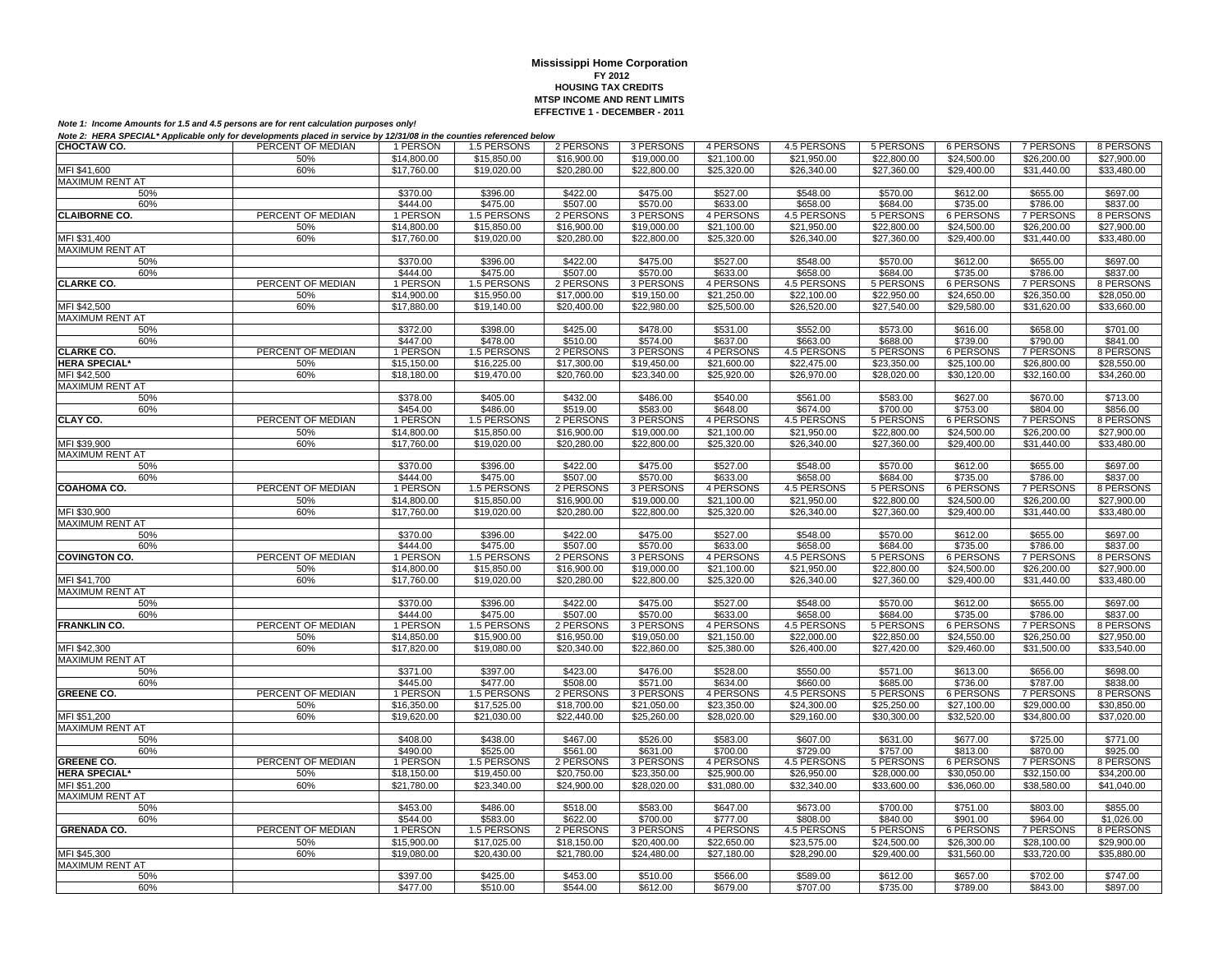| $\overline{$}14,800.00$<br>\$15,850.00<br>\$21,100.00<br>\$21,950.00<br>\$24,500.00<br>50%<br>\$16,900.00<br>\$19,000.00<br>\$22,800.00<br>\$26,200.00<br>\$27,900.00<br>MFI \$41.600<br>60%<br>\$17,760.00<br>\$19,020,00<br>\$20,280.00<br>\$22,800.00<br>\$25,320.00<br>\$26,340.00<br>\$27,360.00<br>\$29,400.00<br>\$31.440.00<br>\$33,480.00<br><b>MAXIMUM RENT AT</b><br>\$396.00<br>\$527.00<br>\$548.00<br>\$612.00<br>50%<br>\$370.00<br>\$422.00<br>\$475.00<br>\$570.00<br>\$655.00<br>\$697.00<br>60%<br>\$444.00<br>\$475.00<br>\$507.00<br>\$570.00<br>\$633.00<br>\$658.00<br>\$684.00<br>\$735.00<br>\$786.00<br>\$837.00<br><b>CLAIBORNE CO.</b><br>PERCENT OF MEDIAN<br>1 PERSON<br>4 PERSONS<br><b>7 PERSONS</b><br>1.5 PERSONS<br>2 PERSONS<br>3 PERSONS<br>4.5 PERSONS<br>5 PERSONS<br>6 PERSONS<br>8 PERSONS<br>$\overline{$}14,800.00$<br>\$16,900.00<br>$\sqrt{$19,000.00}$<br>\$21.950.00<br>\$22,800.00<br>\$24,500.00<br>\$26,200.00<br>$\sqrt{$27,900.00}$<br>50%<br>\$15,850.00<br>\$21.100.00<br>MFI \$31,400<br>60%<br>\$17,760.00<br>\$19,020.00<br>\$20,280.00<br>\$22,800.00<br>\$25,320.00<br>\$26,340.00<br>\$27,360.00<br>\$29,400.00<br>\$31,440.00<br>\$33,480.00<br>MAXIMUM RENT AT<br>\$370.00<br>\$396.00<br>\$422.00<br>\$475.00<br>\$527.00<br>\$548.00<br>\$570.00<br>\$612.00<br>\$655.00<br>\$697.00<br>50%<br>60%<br>\$444.00<br>\$475.00<br>\$507.00<br>\$570.00<br>\$633.00<br>\$658.00<br>\$684.00<br>\$735.00<br>\$786.00<br>\$837.00<br>PERCENT OF MEDIAN<br><b>CLARKE CO.</b><br>1 PERSON<br>1.5 PERSONS<br>2 PERSONS<br>3 PERSONS<br>4 PERSONS<br>4.5 PERSONS<br>5 PERSONS<br>6 PERSONS<br>7 PERSONS<br>8 PERSONS<br>\$21,250.00<br>\$22,100.00<br>50%<br>\$14,900.00<br>\$15,950.00<br>\$17,000.00<br>\$19,150.00<br>\$22,950.00<br>\$24,650.00<br>\$26,350.00<br>\$28,050.00<br>MFI \$42,500<br>60%<br>\$17,880.00<br>\$19,140.00<br>\$20,400.00<br>\$22,980.00<br>\$25,500.00<br>\$26,520.00<br>\$27,540.00<br>\$29,580.00<br>\$31,620.00<br>\$33,660.00<br><b>MAXIMUM RENT AT</b><br>\$372.00<br>\$398.00<br>\$425.00<br>\$478.00<br>\$531.00<br>\$552.00<br>\$573.00<br>\$616.00<br>\$658.00<br>\$701.00<br>50%<br>\$447.00<br>\$478.00<br>\$510.00<br>\$574.00<br>\$663.00<br>\$688.00<br>\$739.00<br>\$790.00<br>\$841.00<br>60%<br>\$637.00<br><b>CLARKE CO.</b><br>PERCENT OF MEDIAN<br>2 PERSONS<br><b>5 PERSONS</b><br><b>7 PERSONS</b><br>1 PERSON<br>1.5 PERSONS<br>3 PERSONS<br>4 PERSONS<br>4.5 PERSONS<br>6 PERSONS<br>8 PERSONS<br><b>HERA SPECIAL*</b><br>\$21,600.00<br>\$28,550.00<br>50%<br>\$15,150.00<br>\$16,225.00<br>\$17,300.00<br>\$19,450.00<br>\$22,475.00<br>\$23,350.00<br>\$25,100.00<br>\$26,800.00<br>MFI \$42,500<br>60%<br>\$18,180.00<br>\$19,470.00<br>\$20,760.00<br>\$23,340.00<br>\$25,920.00<br>\$26,970.00<br>\$28,020.00<br>\$30,120.00<br>\$32,160.00<br>\$34,260.00<br><b>MAXIMUM RENT AT</b><br>\$378.00<br>\$405.00<br>\$432.00<br>\$486.00<br>\$540.00<br>\$561.00<br>\$583.00<br>\$627.00<br>\$670.00<br>\$713.00<br>50%<br>\$486.00<br>\$519.00<br>\$648.00<br>\$700.00<br>\$856.00<br>60%<br>\$454.00<br>\$583.00<br>\$674.00<br>\$753.00<br>\$804.00<br>PERCENT OF MEDIAN<br>CLAY CO.<br>1 PERSON<br>1.5 PERSONS<br>2 PERSONS<br>3 PERSONS<br>4 PERSONS<br>4.5 PERSONS<br>5 PERSONS<br>6 PERSONS<br>7 PERSONS<br>8 PERSONS<br>\$14,800.00<br>\$15,850.00<br>\$21,950.00<br>\$26,200.00<br>50%<br>\$16,900.00<br>\$19,000.00<br>\$21,100.00<br>\$22,800.00<br>\$24,500.00<br>\$27,900.00<br>MFI \$39,900<br>60%<br>\$17,760.00<br>\$19,020.00<br>\$20,280.00<br>\$22,800.00<br>\$25,320.00<br>\$26,340.00<br>\$27,360.00<br>\$29,400.00<br>\$31,440.00<br>\$33,480.00<br><b>MAXIMUM RENT AT</b><br>\$370.00<br>\$396.00<br>\$422.00<br>\$475.00<br>\$527.00<br>\$548.00<br>\$570.00<br>\$612.00<br>\$655.00<br>\$697.00<br>50%<br>\$444.00<br>\$475.00<br>\$507.00<br>\$570.00<br>\$633.00<br>\$658.00<br>\$684.00<br>\$735.00<br>\$786.00<br>\$837.00<br>60%<br>PERCENT OF MEDIAN<br>COAHOMA CO.<br>1 PERSON<br>1.5 PERSONS<br>2 PERSONS<br>3 PERSONS<br>4 PERSONS<br>4.5 PERSONS<br>5 PERSONS<br>6 PERSONS<br>7 PERSONS<br>8 PERSONS<br>$\overline{$}14,800.00$<br>\$15,850.00<br>\$21.950.00<br>\$22,800.00<br>\$24,500.00<br>\$26,200.00<br>\$27,900.00<br>50%<br>\$16,900.00<br>\$19,000.00<br>\$21,100.00<br>\$33,480.00<br>MFI \$30,900<br>60%<br>\$17,760.00<br>\$19,020.00<br>\$20,280.00<br>\$22,800.00<br>\$25,320.00<br>\$26,340.00<br>\$27,360.00<br>\$29,400.00<br>\$31,440.00<br>MAXIMUM RENT AT<br>\$370.00<br>\$396.00<br>\$422.00<br>\$475.00<br>\$527.00<br>\$548.00<br>\$570.00<br>\$612.00<br>\$655.00<br>\$697.00<br>50%<br>60%<br>\$444.00<br>\$475.00<br>\$507.00<br>\$570.00<br>\$633.00<br>\$658.00<br>\$684.00<br>\$735.00<br>\$786.00<br>\$837.00<br><b>COVINGTON CO.</b><br>PERCENT OF MEDIAN<br>1 PERSON<br>1.5 PERSONS<br>2 PERSONS<br>3 PERSONS<br>4 PERSONS<br>4.5 PERSONS<br>5 PERSONS<br>6 PERSONS<br><b>7 PERSONS</b><br>8 PERSONS<br>\$14,800.00<br>\$15,850.00<br>\$21,950.00<br>$\overline{$24,500.00}$<br>\$26,200.00<br>50%<br>\$16,900.00<br>\$19,000.00<br>\$21,100.00<br>\$22,800.00<br>\$27,900.00<br>MFI \$41,700<br>\$33,480.00<br>60%<br>\$17,760.00<br>\$19,020.00<br>\$20,280.00<br>\$22,800.00<br>\$25,320.00<br>\$26,340.00<br>\$27,360.00<br>\$29,400.00<br>\$31,440.00<br><b>MAXIMUM RENT AT</b><br>\$527.00<br>\$548.00<br>\$612.00<br>\$697.00<br>50%<br>\$370.00<br>\$396.00<br>\$422.00<br>\$475.00<br>\$570.00<br>\$655.00<br>\$444.00<br>\$475.00<br>\$507.00<br>\$633.00<br>\$658.00<br>\$684.00<br>\$735.00<br>\$786.00<br>\$837.00<br>\$570.00<br>60%<br>PERCENT OF MEDIAN<br><b>FRANKLIN CO.</b><br>1 PERSON<br>1.5 PERSONS<br>2 PERSONS<br>3 PERSONS<br>4 PERSONS<br>4.5 PERSONS<br>5 PERSONS<br>6 PERSONS<br>7 PERSONS<br>8 PERSONS<br>50%<br>\$14,850.00<br>\$15,900.00<br>\$16,950.00<br>\$22,000.00<br>\$22,850.00<br>\$24,550.00<br>\$26,250.00<br>\$27,950.00<br>\$19.050.00<br>\$21.150.00<br>\$17,820.00<br>\$20,340.00<br>\$25,380.00<br>\$26,400.00<br>\$31,500.00<br>\$33,540.00<br>MFI \$42,300<br>60%<br>\$19,080.00<br>\$22,860.00<br>\$27,420.00<br>\$29,460.00<br><b>MAXIMUM RENT AT</b><br>\$423.00<br>\$528.00<br>\$550.00<br>\$698.00<br>50%<br>\$371.00<br>\$397.00<br>\$476.00<br>\$571.00<br>\$613.00<br>\$656.00<br>60%<br>\$445.00<br>\$477.00<br>\$508.00<br>\$571.00<br>\$634.00<br>\$660.00<br>\$685.00<br>\$736.00<br>\$787.00<br>\$838.00<br>PERCENT OF MEDIAN<br>1 PERSON<br>1.5 PERSONS<br>2 PERSONS<br>4.5 PERSONS<br>5 PERSONS<br>7 PERSONS<br>8 PERSONS<br><b>GREENE CO.</b><br>3 PERSONS<br>4 PERSONS<br>6 PERSONS<br>\$17,525.00<br>\$24,300.00<br>\$27,100.00<br>\$30,850.00<br>50%<br>\$16,350.00<br>\$18,700.00<br>\$21,050.00<br>\$23,350.00<br>\$25,250.00<br>\$29,000.00<br>MFI \$51.200<br>60%<br>\$19,620.00<br>\$21,030,00<br>\$22,440.00<br>\$25,260.00<br>\$28,020,00<br>\$29,160.00<br>\$30,300,00<br>\$32,520.00<br>\$34,800.00<br>\$37,020,00<br><b>MAXIMUM RENT AT</b><br>50%<br>\$408.00<br>\$438.00<br>\$467.00<br>\$526.00<br>\$583.00<br>\$607.00<br>\$631.00<br>\$677.00<br>\$725.00<br>\$771.00<br>\$490.00<br>\$525.00<br>\$700.00<br>\$813.00<br>\$870.00<br>\$925.00<br>60%<br>\$561.00<br>\$631.00<br>\$729.00<br>\$757.00<br>PERCENT OF MEDIAN<br>4 PERSONS<br><b>GREENE CO.</b><br>1 PERSON<br>1.5 PERSONS<br>2 PERSONS<br>3 PERSONS<br>4.5 PERSONS<br><b>5 PERSONS</b><br><b>6 PERSONS</b><br><b>7 PERSONS</b><br>8 PERSONS<br><b>HERA SPECIAL*</b><br>50%<br>$\overline{$18,150.00}$<br>\$19,450.00<br>\$20,750.00<br>\$23,350.00<br>\$25,900.00<br>\$26,950.00<br>\$28,000.00<br>\$30,050.00<br>\$32,150.00<br>\$34,200.00<br>MFI \$51,200<br>60%<br>\$21,780.00<br>\$23,340.00<br>\$24,900.00<br>\$28,020.00<br>\$31,080.00<br>\$32,340.00<br>\$33,600.00<br>\$36,060.00<br>\$38,580.00<br>\$41,040.00<br>MAXIMUM RENT AT<br>\$673.00<br>\$700.00<br>\$855.00<br>50%<br>\$453.00<br>\$486.00<br>\$518.00<br>\$583.00<br>\$647.00<br>\$751.00<br>\$803.00<br>60%<br>\$544.00<br>\$583.00<br>\$622.00<br>\$700.00<br>\$777.00<br>\$808.00<br>\$840.00<br>\$901.00<br>\$964.00<br>\$1,026.00<br>4.5 PERSONS<br><b>GRENADA CO.</b><br>PERCENT OF MEDIAN<br>1 PERSON<br>1.5 PERSONS<br>2 PERSONS<br>3 PERSONS<br>4 PERSONS<br>5 PERSONS<br><b>6 PERSONS</b><br><b>7 PERSONS</b><br>8 PERSONS<br>\$15,900.00<br>50%<br>\$17,025.00<br>\$18,150.00<br>\$20,400.00<br>\$22,650.00<br>\$23,575.00<br>\$24,500.00<br>\$26,300.00<br>\$28,100.00<br>\$29,900.00<br>MFI \$45,300<br>60%<br>\$19,080.00<br>\$24,480.00<br>\$28,290.00<br>\$33,720.00<br>\$35,880.00<br>\$20,430.00<br>\$21,780.00<br>\$27,180.00<br>\$29,400.00<br>\$31,560.00<br><b>MAXIMUM RENT AT</b><br>\$425.00<br>\$453.00<br>\$510.00<br>\$589.00<br>\$612.00<br>50%<br>\$397.00<br>\$566.00<br>\$657.00<br>\$702.00<br>\$747.00<br>\$843.00<br>60%<br>\$477.00<br>\$510.00<br>\$544.00<br>\$612.00<br>\$679.00<br>\$707.00<br>\$735.00<br>\$789.00<br>\$897.00 | CHOCTAW CO. | PERCENT OF MEDIAN | 1 PERSON | 1.5 PERSONS | 2 PERSONS | 3 PERSONS | 4 PERSONS | 4.5 PERSONS | 5 PERSONS | 6 PERSONS | 7 PERSONS | 8 PERSONS |
|----------------------------------------------------------------------------------------------------------------------------------------------------------------------------------------------------------------------------------------------------------------------------------------------------------------------------------------------------------------------------------------------------------------------------------------------------------------------------------------------------------------------------------------------------------------------------------------------------------------------------------------------------------------------------------------------------------------------------------------------------------------------------------------------------------------------------------------------------------------------------------------------------------------------------------------------------------------------------------------------------------------------------------------------------------------------------------------------------------------------------------------------------------------------------------------------------------------------------------------------------------------------------------------------------------------------------------------------------------------------------------------------------------------------------------------------------------------------------------------------------------------------------------------------------------------------------------------------------------------------------------------------------------------------------------------------------------------------------------------------------------------------------------------------------------------------------------------------------------------------------------------------------------------------------------------------------------------------------------------------------------------------------------------------------------------------------------------------------------------------------------------------------------------------------------------------------------------------------------------------------------------------------------------------------------------------------------------------------------------------------------------------------------------------------------------------------------------------------------------------------------------------------------------------------------------------------------------------------------------------------------------------------------------------------------------------------------------------------------------------------------------------------------------------------------------------------------------------------------------------------------------------------------------------------------------------------------------------------------------------------------------------------------------------------------------------------------------------------------------------------------------------------------------------------------------------------------------------------------------------------------------------------------------------------------------------------------------------------------------------------------------------------------------------------------------------------------------------------------------------------------------------------------------------------------------------------------------------------------------------------------------------------------------------------------------------------------------------------------------------------------------------------------------------------------------------------------------------------------------------------------------------------------------------------------------------------------------------------------------------------------------------------------------------------------------------------------------------------------------------------------------------------------------------------------------------------------------------------------------------------------------------------------------------------------------------------------------------------------------------------------------------------------------------------------------------------------------------------------------------------------------------------------------------------------------------------------------------------------------------------------------------------------------------------------------------------------------------------------------------------------------------------------------------------------------------------------------------------------------------------------------------------------------------------------------------------------------------------------------------------------------------------------------------------------------------------------------------------------------------------------------------------------------------------------------------------------------------------------------------------------------------------------------------------------------------------------------------------------------------------------------------------------------------------------------------------------------------------------------------------------------------------------------------------------------------------------------------------------------------------------------------------------------------------------------------------------------------------------------------------------------------------------------------------------------------------------------------------------------------------------------------------------------------------------------------------------------------------------------------------------------------------------------------------------------------------------------------------------------------------------------------------------------------------------------------------------------------------------------------------------------------------------------------------------------------------------------------------------------------------------------------------------------------------------------------------------------------------------------------------------------------------------------------------------------------------------------------------------------------------------------------------------------------------------------------------------------------------------------------------------------------------------------------------------------------------------------------------------------------------------------------------------------------------------------------------------------------------------------------------------------------------------------------------------------------------------------------------------------------------------------------------------------------------------------------------------------------------------------------------------------------------------------------------------------------------------------------------------------------------------------------------------------------------------------------------------------------------------------------------------------------------------------------------------------------------------------------------------------------------------------------------------------------------------------------------------------------------------------------------------------------------------------------------------------------------------------------------------------------------------------------------------------------------------------------------------------------------------------------------------------------------------------------------------------------------------------------------------------------------------------------------------------------------------------------------------------------------------------------------------------------------------------------------------------------------------------------------------------------------------------------------------------------------------------------------------------------------------------------------------------------------------------------------------------------------------------------------------------------------------------------------------------------------------------------------------------------------------------------------------------------------------------------------------------------------------------------------------------------------------------------------------------------------------------------------------------------------|-------------|-------------------|----------|-------------|-----------|-----------|-----------|-------------|-----------|-----------|-----------|-----------|
|                                                                                                                                                                                                                                                                                                                                                                                                                                                                                                                                                                                                                                                                                                                                                                                                                                                                                                                                                                                                                                                                                                                                                                                                                                                                                                                                                                                                                                                                                                                                                                                                                                                                                                                                                                                                                                                                                                                                                                                                                                                                                                                                                                                                                                                                                                                                                                                                                                                                                                                                                                                                                                                                                                                                                                                                                                                                                                                                                                                                                                                                                                                                                                                                                                                                                                                                                                                                                                                                                                                                                                                                                                                                                                                                                                                                                                                                                                                                                                                                                                                                                                                                                                                                                                                                                                                                                                                                                                                                                                                                                                                                                                                                                                                                                                                                                                                                                                                                                                                                                                                                                                                                                                                                                                                                                                                                                                                                                                                                                                                                                                                                                                                                                                                                                                                                                                                                                                                                                                                                                                                                                                                                                                                                                                                                                                                                                                                                                                                                                                                                                                                                                                                                                                                                                                                                                                                                                                                                                                                                                                                                                                                                                                                                                                                                                                                                                                                                                                                                                                                                                                                                                                                                                                                                                                                                                                                                                                                                                                                                                                                                                                                                                                                                                                                                                                                                                                                                                                                                                                                                                                                                                                                                                                                                                                                                                                                                                                                                                                            |             |                   |          |             |           |           |           |             |           |           |           |           |
|                                                                                                                                                                                                                                                                                                                                                                                                                                                                                                                                                                                                                                                                                                                                                                                                                                                                                                                                                                                                                                                                                                                                                                                                                                                                                                                                                                                                                                                                                                                                                                                                                                                                                                                                                                                                                                                                                                                                                                                                                                                                                                                                                                                                                                                                                                                                                                                                                                                                                                                                                                                                                                                                                                                                                                                                                                                                                                                                                                                                                                                                                                                                                                                                                                                                                                                                                                                                                                                                                                                                                                                                                                                                                                                                                                                                                                                                                                                                                                                                                                                                                                                                                                                                                                                                                                                                                                                                                                                                                                                                                                                                                                                                                                                                                                                                                                                                                                                                                                                                                                                                                                                                                                                                                                                                                                                                                                                                                                                                                                                                                                                                                                                                                                                                                                                                                                                                                                                                                                                                                                                                                                                                                                                                                                                                                                                                                                                                                                                                                                                                                                                                                                                                                                                                                                                                                                                                                                                                                                                                                                                                                                                                                                                                                                                                                                                                                                                                                                                                                                                                                                                                                                                                                                                                                                                                                                                                                                                                                                                                                                                                                                                                                                                                                                                                                                                                                                                                                                                                                                                                                                                                                                                                                                                                                                                                                                                                                                                                                                            |             |                   |          |             |           |           |           |             |           |           |           |           |
|                                                                                                                                                                                                                                                                                                                                                                                                                                                                                                                                                                                                                                                                                                                                                                                                                                                                                                                                                                                                                                                                                                                                                                                                                                                                                                                                                                                                                                                                                                                                                                                                                                                                                                                                                                                                                                                                                                                                                                                                                                                                                                                                                                                                                                                                                                                                                                                                                                                                                                                                                                                                                                                                                                                                                                                                                                                                                                                                                                                                                                                                                                                                                                                                                                                                                                                                                                                                                                                                                                                                                                                                                                                                                                                                                                                                                                                                                                                                                                                                                                                                                                                                                                                                                                                                                                                                                                                                                                                                                                                                                                                                                                                                                                                                                                                                                                                                                                                                                                                                                                                                                                                                                                                                                                                                                                                                                                                                                                                                                                                                                                                                                                                                                                                                                                                                                                                                                                                                                                                                                                                                                                                                                                                                                                                                                                                                                                                                                                                                                                                                                                                                                                                                                                                                                                                                                                                                                                                                                                                                                                                                                                                                                                                                                                                                                                                                                                                                                                                                                                                                                                                                                                                                                                                                                                                                                                                                                                                                                                                                                                                                                                                                                                                                                                                                                                                                                                                                                                                                                                                                                                                                                                                                                                                                                                                                                                                                                                                                                                            |             |                   |          |             |           |           |           |             |           |           |           |           |
|                                                                                                                                                                                                                                                                                                                                                                                                                                                                                                                                                                                                                                                                                                                                                                                                                                                                                                                                                                                                                                                                                                                                                                                                                                                                                                                                                                                                                                                                                                                                                                                                                                                                                                                                                                                                                                                                                                                                                                                                                                                                                                                                                                                                                                                                                                                                                                                                                                                                                                                                                                                                                                                                                                                                                                                                                                                                                                                                                                                                                                                                                                                                                                                                                                                                                                                                                                                                                                                                                                                                                                                                                                                                                                                                                                                                                                                                                                                                                                                                                                                                                                                                                                                                                                                                                                                                                                                                                                                                                                                                                                                                                                                                                                                                                                                                                                                                                                                                                                                                                                                                                                                                                                                                                                                                                                                                                                                                                                                                                                                                                                                                                                                                                                                                                                                                                                                                                                                                                                                                                                                                                                                                                                                                                                                                                                                                                                                                                                                                                                                                                                                                                                                                                                                                                                                                                                                                                                                                                                                                                                                                                                                                                                                                                                                                                                                                                                                                                                                                                                                                                                                                                                                                                                                                                                                                                                                                                                                                                                                                                                                                                                                                                                                                                                                                                                                                                                                                                                                                                                                                                                                                                                                                                                                                                                                                                                                                                                                                                                            |             |                   |          |             |           |           |           |             |           |           |           |           |
|                                                                                                                                                                                                                                                                                                                                                                                                                                                                                                                                                                                                                                                                                                                                                                                                                                                                                                                                                                                                                                                                                                                                                                                                                                                                                                                                                                                                                                                                                                                                                                                                                                                                                                                                                                                                                                                                                                                                                                                                                                                                                                                                                                                                                                                                                                                                                                                                                                                                                                                                                                                                                                                                                                                                                                                                                                                                                                                                                                                                                                                                                                                                                                                                                                                                                                                                                                                                                                                                                                                                                                                                                                                                                                                                                                                                                                                                                                                                                                                                                                                                                                                                                                                                                                                                                                                                                                                                                                                                                                                                                                                                                                                                                                                                                                                                                                                                                                                                                                                                                                                                                                                                                                                                                                                                                                                                                                                                                                                                                                                                                                                                                                                                                                                                                                                                                                                                                                                                                                                                                                                                                                                                                                                                                                                                                                                                                                                                                                                                                                                                                                                                                                                                                                                                                                                                                                                                                                                                                                                                                                                                                                                                                                                                                                                                                                                                                                                                                                                                                                                                                                                                                                                                                                                                                                                                                                                                                                                                                                                                                                                                                                                                                                                                                                                                                                                                                                                                                                                                                                                                                                                                                                                                                                                                                                                                                                                                                                                                                                            |             |                   |          |             |           |           |           |             |           |           |           |           |
|                                                                                                                                                                                                                                                                                                                                                                                                                                                                                                                                                                                                                                                                                                                                                                                                                                                                                                                                                                                                                                                                                                                                                                                                                                                                                                                                                                                                                                                                                                                                                                                                                                                                                                                                                                                                                                                                                                                                                                                                                                                                                                                                                                                                                                                                                                                                                                                                                                                                                                                                                                                                                                                                                                                                                                                                                                                                                                                                                                                                                                                                                                                                                                                                                                                                                                                                                                                                                                                                                                                                                                                                                                                                                                                                                                                                                                                                                                                                                                                                                                                                                                                                                                                                                                                                                                                                                                                                                                                                                                                                                                                                                                                                                                                                                                                                                                                                                                                                                                                                                                                                                                                                                                                                                                                                                                                                                                                                                                                                                                                                                                                                                                                                                                                                                                                                                                                                                                                                                                                                                                                                                                                                                                                                                                                                                                                                                                                                                                                                                                                                                                                                                                                                                                                                                                                                                                                                                                                                                                                                                                                                                                                                                                                                                                                                                                                                                                                                                                                                                                                                                                                                                                                                                                                                                                                                                                                                                                                                                                                                                                                                                                                                                                                                                                                                                                                                                                                                                                                                                                                                                                                                                                                                                                                                                                                                                                                                                                                                                                            |             |                   |          |             |           |           |           |             |           |           |           |           |
|                                                                                                                                                                                                                                                                                                                                                                                                                                                                                                                                                                                                                                                                                                                                                                                                                                                                                                                                                                                                                                                                                                                                                                                                                                                                                                                                                                                                                                                                                                                                                                                                                                                                                                                                                                                                                                                                                                                                                                                                                                                                                                                                                                                                                                                                                                                                                                                                                                                                                                                                                                                                                                                                                                                                                                                                                                                                                                                                                                                                                                                                                                                                                                                                                                                                                                                                                                                                                                                                                                                                                                                                                                                                                                                                                                                                                                                                                                                                                                                                                                                                                                                                                                                                                                                                                                                                                                                                                                                                                                                                                                                                                                                                                                                                                                                                                                                                                                                                                                                                                                                                                                                                                                                                                                                                                                                                                                                                                                                                                                                                                                                                                                                                                                                                                                                                                                                                                                                                                                                                                                                                                                                                                                                                                                                                                                                                                                                                                                                                                                                                                                                                                                                                                                                                                                                                                                                                                                                                                                                                                                                                                                                                                                                                                                                                                                                                                                                                                                                                                                                                                                                                                                                                                                                                                                                                                                                                                                                                                                                                                                                                                                                                                                                                                                                                                                                                                                                                                                                                                                                                                                                                                                                                                                                                                                                                                                                                                                                                                                            |             |                   |          |             |           |           |           |             |           |           |           |           |
|                                                                                                                                                                                                                                                                                                                                                                                                                                                                                                                                                                                                                                                                                                                                                                                                                                                                                                                                                                                                                                                                                                                                                                                                                                                                                                                                                                                                                                                                                                                                                                                                                                                                                                                                                                                                                                                                                                                                                                                                                                                                                                                                                                                                                                                                                                                                                                                                                                                                                                                                                                                                                                                                                                                                                                                                                                                                                                                                                                                                                                                                                                                                                                                                                                                                                                                                                                                                                                                                                                                                                                                                                                                                                                                                                                                                                                                                                                                                                                                                                                                                                                                                                                                                                                                                                                                                                                                                                                                                                                                                                                                                                                                                                                                                                                                                                                                                                                                                                                                                                                                                                                                                                                                                                                                                                                                                                                                                                                                                                                                                                                                                                                                                                                                                                                                                                                                                                                                                                                                                                                                                                                                                                                                                                                                                                                                                                                                                                                                                                                                                                                                                                                                                                                                                                                                                                                                                                                                                                                                                                                                                                                                                                                                                                                                                                                                                                                                                                                                                                                                                                                                                                                                                                                                                                                                                                                                                                                                                                                                                                                                                                                                                                                                                                                                                                                                                                                                                                                                                                                                                                                                                                                                                                                                                                                                                                                                                                                                                                                            |             |                   |          |             |           |           |           |             |           |           |           |           |
|                                                                                                                                                                                                                                                                                                                                                                                                                                                                                                                                                                                                                                                                                                                                                                                                                                                                                                                                                                                                                                                                                                                                                                                                                                                                                                                                                                                                                                                                                                                                                                                                                                                                                                                                                                                                                                                                                                                                                                                                                                                                                                                                                                                                                                                                                                                                                                                                                                                                                                                                                                                                                                                                                                                                                                                                                                                                                                                                                                                                                                                                                                                                                                                                                                                                                                                                                                                                                                                                                                                                                                                                                                                                                                                                                                                                                                                                                                                                                                                                                                                                                                                                                                                                                                                                                                                                                                                                                                                                                                                                                                                                                                                                                                                                                                                                                                                                                                                                                                                                                                                                                                                                                                                                                                                                                                                                                                                                                                                                                                                                                                                                                                                                                                                                                                                                                                                                                                                                                                                                                                                                                                                                                                                                                                                                                                                                                                                                                                                                                                                                                                                                                                                                                                                                                                                                                                                                                                                                                                                                                                                                                                                                                                                                                                                                                                                                                                                                                                                                                                                                                                                                                                                                                                                                                                                                                                                                                                                                                                                                                                                                                                                                                                                                                                                                                                                                                                                                                                                                                                                                                                                                                                                                                                                                                                                                                                                                                                                                                                            |             |                   |          |             |           |           |           |             |           |           |           |           |
|                                                                                                                                                                                                                                                                                                                                                                                                                                                                                                                                                                                                                                                                                                                                                                                                                                                                                                                                                                                                                                                                                                                                                                                                                                                                                                                                                                                                                                                                                                                                                                                                                                                                                                                                                                                                                                                                                                                                                                                                                                                                                                                                                                                                                                                                                                                                                                                                                                                                                                                                                                                                                                                                                                                                                                                                                                                                                                                                                                                                                                                                                                                                                                                                                                                                                                                                                                                                                                                                                                                                                                                                                                                                                                                                                                                                                                                                                                                                                                                                                                                                                                                                                                                                                                                                                                                                                                                                                                                                                                                                                                                                                                                                                                                                                                                                                                                                                                                                                                                                                                                                                                                                                                                                                                                                                                                                                                                                                                                                                                                                                                                                                                                                                                                                                                                                                                                                                                                                                                                                                                                                                                                                                                                                                                                                                                                                                                                                                                                                                                                                                                                                                                                                                                                                                                                                                                                                                                                                                                                                                                                                                                                                                                                                                                                                                                                                                                                                                                                                                                                                                                                                                                                                                                                                                                                                                                                                                                                                                                                                                                                                                                                                                                                                                                                                                                                                                                                                                                                                                                                                                                                                                                                                                                                                                                                                                                                                                                                                                                            |             |                   |          |             |           |           |           |             |           |           |           |           |
|                                                                                                                                                                                                                                                                                                                                                                                                                                                                                                                                                                                                                                                                                                                                                                                                                                                                                                                                                                                                                                                                                                                                                                                                                                                                                                                                                                                                                                                                                                                                                                                                                                                                                                                                                                                                                                                                                                                                                                                                                                                                                                                                                                                                                                                                                                                                                                                                                                                                                                                                                                                                                                                                                                                                                                                                                                                                                                                                                                                                                                                                                                                                                                                                                                                                                                                                                                                                                                                                                                                                                                                                                                                                                                                                                                                                                                                                                                                                                                                                                                                                                                                                                                                                                                                                                                                                                                                                                                                                                                                                                                                                                                                                                                                                                                                                                                                                                                                                                                                                                                                                                                                                                                                                                                                                                                                                                                                                                                                                                                                                                                                                                                                                                                                                                                                                                                                                                                                                                                                                                                                                                                                                                                                                                                                                                                                                                                                                                                                                                                                                                                                                                                                                                                                                                                                                                                                                                                                                                                                                                                                                                                                                                                                                                                                                                                                                                                                                                                                                                                                                                                                                                                                                                                                                                                                                                                                                                                                                                                                                                                                                                                                                                                                                                                                                                                                                                                                                                                                                                                                                                                                                                                                                                                                                                                                                                                                                                                                                                                            |             |                   |          |             |           |           |           |             |           |           |           |           |
|                                                                                                                                                                                                                                                                                                                                                                                                                                                                                                                                                                                                                                                                                                                                                                                                                                                                                                                                                                                                                                                                                                                                                                                                                                                                                                                                                                                                                                                                                                                                                                                                                                                                                                                                                                                                                                                                                                                                                                                                                                                                                                                                                                                                                                                                                                                                                                                                                                                                                                                                                                                                                                                                                                                                                                                                                                                                                                                                                                                                                                                                                                                                                                                                                                                                                                                                                                                                                                                                                                                                                                                                                                                                                                                                                                                                                                                                                                                                                                                                                                                                                                                                                                                                                                                                                                                                                                                                                                                                                                                                                                                                                                                                                                                                                                                                                                                                                                                                                                                                                                                                                                                                                                                                                                                                                                                                                                                                                                                                                                                                                                                                                                                                                                                                                                                                                                                                                                                                                                                                                                                                                                                                                                                                                                                                                                                                                                                                                                                                                                                                                                                                                                                                                                                                                                                                                                                                                                                                                                                                                                                                                                                                                                                                                                                                                                                                                                                                                                                                                                                                                                                                                                                                                                                                                                                                                                                                                                                                                                                                                                                                                                                                                                                                                                                                                                                                                                                                                                                                                                                                                                                                                                                                                                                                                                                                                                                                                                                                                                            |             |                   |          |             |           |           |           |             |           |           |           |           |
|                                                                                                                                                                                                                                                                                                                                                                                                                                                                                                                                                                                                                                                                                                                                                                                                                                                                                                                                                                                                                                                                                                                                                                                                                                                                                                                                                                                                                                                                                                                                                                                                                                                                                                                                                                                                                                                                                                                                                                                                                                                                                                                                                                                                                                                                                                                                                                                                                                                                                                                                                                                                                                                                                                                                                                                                                                                                                                                                                                                                                                                                                                                                                                                                                                                                                                                                                                                                                                                                                                                                                                                                                                                                                                                                                                                                                                                                                                                                                                                                                                                                                                                                                                                                                                                                                                                                                                                                                                                                                                                                                                                                                                                                                                                                                                                                                                                                                                                                                                                                                                                                                                                                                                                                                                                                                                                                                                                                                                                                                                                                                                                                                                                                                                                                                                                                                                                                                                                                                                                                                                                                                                                                                                                                                                                                                                                                                                                                                                                                                                                                                                                                                                                                                                                                                                                                                                                                                                                                                                                                                                                                                                                                                                                                                                                                                                                                                                                                                                                                                                                                                                                                                                                                                                                                                                                                                                                                                                                                                                                                                                                                                                                                                                                                                                                                                                                                                                                                                                                                                                                                                                                                                                                                                                                                                                                                                                                                                                                                                                            |             |                   |          |             |           |           |           |             |           |           |           |           |
|                                                                                                                                                                                                                                                                                                                                                                                                                                                                                                                                                                                                                                                                                                                                                                                                                                                                                                                                                                                                                                                                                                                                                                                                                                                                                                                                                                                                                                                                                                                                                                                                                                                                                                                                                                                                                                                                                                                                                                                                                                                                                                                                                                                                                                                                                                                                                                                                                                                                                                                                                                                                                                                                                                                                                                                                                                                                                                                                                                                                                                                                                                                                                                                                                                                                                                                                                                                                                                                                                                                                                                                                                                                                                                                                                                                                                                                                                                                                                                                                                                                                                                                                                                                                                                                                                                                                                                                                                                                                                                                                                                                                                                                                                                                                                                                                                                                                                                                                                                                                                                                                                                                                                                                                                                                                                                                                                                                                                                                                                                                                                                                                                                                                                                                                                                                                                                                                                                                                                                                                                                                                                                                                                                                                                                                                                                                                                                                                                                                                                                                                                                                                                                                                                                                                                                                                                                                                                                                                                                                                                                                                                                                                                                                                                                                                                                                                                                                                                                                                                                                                                                                                                                                                                                                                                                                                                                                                                                                                                                                                                                                                                                                                                                                                                                                                                                                                                                                                                                                                                                                                                                                                                                                                                                                                                                                                                                                                                                                                                                            |             |                   |          |             |           |           |           |             |           |           |           |           |
|                                                                                                                                                                                                                                                                                                                                                                                                                                                                                                                                                                                                                                                                                                                                                                                                                                                                                                                                                                                                                                                                                                                                                                                                                                                                                                                                                                                                                                                                                                                                                                                                                                                                                                                                                                                                                                                                                                                                                                                                                                                                                                                                                                                                                                                                                                                                                                                                                                                                                                                                                                                                                                                                                                                                                                                                                                                                                                                                                                                                                                                                                                                                                                                                                                                                                                                                                                                                                                                                                                                                                                                                                                                                                                                                                                                                                                                                                                                                                                                                                                                                                                                                                                                                                                                                                                                                                                                                                                                                                                                                                                                                                                                                                                                                                                                                                                                                                                                                                                                                                                                                                                                                                                                                                                                                                                                                                                                                                                                                                                                                                                                                                                                                                                                                                                                                                                                                                                                                                                                                                                                                                                                                                                                                                                                                                                                                                                                                                                                                                                                                                                                                                                                                                                                                                                                                                                                                                                                                                                                                                                                                                                                                                                                                                                                                                                                                                                                                                                                                                                                                                                                                                                                                                                                                                                                                                                                                                                                                                                                                                                                                                                                                                                                                                                                                                                                                                                                                                                                                                                                                                                                                                                                                                                                                                                                                                                                                                                                                                                            |             |                   |          |             |           |           |           |             |           |           |           |           |
|                                                                                                                                                                                                                                                                                                                                                                                                                                                                                                                                                                                                                                                                                                                                                                                                                                                                                                                                                                                                                                                                                                                                                                                                                                                                                                                                                                                                                                                                                                                                                                                                                                                                                                                                                                                                                                                                                                                                                                                                                                                                                                                                                                                                                                                                                                                                                                                                                                                                                                                                                                                                                                                                                                                                                                                                                                                                                                                                                                                                                                                                                                                                                                                                                                                                                                                                                                                                                                                                                                                                                                                                                                                                                                                                                                                                                                                                                                                                                                                                                                                                                                                                                                                                                                                                                                                                                                                                                                                                                                                                                                                                                                                                                                                                                                                                                                                                                                                                                                                                                                                                                                                                                                                                                                                                                                                                                                                                                                                                                                                                                                                                                                                                                                                                                                                                                                                                                                                                                                                                                                                                                                                                                                                                                                                                                                                                                                                                                                                                                                                                                                                                                                                                                                                                                                                                                                                                                                                                                                                                                                                                                                                                                                                                                                                                                                                                                                                                                                                                                                                                                                                                                                                                                                                                                                                                                                                                                                                                                                                                                                                                                                                                                                                                                                                                                                                                                                                                                                                                                                                                                                                                                                                                                                                                                                                                                                                                                                                                                                            |             |                   |          |             |           |           |           |             |           |           |           |           |
|                                                                                                                                                                                                                                                                                                                                                                                                                                                                                                                                                                                                                                                                                                                                                                                                                                                                                                                                                                                                                                                                                                                                                                                                                                                                                                                                                                                                                                                                                                                                                                                                                                                                                                                                                                                                                                                                                                                                                                                                                                                                                                                                                                                                                                                                                                                                                                                                                                                                                                                                                                                                                                                                                                                                                                                                                                                                                                                                                                                                                                                                                                                                                                                                                                                                                                                                                                                                                                                                                                                                                                                                                                                                                                                                                                                                                                                                                                                                                                                                                                                                                                                                                                                                                                                                                                                                                                                                                                                                                                                                                                                                                                                                                                                                                                                                                                                                                                                                                                                                                                                                                                                                                                                                                                                                                                                                                                                                                                                                                                                                                                                                                                                                                                                                                                                                                                                                                                                                                                                                                                                                                                                                                                                                                                                                                                                                                                                                                                                                                                                                                                                                                                                                                                                                                                                                                                                                                                                                                                                                                                                                                                                                                                                                                                                                                                                                                                                                                                                                                                                                                                                                                                                                                                                                                                                                                                                                                                                                                                                                                                                                                                                                                                                                                                                                                                                                                                                                                                                                                                                                                                                                                                                                                                                                                                                                                                                                                                                                                                            |             |                   |          |             |           |           |           |             |           |           |           |           |
|                                                                                                                                                                                                                                                                                                                                                                                                                                                                                                                                                                                                                                                                                                                                                                                                                                                                                                                                                                                                                                                                                                                                                                                                                                                                                                                                                                                                                                                                                                                                                                                                                                                                                                                                                                                                                                                                                                                                                                                                                                                                                                                                                                                                                                                                                                                                                                                                                                                                                                                                                                                                                                                                                                                                                                                                                                                                                                                                                                                                                                                                                                                                                                                                                                                                                                                                                                                                                                                                                                                                                                                                                                                                                                                                                                                                                                                                                                                                                                                                                                                                                                                                                                                                                                                                                                                                                                                                                                                                                                                                                                                                                                                                                                                                                                                                                                                                                                                                                                                                                                                                                                                                                                                                                                                                                                                                                                                                                                                                                                                                                                                                                                                                                                                                                                                                                                                                                                                                                                                                                                                                                                                                                                                                                                                                                                                                                                                                                                                                                                                                                                                                                                                                                                                                                                                                                                                                                                                                                                                                                                                                                                                                                                                                                                                                                                                                                                                                                                                                                                                                                                                                                                                                                                                                                                                                                                                                                                                                                                                                                                                                                                                                                                                                                                                                                                                                                                                                                                                                                                                                                                                                                                                                                                                                                                                                                                                                                                                                                                            |             |                   |          |             |           |           |           |             |           |           |           |           |
|                                                                                                                                                                                                                                                                                                                                                                                                                                                                                                                                                                                                                                                                                                                                                                                                                                                                                                                                                                                                                                                                                                                                                                                                                                                                                                                                                                                                                                                                                                                                                                                                                                                                                                                                                                                                                                                                                                                                                                                                                                                                                                                                                                                                                                                                                                                                                                                                                                                                                                                                                                                                                                                                                                                                                                                                                                                                                                                                                                                                                                                                                                                                                                                                                                                                                                                                                                                                                                                                                                                                                                                                                                                                                                                                                                                                                                                                                                                                                                                                                                                                                                                                                                                                                                                                                                                                                                                                                                                                                                                                                                                                                                                                                                                                                                                                                                                                                                                                                                                                                                                                                                                                                                                                                                                                                                                                                                                                                                                                                                                                                                                                                                                                                                                                                                                                                                                                                                                                                                                                                                                                                                                                                                                                                                                                                                                                                                                                                                                                                                                                                                                                                                                                                                                                                                                                                                                                                                                                                                                                                                                                                                                                                                                                                                                                                                                                                                                                                                                                                                                                                                                                                                                                                                                                                                                                                                                                                                                                                                                                                                                                                                                                                                                                                                                                                                                                                                                                                                                                                                                                                                                                                                                                                                                                                                                                                                                                                                                                                                            |             |                   |          |             |           |           |           |             |           |           |           |           |
|                                                                                                                                                                                                                                                                                                                                                                                                                                                                                                                                                                                                                                                                                                                                                                                                                                                                                                                                                                                                                                                                                                                                                                                                                                                                                                                                                                                                                                                                                                                                                                                                                                                                                                                                                                                                                                                                                                                                                                                                                                                                                                                                                                                                                                                                                                                                                                                                                                                                                                                                                                                                                                                                                                                                                                                                                                                                                                                                                                                                                                                                                                                                                                                                                                                                                                                                                                                                                                                                                                                                                                                                                                                                                                                                                                                                                                                                                                                                                                                                                                                                                                                                                                                                                                                                                                                                                                                                                                                                                                                                                                                                                                                                                                                                                                                                                                                                                                                                                                                                                                                                                                                                                                                                                                                                                                                                                                                                                                                                                                                                                                                                                                                                                                                                                                                                                                                                                                                                                                                                                                                                                                                                                                                                                                                                                                                                                                                                                                                                                                                                                                                                                                                                                                                                                                                                                                                                                                                                                                                                                                                                                                                                                                                                                                                                                                                                                                                                                                                                                                                                                                                                                                                                                                                                                                                                                                                                                                                                                                                                                                                                                                                                                                                                                                                                                                                                                                                                                                                                                                                                                                                                                                                                                                                                                                                                                                                                                                                                                                            |             |                   |          |             |           |           |           |             |           |           |           |           |
|                                                                                                                                                                                                                                                                                                                                                                                                                                                                                                                                                                                                                                                                                                                                                                                                                                                                                                                                                                                                                                                                                                                                                                                                                                                                                                                                                                                                                                                                                                                                                                                                                                                                                                                                                                                                                                                                                                                                                                                                                                                                                                                                                                                                                                                                                                                                                                                                                                                                                                                                                                                                                                                                                                                                                                                                                                                                                                                                                                                                                                                                                                                                                                                                                                                                                                                                                                                                                                                                                                                                                                                                                                                                                                                                                                                                                                                                                                                                                                                                                                                                                                                                                                                                                                                                                                                                                                                                                                                                                                                                                                                                                                                                                                                                                                                                                                                                                                                                                                                                                                                                                                                                                                                                                                                                                                                                                                                                                                                                                                                                                                                                                                                                                                                                                                                                                                                                                                                                                                                                                                                                                                                                                                                                                                                                                                                                                                                                                                                                                                                                                                                                                                                                                                                                                                                                                                                                                                                                                                                                                                                                                                                                                                                                                                                                                                                                                                                                                                                                                                                                                                                                                                                                                                                                                                                                                                                                                                                                                                                                                                                                                                                                                                                                                                                                                                                                                                                                                                                                                                                                                                                                                                                                                                                                                                                                                                                                                                                                                                            |             |                   |          |             |           |           |           |             |           |           |           |           |
|                                                                                                                                                                                                                                                                                                                                                                                                                                                                                                                                                                                                                                                                                                                                                                                                                                                                                                                                                                                                                                                                                                                                                                                                                                                                                                                                                                                                                                                                                                                                                                                                                                                                                                                                                                                                                                                                                                                                                                                                                                                                                                                                                                                                                                                                                                                                                                                                                                                                                                                                                                                                                                                                                                                                                                                                                                                                                                                                                                                                                                                                                                                                                                                                                                                                                                                                                                                                                                                                                                                                                                                                                                                                                                                                                                                                                                                                                                                                                                                                                                                                                                                                                                                                                                                                                                                                                                                                                                                                                                                                                                                                                                                                                                                                                                                                                                                                                                                                                                                                                                                                                                                                                                                                                                                                                                                                                                                                                                                                                                                                                                                                                                                                                                                                                                                                                                                                                                                                                                                                                                                                                                                                                                                                                                                                                                                                                                                                                                                                                                                                                                                                                                                                                                                                                                                                                                                                                                                                                                                                                                                                                                                                                                                                                                                                                                                                                                                                                                                                                                                                                                                                                                                                                                                                                                                                                                                                                                                                                                                                                                                                                                                                                                                                                                                                                                                                                                                                                                                                                                                                                                                                                                                                                                                                                                                                                                                                                                                                                                            |             |                   |          |             |           |           |           |             |           |           |           |           |
|                                                                                                                                                                                                                                                                                                                                                                                                                                                                                                                                                                                                                                                                                                                                                                                                                                                                                                                                                                                                                                                                                                                                                                                                                                                                                                                                                                                                                                                                                                                                                                                                                                                                                                                                                                                                                                                                                                                                                                                                                                                                                                                                                                                                                                                                                                                                                                                                                                                                                                                                                                                                                                                                                                                                                                                                                                                                                                                                                                                                                                                                                                                                                                                                                                                                                                                                                                                                                                                                                                                                                                                                                                                                                                                                                                                                                                                                                                                                                                                                                                                                                                                                                                                                                                                                                                                                                                                                                                                                                                                                                                                                                                                                                                                                                                                                                                                                                                                                                                                                                                                                                                                                                                                                                                                                                                                                                                                                                                                                                                                                                                                                                                                                                                                                                                                                                                                                                                                                                                                                                                                                                                                                                                                                                                                                                                                                                                                                                                                                                                                                                                                                                                                                                                                                                                                                                                                                                                                                                                                                                                                                                                                                                                                                                                                                                                                                                                                                                                                                                                                                                                                                                                                                                                                                                                                                                                                                                                                                                                                                                                                                                                                                                                                                                                                                                                                                                                                                                                                                                                                                                                                                                                                                                                                                                                                                                                                                                                                                                                            |             |                   |          |             |           |           |           |             |           |           |           |           |
|                                                                                                                                                                                                                                                                                                                                                                                                                                                                                                                                                                                                                                                                                                                                                                                                                                                                                                                                                                                                                                                                                                                                                                                                                                                                                                                                                                                                                                                                                                                                                                                                                                                                                                                                                                                                                                                                                                                                                                                                                                                                                                                                                                                                                                                                                                                                                                                                                                                                                                                                                                                                                                                                                                                                                                                                                                                                                                                                                                                                                                                                                                                                                                                                                                                                                                                                                                                                                                                                                                                                                                                                                                                                                                                                                                                                                                                                                                                                                                                                                                                                                                                                                                                                                                                                                                                                                                                                                                                                                                                                                                                                                                                                                                                                                                                                                                                                                                                                                                                                                                                                                                                                                                                                                                                                                                                                                                                                                                                                                                                                                                                                                                                                                                                                                                                                                                                                                                                                                                                                                                                                                                                                                                                                                                                                                                                                                                                                                                                                                                                                                                                                                                                                                                                                                                                                                                                                                                                                                                                                                                                                                                                                                                                                                                                                                                                                                                                                                                                                                                                                                                                                                                                                                                                                                                                                                                                                                                                                                                                                                                                                                                                                                                                                                                                                                                                                                                                                                                                                                                                                                                                                                                                                                                                                                                                                                                                                                                                                                                            |             |                   |          |             |           |           |           |             |           |           |           |           |
|                                                                                                                                                                                                                                                                                                                                                                                                                                                                                                                                                                                                                                                                                                                                                                                                                                                                                                                                                                                                                                                                                                                                                                                                                                                                                                                                                                                                                                                                                                                                                                                                                                                                                                                                                                                                                                                                                                                                                                                                                                                                                                                                                                                                                                                                                                                                                                                                                                                                                                                                                                                                                                                                                                                                                                                                                                                                                                                                                                                                                                                                                                                                                                                                                                                                                                                                                                                                                                                                                                                                                                                                                                                                                                                                                                                                                                                                                                                                                                                                                                                                                                                                                                                                                                                                                                                                                                                                                                                                                                                                                                                                                                                                                                                                                                                                                                                                                                                                                                                                                                                                                                                                                                                                                                                                                                                                                                                                                                                                                                                                                                                                                                                                                                                                                                                                                                                                                                                                                                                                                                                                                                                                                                                                                                                                                                                                                                                                                                                                                                                                                                                                                                                                                                                                                                                                                                                                                                                                                                                                                                                                                                                                                                                                                                                                                                                                                                                                                                                                                                                                                                                                                                                                                                                                                                                                                                                                                                                                                                                                                                                                                                                                                                                                                                                                                                                                                                                                                                                                                                                                                                                                                                                                                                                                                                                                                                                                                                                                                                            |             |                   |          |             |           |           |           |             |           |           |           |           |
|                                                                                                                                                                                                                                                                                                                                                                                                                                                                                                                                                                                                                                                                                                                                                                                                                                                                                                                                                                                                                                                                                                                                                                                                                                                                                                                                                                                                                                                                                                                                                                                                                                                                                                                                                                                                                                                                                                                                                                                                                                                                                                                                                                                                                                                                                                                                                                                                                                                                                                                                                                                                                                                                                                                                                                                                                                                                                                                                                                                                                                                                                                                                                                                                                                                                                                                                                                                                                                                                                                                                                                                                                                                                                                                                                                                                                                                                                                                                                                                                                                                                                                                                                                                                                                                                                                                                                                                                                                                                                                                                                                                                                                                                                                                                                                                                                                                                                                                                                                                                                                                                                                                                                                                                                                                                                                                                                                                                                                                                                                                                                                                                                                                                                                                                                                                                                                                                                                                                                                                                                                                                                                                                                                                                                                                                                                                                                                                                                                                                                                                                                                                                                                                                                                                                                                                                                                                                                                                                                                                                                                                                                                                                                                                                                                                                                                                                                                                                                                                                                                                                                                                                                                                                                                                                                                                                                                                                                                                                                                                                                                                                                                                                                                                                                                                                                                                                                                                                                                                                                                                                                                                                                                                                                                                                                                                                                                                                                                                                                                            |             |                   |          |             |           |           |           |             |           |           |           |           |
|                                                                                                                                                                                                                                                                                                                                                                                                                                                                                                                                                                                                                                                                                                                                                                                                                                                                                                                                                                                                                                                                                                                                                                                                                                                                                                                                                                                                                                                                                                                                                                                                                                                                                                                                                                                                                                                                                                                                                                                                                                                                                                                                                                                                                                                                                                                                                                                                                                                                                                                                                                                                                                                                                                                                                                                                                                                                                                                                                                                                                                                                                                                                                                                                                                                                                                                                                                                                                                                                                                                                                                                                                                                                                                                                                                                                                                                                                                                                                                                                                                                                                                                                                                                                                                                                                                                                                                                                                                                                                                                                                                                                                                                                                                                                                                                                                                                                                                                                                                                                                                                                                                                                                                                                                                                                                                                                                                                                                                                                                                                                                                                                                                                                                                                                                                                                                                                                                                                                                                                                                                                                                                                                                                                                                                                                                                                                                                                                                                                                                                                                                                                                                                                                                                                                                                                                                                                                                                                                                                                                                                                                                                                                                                                                                                                                                                                                                                                                                                                                                                                                                                                                                                                                                                                                                                                                                                                                                                                                                                                                                                                                                                                                                                                                                                                                                                                                                                                                                                                                                                                                                                                                                                                                                                                                                                                                                                                                                                                                                                            |             |                   |          |             |           |           |           |             |           |           |           |           |
|                                                                                                                                                                                                                                                                                                                                                                                                                                                                                                                                                                                                                                                                                                                                                                                                                                                                                                                                                                                                                                                                                                                                                                                                                                                                                                                                                                                                                                                                                                                                                                                                                                                                                                                                                                                                                                                                                                                                                                                                                                                                                                                                                                                                                                                                                                                                                                                                                                                                                                                                                                                                                                                                                                                                                                                                                                                                                                                                                                                                                                                                                                                                                                                                                                                                                                                                                                                                                                                                                                                                                                                                                                                                                                                                                                                                                                                                                                                                                                                                                                                                                                                                                                                                                                                                                                                                                                                                                                                                                                                                                                                                                                                                                                                                                                                                                                                                                                                                                                                                                                                                                                                                                                                                                                                                                                                                                                                                                                                                                                                                                                                                                                                                                                                                                                                                                                                                                                                                                                                                                                                                                                                                                                                                                                                                                                                                                                                                                                                                                                                                                                                                                                                                                                                                                                                                                                                                                                                                                                                                                                                                                                                                                                                                                                                                                                                                                                                                                                                                                                                                                                                                                                                                                                                                                                                                                                                                                                                                                                                                                                                                                                                                                                                                                                                                                                                                                                                                                                                                                                                                                                                                                                                                                                                                                                                                                                                                                                                                                                            |             |                   |          |             |           |           |           |             |           |           |           |           |
|                                                                                                                                                                                                                                                                                                                                                                                                                                                                                                                                                                                                                                                                                                                                                                                                                                                                                                                                                                                                                                                                                                                                                                                                                                                                                                                                                                                                                                                                                                                                                                                                                                                                                                                                                                                                                                                                                                                                                                                                                                                                                                                                                                                                                                                                                                                                                                                                                                                                                                                                                                                                                                                                                                                                                                                                                                                                                                                                                                                                                                                                                                                                                                                                                                                                                                                                                                                                                                                                                                                                                                                                                                                                                                                                                                                                                                                                                                                                                                                                                                                                                                                                                                                                                                                                                                                                                                                                                                                                                                                                                                                                                                                                                                                                                                                                                                                                                                                                                                                                                                                                                                                                                                                                                                                                                                                                                                                                                                                                                                                                                                                                                                                                                                                                                                                                                                                                                                                                                                                                                                                                                                                                                                                                                                                                                                                                                                                                                                                                                                                                                                                                                                                                                                                                                                                                                                                                                                                                                                                                                                                                                                                                                                                                                                                                                                                                                                                                                                                                                                                                                                                                                                                                                                                                                                                                                                                                                                                                                                                                                                                                                                                                                                                                                                                                                                                                                                                                                                                                                                                                                                                                                                                                                                                                                                                                                                                                                                                                                                            |             |                   |          |             |           |           |           |             |           |           |           |           |
|                                                                                                                                                                                                                                                                                                                                                                                                                                                                                                                                                                                                                                                                                                                                                                                                                                                                                                                                                                                                                                                                                                                                                                                                                                                                                                                                                                                                                                                                                                                                                                                                                                                                                                                                                                                                                                                                                                                                                                                                                                                                                                                                                                                                                                                                                                                                                                                                                                                                                                                                                                                                                                                                                                                                                                                                                                                                                                                                                                                                                                                                                                                                                                                                                                                                                                                                                                                                                                                                                                                                                                                                                                                                                                                                                                                                                                                                                                                                                                                                                                                                                                                                                                                                                                                                                                                                                                                                                                                                                                                                                                                                                                                                                                                                                                                                                                                                                                                                                                                                                                                                                                                                                                                                                                                                                                                                                                                                                                                                                                                                                                                                                                                                                                                                                                                                                                                                                                                                                                                                                                                                                                                                                                                                                                                                                                                                                                                                                                                                                                                                                                                                                                                                                                                                                                                                                                                                                                                                                                                                                                                                                                                                                                                                                                                                                                                                                                                                                                                                                                                                                                                                                                                                                                                                                                                                                                                                                                                                                                                                                                                                                                                                                                                                                                                                                                                                                                                                                                                                                                                                                                                                                                                                                                                                                                                                                                                                                                                                                                            |             |                   |          |             |           |           |           |             |           |           |           |           |
|                                                                                                                                                                                                                                                                                                                                                                                                                                                                                                                                                                                                                                                                                                                                                                                                                                                                                                                                                                                                                                                                                                                                                                                                                                                                                                                                                                                                                                                                                                                                                                                                                                                                                                                                                                                                                                                                                                                                                                                                                                                                                                                                                                                                                                                                                                                                                                                                                                                                                                                                                                                                                                                                                                                                                                                                                                                                                                                                                                                                                                                                                                                                                                                                                                                                                                                                                                                                                                                                                                                                                                                                                                                                                                                                                                                                                                                                                                                                                                                                                                                                                                                                                                                                                                                                                                                                                                                                                                                                                                                                                                                                                                                                                                                                                                                                                                                                                                                                                                                                                                                                                                                                                                                                                                                                                                                                                                                                                                                                                                                                                                                                                                                                                                                                                                                                                                                                                                                                                                                                                                                                                                                                                                                                                                                                                                                                                                                                                                                                                                                                                                                                                                                                                                                                                                                                                                                                                                                                                                                                                                                                                                                                                                                                                                                                                                                                                                                                                                                                                                                                                                                                                                                                                                                                                                                                                                                                                                                                                                                                                                                                                                                                                                                                                                                                                                                                                                                                                                                                                                                                                                                                                                                                                                                                                                                                                                                                                                                                                                            |             |                   |          |             |           |           |           |             |           |           |           |           |
|                                                                                                                                                                                                                                                                                                                                                                                                                                                                                                                                                                                                                                                                                                                                                                                                                                                                                                                                                                                                                                                                                                                                                                                                                                                                                                                                                                                                                                                                                                                                                                                                                                                                                                                                                                                                                                                                                                                                                                                                                                                                                                                                                                                                                                                                                                                                                                                                                                                                                                                                                                                                                                                                                                                                                                                                                                                                                                                                                                                                                                                                                                                                                                                                                                                                                                                                                                                                                                                                                                                                                                                                                                                                                                                                                                                                                                                                                                                                                                                                                                                                                                                                                                                                                                                                                                                                                                                                                                                                                                                                                                                                                                                                                                                                                                                                                                                                                                                                                                                                                                                                                                                                                                                                                                                                                                                                                                                                                                                                                                                                                                                                                                                                                                                                                                                                                                                                                                                                                                                                                                                                                                                                                                                                                                                                                                                                                                                                                                                                                                                                                                                                                                                                                                                                                                                                                                                                                                                                                                                                                                                                                                                                                                                                                                                                                                                                                                                                                                                                                                                                                                                                                                                                                                                                                                                                                                                                                                                                                                                                                                                                                                                                                                                                                                                                                                                                                                                                                                                                                                                                                                                                                                                                                                                                                                                                                                                                                                                                                                            |             |                   |          |             |           |           |           |             |           |           |           |           |
|                                                                                                                                                                                                                                                                                                                                                                                                                                                                                                                                                                                                                                                                                                                                                                                                                                                                                                                                                                                                                                                                                                                                                                                                                                                                                                                                                                                                                                                                                                                                                                                                                                                                                                                                                                                                                                                                                                                                                                                                                                                                                                                                                                                                                                                                                                                                                                                                                                                                                                                                                                                                                                                                                                                                                                                                                                                                                                                                                                                                                                                                                                                                                                                                                                                                                                                                                                                                                                                                                                                                                                                                                                                                                                                                                                                                                                                                                                                                                                                                                                                                                                                                                                                                                                                                                                                                                                                                                                                                                                                                                                                                                                                                                                                                                                                                                                                                                                                                                                                                                                                                                                                                                                                                                                                                                                                                                                                                                                                                                                                                                                                                                                                                                                                                                                                                                                                                                                                                                                                                                                                                                                                                                                                                                                                                                                                                                                                                                                                                                                                                                                                                                                                                                                                                                                                                                                                                                                                                                                                                                                                                                                                                                                                                                                                                                                                                                                                                                                                                                                                                                                                                                                                                                                                                                                                                                                                                                                                                                                                                                                                                                                                                                                                                                                                                                                                                                                                                                                                                                                                                                                                                                                                                                                                                                                                                                                                                                                                                                                            |             |                   |          |             |           |           |           |             |           |           |           |           |
|                                                                                                                                                                                                                                                                                                                                                                                                                                                                                                                                                                                                                                                                                                                                                                                                                                                                                                                                                                                                                                                                                                                                                                                                                                                                                                                                                                                                                                                                                                                                                                                                                                                                                                                                                                                                                                                                                                                                                                                                                                                                                                                                                                                                                                                                                                                                                                                                                                                                                                                                                                                                                                                                                                                                                                                                                                                                                                                                                                                                                                                                                                                                                                                                                                                                                                                                                                                                                                                                                                                                                                                                                                                                                                                                                                                                                                                                                                                                                                                                                                                                                                                                                                                                                                                                                                                                                                                                                                                                                                                                                                                                                                                                                                                                                                                                                                                                                                                                                                                                                                                                                                                                                                                                                                                                                                                                                                                                                                                                                                                                                                                                                                                                                                                                                                                                                                                                                                                                                                                                                                                                                                                                                                                                                                                                                                                                                                                                                                                                                                                                                                                                                                                                                                                                                                                                                                                                                                                                                                                                                                                                                                                                                                                                                                                                                                                                                                                                                                                                                                                                                                                                                                                                                                                                                                                                                                                                                                                                                                                                                                                                                                                                                                                                                                                                                                                                                                                                                                                                                                                                                                                                                                                                                                                                                                                                                                                                                                                                                                            |             |                   |          |             |           |           |           |             |           |           |           |           |
|                                                                                                                                                                                                                                                                                                                                                                                                                                                                                                                                                                                                                                                                                                                                                                                                                                                                                                                                                                                                                                                                                                                                                                                                                                                                                                                                                                                                                                                                                                                                                                                                                                                                                                                                                                                                                                                                                                                                                                                                                                                                                                                                                                                                                                                                                                                                                                                                                                                                                                                                                                                                                                                                                                                                                                                                                                                                                                                                                                                                                                                                                                                                                                                                                                                                                                                                                                                                                                                                                                                                                                                                                                                                                                                                                                                                                                                                                                                                                                                                                                                                                                                                                                                                                                                                                                                                                                                                                                                                                                                                                                                                                                                                                                                                                                                                                                                                                                                                                                                                                                                                                                                                                                                                                                                                                                                                                                                                                                                                                                                                                                                                                                                                                                                                                                                                                                                                                                                                                                                                                                                                                                                                                                                                                                                                                                                                                                                                                                                                                                                                                                                                                                                                                                                                                                                                                                                                                                                                                                                                                                                                                                                                                                                                                                                                                                                                                                                                                                                                                                                                                                                                                                                                                                                                                                                                                                                                                                                                                                                                                                                                                                                                                                                                                                                                                                                                                                                                                                                                                                                                                                                                                                                                                                                                                                                                                                                                                                                                                                            |             |                   |          |             |           |           |           |             |           |           |           |           |
|                                                                                                                                                                                                                                                                                                                                                                                                                                                                                                                                                                                                                                                                                                                                                                                                                                                                                                                                                                                                                                                                                                                                                                                                                                                                                                                                                                                                                                                                                                                                                                                                                                                                                                                                                                                                                                                                                                                                                                                                                                                                                                                                                                                                                                                                                                                                                                                                                                                                                                                                                                                                                                                                                                                                                                                                                                                                                                                                                                                                                                                                                                                                                                                                                                                                                                                                                                                                                                                                                                                                                                                                                                                                                                                                                                                                                                                                                                                                                                                                                                                                                                                                                                                                                                                                                                                                                                                                                                                                                                                                                                                                                                                                                                                                                                                                                                                                                                                                                                                                                                                                                                                                                                                                                                                                                                                                                                                                                                                                                                                                                                                                                                                                                                                                                                                                                                                                                                                                                                                                                                                                                                                                                                                                                                                                                                                                                                                                                                                                                                                                                                                                                                                                                                                                                                                                                                                                                                                                                                                                                                                                                                                                                                                                                                                                                                                                                                                                                                                                                                                                                                                                                                                                                                                                                                                                                                                                                                                                                                                                                                                                                                                                                                                                                                                                                                                                                                                                                                                                                                                                                                                                                                                                                                                                                                                                                                                                                                                                                                            |             |                   |          |             |           |           |           |             |           |           |           |           |
|                                                                                                                                                                                                                                                                                                                                                                                                                                                                                                                                                                                                                                                                                                                                                                                                                                                                                                                                                                                                                                                                                                                                                                                                                                                                                                                                                                                                                                                                                                                                                                                                                                                                                                                                                                                                                                                                                                                                                                                                                                                                                                                                                                                                                                                                                                                                                                                                                                                                                                                                                                                                                                                                                                                                                                                                                                                                                                                                                                                                                                                                                                                                                                                                                                                                                                                                                                                                                                                                                                                                                                                                                                                                                                                                                                                                                                                                                                                                                                                                                                                                                                                                                                                                                                                                                                                                                                                                                                                                                                                                                                                                                                                                                                                                                                                                                                                                                                                                                                                                                                                                                                                                                                                                                                                                                                                                                                                                                                                                                                                                                                                                                                                                                                                                                                                                                                                                                                                                                                                                                                                                                                                                                                                                                                                                                                                                                                                                                                                                                                                                                                                                                                                                                                                                                                                                                                                                                                                                                                                                                                                                                                                                                                                                                                                                                                                                                                                                                                                                                                                                                                                                                                                                                                                                                                                                                                                                                                                                                                                                                                                                                                                                                                                                                                                                                                                                                                                                                                                                                                                                                                                                                                                                                                                                                                                                                                                                                                                                                                            |             |                   |          |             |           |           |           |             |           |           |           |           |
|                                                                                                                                                                                                                                                                                                                                                                                                                                                                                                                                                                                                                                                                                                                                                                                                                                                                                                                                                                                                                                                                                                                                                                                                                                                                                                                                                                                                                                                                                                                                                                                                                                                                                                                                                                                                                                                                                                                                                                                                                                                                                                                                                                                                                                                                                                                                                                                                                                                                                                                                                                                                                                                                                                                                                                                                                                                                                                                                                                                                                                                                                                                                                                                                                                                                                                                                                                                                                                                                                                                                                                                                                                                                                                                                                                                                                                                                                                                                                                                                                                                                                                                                                                                                                                                                                                                                                                                                                                                                                                                                                                                                                                                                                                                                                                                                                                                                                                                                                                                                                                                                                                                                                                                                                                                                                                                                                                                                                                                                                                                                                                                                                                                                                                                                                                                                                                                                                                                                                                                                                                                                                                                                                                                                                                                                                                                                                                                                                                                                                                                                                                                                                                                                                                                                                                                                                                                                                                                                                                                                                                                                                                                                                                                                                                                                                                                                                                                                                                                                                                                                                                                                                                                                                                                                                                                                                                                                                                                                                                                                                                                                                                                                                                                                                                                                                                                                                                                                                                                                                                                                                                                                                                                                                                                                                                                                                                                                                                                                                                            |             |                   |          |             |           |           |           |             |           |           |           |           |
|                                                                                                                                                                                                                                                                                                                                                                                                                                                                                                                                                                                                                                                                                                                                                                                                                                                                                                                                                                                                                                                                                                                                                                                                                                                                                                                                                                                                                                                                                                                                                                                                                                                                                                                                                                                                                                                                                                                                                                                                                                                                                                                                                                                                                                                                                                                                                                                                                                                                                                                                                                                                                                                                                                                                                                                                                                                                                                                                                                                                                                                                                                                                                                                                                                                                                                                                                                                                                                                                                                                                                                                                                                                                                                                                                                                                                                                                                                                                                                                                                                                                                                                                                                                                                                                                                                                                                                                                                                                                                                                                                                                                                                                                                                                                                                                                                                                                                                                                                                                                                                                                                                                                                                                                                                                                                                                                                                                                                                                                                                                                                                                                                                                                                                                                                                                                                                                                                                                                                                                                                                                                                                                                                                                                                                                                                                                                                                                                                                                                                                                                                                                                                                                                                                                                                                                                                                                                                                                                                                                                                                                                                                                                                                                                                                                                                                                                                                                                                                                                                                                                                                                                                                                                                                                                                                                                                                                                                                                                                                                                                                                                                                                                                                                                                                                                                                                                                                                                                                                                                                                                                                                                                                                                                                                                                                                                                                                                                                                                                                            |             |                   |          |             |           |           |           |             |           |           |           |           |
|                                                                                                                                                                                                                                                                                                                                                                                                                                                                                                                                                                                                                                                                                                                                                                                                                                                                                                                                                                                                                                                                                                                                                                                                                                                                                                                                                                                                                                                                                                                                                                                                                                                                                                                                                                                                                                                                                                                                                                                                                                                                                                                                                                                                                                                                                                                                                                                                                                                                                                                                                                                                                                                                                                                                                                                                                                                                                                                                                                                                                                                                                                                                                                                                                                                                                                                                                                                                                                                                                                                                                                                                                                                                                                                                                                                                                                                                                                                                                                                                                                                                                                                                                                                                                                                                                                                                                                                                                                                                                                                                                                                                                                                                                                                                                                                                                                                                                                                                                                                                                                                                                                                                                                                                                                                                                                                                                                                                                                                                                                                                                                                                                                                                                                                                                                                                                                                                                                                                                                                                                                                                                                                                                                                                                                                                                                                                                                                                                                                                                                                                                                                                                                                                                                                                                                                                                                                                                                                                                                                                                                                                                                                                                                                                                                                                                                                                                                                                                                                                                                                                                                                                                                                                                                                                                                                                                                                                                                                                                                                                                                                                                                                                                                                                                                                                                                                                                                                                                                                                                                                                                                                                                                                                                                                                                                                                                                                                                                                                                                            |             |                   |          |             |           |           |           |             |           |           |           |           |
|                                                                                                                                                                                                                                                                                                                                                                                                                                                                                                                                                                                                                                                                                                                                                                                                                                                                                                                                                                                                                                                                                                                                                                                                                                                                                                                                                                                                                                                                                                                                                                                                                                                                                                                                                                                                                                                                                                                                                                                                                                                                                                                                                                                                                                                                                                                                                                                                                                                                                                                                                                                                                                                                                                                                                                                                                                                                                                                                                                                                                                                                                                                                                                                                                                                                                                                                                                                                                                                                                                                                                                                                                                                                                                                                                                                                                                                                                                                                                                                                                                                                                                                                                                                                                                                                                                                                                                                                                                                                                                                                                                                                                                                                                                                                                                                                                                                                                                                                                                                                                                                                                                                                                                                                                                                                                                                                                                                                                                                                                                                                                                                                                                                                                                                                                                                                                                                                                                                                                                                                                                                                                                                                                                                                                                                                                                                                                                                                                                                                                                                                                                                                                                                                                                                                                                                                                                                                                                                                                                                                                                                                                                                                                                                                                                                                                                                                                                                                                                                                                                                                                                                                                                                                                                                                                                                                                                                                                                                                                                                                                                                                                                                                                                                                                                                                                                                                                                                                                                                                                                                                                                                                                                                                                                                                                                                                                                                                                                                                                                            |             |                   |          |             |           |           |           |             |           |           |           |           |
|                                                                                                                                                                                                                                                                                                                                                                                                                                                                                                                                                                                                                                                                                                                                                                                                                                                                                                                                                                                                                                                                                                                                                                                                                                                                                                                                                                                                                                                                                                                                                                                                                                                                                                                                                                                                                                                                                                                                                                                                                                                                                                                                                                                                                                                                                                                                                                                                                                                                                                                                                                                                                                                                                                                                                                                                                                                                                                                                                                                                                                                                                                                                                                                                                                                                                                                                                                                                                                                                                                                                                                                                                                                                                                                                                                                                                                                                                                                                                                                                                                                                                                                                                                                                                                                                                                                                                                                                                                                                                                                                                                                                                                                                                                                                                                                                                                                                                                                                                                                                                                                                                                                                                                                                                                                                                                                                                                                                                                                                                                                                                                                                                                                                                                                                                                                                                                                                                                                                                                                                                                                                                                                                                                                                                                                                                                                                                                                                                                                                                                                                                                                                                                                                                                                                                                                                                                                                                                                                                                                                                                                                                                                                                                                                                                                                                                                                                                                                                                                                                                                                                                                                                                                                                                                                                                                                                                                                                                                                                                                                                                                                                                                                                                                                                                                                                                                                                                                                                                                                                                                                                                                                                                                                                                                                                                                                                                                                                                                                                                            |             |                   |          |             |           |           |           |             |           |           |           |           |
|                                                                                                                                                                                                                                                                                                                                                                                                                                                                                                                                                                                                                                                                                                                                                                                                                                                                                                                                                                                                                                                                                                                                                                                                                                                                                                                                                                                                                                                                                                                                                                                                                                                                                                                                                                                                                                                                                                                                                                                                                                                                                                                                                                                                                                                                                                                                                                                                                                                                                                                                                                                                                                                                                                                                                                                                                                                                                                                                                                                                                                                                                                                                                                                                                                                                                                                                                                                                                                                                                                                                                                                                                                                                                                                                                                                                                                                                                                                                                                                                                                                                                                                                                                                                                                                                                                                                                                                                                                                                                                                                                                                                                                                                                                                                                                                                                                                                                                                                                                                                                                                                                                                                                                                                                                                                                                                                                                                                                                                                                                                                                                                                                                                                                                                                                                                                                                                                                                                                                                                                                                                                                                                                                                                                                                                                                                                                                                                                                                                                                                                                                                                                                                                                                                                                                                                                                                                                                                                                                                                                                                                                                                                                                                                                                                                                                                                                                                                                                                                                                                                                                                                                                                                                                                                                                                                                                                                                                                                                                                                                                                                                                                                                                                                                                                                                                                                                                                                                                                                                                                                                                                                                                                                                                                                                                                                                                                                                                                                                                                            |             |                   |          |             |           |           |           |             |           |           |           |           |
|                                                                                                                                                                                                                                                                                                                                                                                                                                                                                                                                                                                                                                                                                                                                                                                                                                                                                                                                                                                                                                                                                                                                                                                                                                                                                                                                                                                                                                                                                                                                                                                                                                                                                                                                                                                                                                                                                                                                                                                                                                                                                                                                                                                                                                                                                                                                                                                                                                                                                                                                                                                                                                                                                                                                                                                                                                                                                                                                                                                                                                                                                                                                                                                                                                                                                                                                                                                                                                                                                                                                                                                                                                                                                                                                                                                                                                                                                                                                                                                                                                                                                                                                                                                                                                                                                                                                                                                                                                                                                                                                                                                                                                                                                                                                                                                                                                                                                                                                                                                                                                                                                                                                                                                                                                                                                                                                                                                                                                                                                                                                                                                                                                                                                                                                                                                                                                                                                                                                                                                                                                                                                                                                                                                                                                                                                                                                                                                                                                                                                                                                                                                                                                                                                                                                                                                                                                                                                                                                                                                                                                                                                                                                                                                                                                                                                                                                                                                                                                                                                                                                                                                                                                                                                                                                                                                                                                                                                                                                                                                                                                                                                                                                                                                                                                                                                                                                                                                                                                                                                                                                                                                                                                                                                                                                                                                                                                                                                                                                                                            |             |                   |          |             |           |           |           |             |           |           |           |           |
|                                                                                                                                                                                                                                                                                                                                                                                                                                                                                                                                                                                                                                                                                                                                                                                                                                                                                                                                                                                                                                                                                                                                                                                                                                                                                                                                                                                                                                                                                                                                                                                                                                                                                                                                                                                                                                                                                                                                                                                                                                                                                                                                                                                                                                                                                                                                                                                                                                                                                                                                                                                                                                                                                                                                                                                                                                                                                                                                                                                                                                                                                                                                                                                                                                                                                                                                                                                                                                                                                                                                                                                                                                                                                                                                                                                                                                                                                                                                                                                                                                                                                                                                                                                                                                                                                                                                                                                                                                                                                                                                                                                                                                                                                                                                                                                                                                                                                                                                                                                                                                                                                                                                                                                                                                                                                                                                                                                                                                                                                                                                                                                                                                                                                                                                                                                                                                                                                                                                                                                                                                                                                                                                                                                                                                                                                                                                                                                                                                                                                                                                                                                                                                                                                                                                                                                                                                                                                                                                                                                                                                                                                                                                                                                                                                                                                                                                                                                                                                                                                                                                                                                                                                                                                                                                                                                                                                                                                                                                                                                                                                                                                                                                                                                                                                                                                                                                                                                                                                                                                                                                                                                                                                                                                                                                                                                                                                                                                                                                                                            |             |                   |          |             |           |           |           |             |           |           |           |           |
|                                                                                                                                                                                                                                                                                                                                                                                                                                                                                                                                                                                                                                                                                                                                                                                                                                                                                                                                                                                                                                                                                                                                                                                                                                                                                                                                                                                                                                                                                                                                                                                                                                                                                                                                                                                                                                                                                                                                                                                                                                                                                                                                                                                                                                                                                                                                                                                                                                                                                                                                                                                                                                                                                                                                                                                                                                                                                                                                                                                                                                                                                                                                                                                                                                                                                                                                                                                                                                                                                                                                                                                                                                                                                                                                                                                                                                                                                                                                                                                                                                                                                                                                                                                                                                                                                                                                                                                                                                                                                                                                                                                                                                                                                                                                                                                                                                                                                                                                                                                                                                                                                                                                                                                                                                                                                                                                                                                                                                                                                                                                                                                                                                                                                                                                                                                                                                                                                                                                                                                                                                                                                                                                                                                                                                                                                                                                                                                                                                                                                                                                                                                                                                                                                                                                                                                                                                                                                                                                                                                                                                                                                                                                                                                                                                                                                                                                                                                                                                                                                                                                                                                                                                                                                                                                                                                                                                                                                                                                                                                                                                                                                                                                                                                                                                                                                                                                                                                                                                                                                                                                                                                                                                                                                                                                                                                                                                                                                                                                                                            |             |                   |          |             |           |           |           |             |           |           |           |           |
|                                                                                                                                                                                                                                                                                                                                                                                                                                                                                                                                                                                                                                                                                                                                                                                                                                                                                                                                                                                                                                                                                                                                                                                                                                                                                                                                                                                                                                                                                                                                                                                                                                                                                                                                                                                                                                                                                                                                                                                                                                                                                                                                                                                                                                                                                                                                                                                                                                                                                                                                                                                                                                                                                                                                                                                                                                                                                                                                                                                                                                                                                                                                                                                                                                                                                                                                                                                                                                                                                                                                                                                                                                                                                                                                                                                                                                                                                                                                                                                                                                                                                                                                                                                                                                                                                                                                                                                                                                                                                                                                                                                                                                                                                                                                                                                                                                                                                                                                                                                                                                                                                                                                                                                                                                                                                                                                                                                                                                                                                                                                                                                                                                                                                                                                                                                                                                                                                                                                                                                                                                                                                                                                                                                                                                                                                                                                                                                                                                                                                                                                                                                                                                                                                                                                                                                                                                                                                                                                                                                                                                                                                                                                                                                                                                                                                                                                                                                                                                                                                                                                                                                                                                                                                                                                                                                                                                                                                                                                                                                                                                                                                                                                                                                                                                                                                                                                                                                                                                                                                                                                                                                                                                                                                                                                                                                                                                                                                                                                                                            |             |                   |          |             |           |           |           |             |           |           |           |           |
|                                                                                                                                                                                                                                                                                                                                                                                                                                                                                                                                                                                                                                                                                                                                                                                                                                                                                                                                                                                                                                                                                                                                                                                                                                                                                                                                                                                                                                                                                                                                                                                                                                                                                                                                                                                                                                                                                                                                                                                                                                                                                                                                                                                                                                                                                                                                                                                                                                                                                                                                                                                                                                                                                                                                                                                                                                                                                                                                                                                                                                                                                                                                                                                                                                                                                                                                                                                                                                                                                                                                                                                                                                                                                                                                                                                                                                                                                                                                                                                                                                                                                                                                                                                                                                                                                                                                                                                                                                                                                                                                                                                                                                                                                                                                                                                                                                                                                                                                                                                                                                                                                                                                                                                                                                                                                                                                                                                                                                                                                                                                                                                                                                                                                                                                                                                                                                                                                                                                                                                                                                                                                                                                                                                                                                                                                                                                                                                                                                                                                                                                                                                                                                                                                                                                                                                                                                                                                                                                                                                                                                                                                                                                                                                                                                                                                                                                                                                                                                                                                                                                                                                                                                                                                                                                                                                                                                                                                                                                                                                                                                                                                                                                                                                                                                                                                                                                                                                                                                                                                                                                                                                                                                                                                                                                                                                                                                                                                                                                                                            |             |                   |          |             |           |           |           |             |           |           |           |           |
|                                                                                                                                                                                                                                                                                                                                                                                                                                                                                                                                                                                                                                                                                                                                                                                                                                                                                                                                                                                                                                                                                                                                                                                                                                                                                                                                                                                                                                                                                                                                                                                                                                                                                                                                                                                                                                                                                                                                                                                                                                                                                                                                                                                                                                                                                                                                                                                                                                                                                                                                                                                                                                                                                                                                                                                                                                                                                                                                                                                                                                                                                                                                                                                                                                                                                                                                                                                                                                                                                                                                                                                                                                                                                                                                                                                                                                                                                                                                                                                                                                                                                                                                                                                                                                                                                                                                                                                                                                                                                                                                                                                                                                                                                                                                                                                                                                                                                                                                                                                                                                                                                                                                                                                                                                                                                                                                                                                                                                                                                                                                                                                                                                                                                                                                                                                                                                                                                                                                                                                                                                                                                                                                                                                                                                                                                                                                                                                                                                                                                                                                                                                                                                                                                                                                                                                                                                                                                                                                                                                                                                                                                                                                                                                                                                                                                                                                                                                                                                                                                                                                                                                                                                                                                                                                                                                                                                                                                                                                                                                                                                                                                                                                                                                                                                                                                                                                                                                                                                                                                                                                                                                                                                                                                                                                                                                                                                                                                                                                                                            |             |                   |          |             |           |           |           |             |           |           |           |           |
|                                                                                                                                                                                                                                                                                                                                                                                                                                                                                                                                                                                                                                                                                                                                                                                                                                                                                                                                                                                                                                                                                                                                                                                                                                                                                                                                                                                                                                                                                                                                                                                                                                                                                                                                                                                                                                                                                                                                                                                                                                                                                                                                                                                                                                                                                                                                                                                                                                                                                                                                                                                                                                                                                                                                                                                                                                                                                                                                                                                                                                                                                                                                                                                                                                                                                                                                                                                                                                                                                                                                                                                                                                                                                                                                                                                                                                                                                                                                                                                                                                                                                                                                                                                                                                                                                                                                                                                                                                                                                                                                                                                                                                                                                                                                                                                                                                                                                                                                                                                                                                                                                                                                                                                                                                                                                                                                                                                                                                                                                                                                                                                                                                                                                                                                                                                                                                                                                                                                                                                                                                                                                                                                                                                                                                                                                                                                                                                                                                                                                                                                                                                                                                                                                                                                                                                                                                                                                                                                                                                                                                                                                                                                                                                                                                                                                                                                                                                                                                                                                                                                                                                                                                                                                                                                                                                                                                                                                                                                                                                                                                                                                                                                                                                                                                                                                                                                                                                                                                                                                                                                                                                                                                                                                                                                                                                                                                                                                                                                                                            |             |                   |          |             |           |           |           |             |           |           |           |           |
|                                                                                                                                                                                                                                                                                                                                                                                                                                                                                                                                                                                                                                                                                                                                                                                                                                                                                                                                                                                                                                                                                                                                                                                                                                                                                                                                                                                                                                                                                                                                                                                                                                                                                                                                                                                                                                                                                                                                                                                                                                                                                                                                                                                                                                                                                                                                                                                                                                                                                                                                                                                                                                                                                                                                                                                                                                                                                                                                                                                                                                                                                                                                                                                                                                                                                                                                                                                                                                                                                                                                                                                                                                                                                                                                                                                                                                                                                                                                                                                                                                                                                                                                                                                                                                                                                                                                                                                                                                                                                                                                                                                                                                                                                                                                                                                                                                                                                                                                                                                                                                                                                                                                                                                                                                                                                                                                                                                                                                                                                                                                                                                                                                                                                                                                                                                                                                                                                                                                                                                                                                                                                                                                                                                                                                                                                                                                                                                                                                                                                                                                                                                                                                                                                                                                                                                                                                                                                                                                                                                                                                                                                                                                                                                                                                                                                                                                                                                                                                                                                                                                                                                                                                                                                                                                                                                                                                                                                                                                                                                                                                                                                                                                                                                                                                                                                                                                                                                                                                                                                                                                                                                                                                                                                                                                                                                                                                                                                                                                                                            |             |                   |          |             |           |           |           |             |           |           |           |           |
|                                                                                                                                                                                                                                                                                                                                                                                                                                                                                                                                                                                                                                                                                                                                                                                                                                                                                                                                                                                                                                                                                                                                                                                                                                                                                                                                                                                                                                                                                                                                                                                                                                                                                                                                                                                                                                                                                                                                                                                                                                                                                                                                                                                                                                                                                                                                                                                                                                                                                                                                                                                                                                                                                                                                                                                                                                                                                                                                                                                                                                                                                                                                                                                                                                                                                                                                                                                                                                                                                                                                                                                                                                                                                                                                                                                                                                                                                                                                                                                                                                                                                                                                                                                                                                                                                                                                                                                                                                                                                                                                                                                                                                                                                                                                                                                                                                                                                                                                                                                                                                                                                                                                                                                                                                                                                                                                                                                                                                                                                                                                                                                                                                                                                                                                                                                                                                                                                                                                                                                                                                                                                                                                                                                                                                                                                                                                                                                                                                                                                                                                                                                                                                                                                                                                                                                                                                                                                                                                                                                                                                                                                                                                                                                                                                                                                                                                                                                                                                                                                                                                                                                                                                                                                                                                                                                                                                                                                                                                                                                                                                                                                                                                                                                                                                                                                                                                                                                                                                                                                                                                                                                                                                                                                                                                                                                                                                                                                                                                                                            |             |                   |          |             |           |           |           |             |           |           |           |           |
|                                                                                                                                                                                                                                                                                                                                                                                                                                                                                                                                                                                                                                                                                                                                                                                                                                                                                                                                                                                                                                                                                                                                                                                                                                                                                                                                                                                                                                                                                                                                                                                                                                                                                                                                                                                                                                                                                                                                                                                                                                                                                                                                                                                                                                                                                                                                                                                                                                                                                                                                                                                                                                                                                                                                                                                                                                                                                                                                                                                                                                                                                                                                                                                                                                                                                                                                                                                                                                                                                                                                                                                                                                                                                                                                                                                                                                                                                                                                                                                                                                                                                                                                                                                                                                                                                                                                                                                                                                                                                                                                                                                                                                                                                                                                                                                                                                                                                                                                                                                                                                                                                                                                                                                                                                                                                                                                                                                                                                                                                                                                                                                                                                                                                                                                                                                                                                                                                                                                                                                                                                                                                                                                                                                                                                                                                                                                                                                                                                                                                                                                                                                                                                                                                                                                                                                                                                                                                                                                                                                                                                                                                                                                                                                                                                                                                                                                                                                                                                                                                                                                                                                                                                                                                                                                                                                                                                                                                                                                                                                                                                                                                                                                                                                                                                                                                                                                                                                                                                                                                                                                                                                                                                                                                                                                                                                                                                                                                                                                                                            |             |                   |          |             |           |           |           |             |           |           |           |           |
|                                                                                                                                                                                                                                                                                                                                                                                                                                                                                                                                                                                                                                                                                                                                                                                                                                                                                                                                                                                                                                                                                                                                                                                                                                                                                                                                                                                                                                                                                                                                                                                                                                                                                                                                                                                                                                                                                                                                                                                                                                                                                                                                                                                                                                                                                                                                                                                                                                                                                                                                                                                                                                                                                                                                                                                                                                                                                                                                                                                                                                                                                                                                                                                                                                                                                                                                                                                                                                                                                                                                                                                                                                                                                                                                                                                                                                                                                                                                                                                                                                                                                                                                                                                                                                                                                                                                                                                                                                                                                                                                                                                                                                                                                                                                                                                                                                                                                                                                                                                                                                                                                                                                                                                                                                                                                                                                                                                                                                                                                                                                                                                                                                                                                                                                                                                                                                                                                                                                                                                                                                                                                                                                                                                                                                                                                                                                                                                                                                                                                                                                                                                                                                                                                                                                                                                                                                                                                                                                                                                                                                                                                                                                                                                                                                                                                                                                                                                                                                                                                                                                                                                                                                                                                                                                                                                                                                                                                                                                                                                                                                                                                                                                                                                                                                                                                                                                                                                                                                                                                                                                                                                                                                                                                                                                                                                                                                                                                                                                                                            |             |                   |          |             |           |           |           |             |           |           |           |           |
|                                                                                                                                                                                                                                                                                                                                                                                                                                                                                                                                                                                                                                                                                                                                                                                                                                                                                                                                                                                                                                                                                                                                                                                                                                                                                                                                                                                                                                                                                                                                                                                                                                                                                                                                                                                                                                                                                                                                                                                                                                                                                                                                                                                                                                                                                                                                                                                                                                                                                                                                                                                                                                                                                                                                                                                                                                                                                                                                                                                                                                                                                                                                                                                                                                                                                                                                                                                                                                                                                                                                                                                                                                                                                                                                                                                                                                                                                                                                                                                                                                                                                                                                                                                                                                                                                                                                                                                                                                                                                                                                                                                                                                                                                                                                                                                                                                                                                                                                                                                                                                                                                                                                                                                                                                                                                                                                                                                                                                                                                                                                                                                                                                                                                                                                                                                                                                                                                                                                                                                                                                                                                                                                                                                                                                                                                                                                                                                                                                                                                                                                                                                                                                                                                                                                                                                                                                                                                                                                                                                                                                                                                                                                                                                                                                                                                                                                                                                                                                                                                                                                                                                                                                                                                                                                                                                                                                                                                                                                                                                                                                                                                                                                                                                                                                                                                                                                                                                                                                                                                                                                                                                                                                                                                                                                                                                                                                                                                                                                                                            |             |                   |          |             |           |           |           |             |           |           |           |           |
|                                                                                                                                                                                                                                                                                                                                                                                                                                                                                                                                                                                                                                                                                                                                                                                                                                                                                                                                                                                                                                                                                                                                                                                                                                                                                                                                                                                                                                                                                                                                                                                                                                                                                                                                                                                                                                                                                                                                                                                                                                                                                                                                                                                                                                                                                                                                                                                                                                                                                                                                                                                                                                                                                                                                                                                                                                                                                                                                                                                                                                                                                                                                                                                                                                                                                                                                                                                                                                                                                                                                                                                                                                                                                                                                                                                                                                                                                                                                                                                                                                                                                                                                                                                                                                                                                                                                                                                                                                                                                                                                                                                                                                                                                                                                                                                                                                                                                                                                                                                                                                                                                                                                                                                                                                                                                                                                                                                                                                                                                                                                                                                                                                                                                                                                                                                                                                                                                                                                                                                                                                                                                                                                                                                                                                                                                                                                                                                                                                                                                                                                                                                                                                                                                                                                                                                                                                                                                                                                                                                                                                                                                                                                                                                                                                                                                                                                                                                                                                                                                                                                                                                                                                                                                                                                                                                                                                                                                                                                                                                                                                                                                                                                                                                                                                                                                                                                                                                                                                                                                                                                                                                                                                                                                                                                                                                                                                                                                                                                                                            |             |                   |          |             |           |           |           |             |           |           |           |           |
|                                                                                                                                                                                                                                                                                                                                                                                                                                                                                                                                                                                                                                                                                                                                                                                                                                                                                                                                                                                                                                                                                                                                                                                                                                                                                                                                                                                                                                                                                                                                                                                                                                                                                                                                                                                                                                                                                                                                                                                                                                                                                                                                                                                                                                                                                                                                                                                                                                                                                                                                                                                                                                                                                                                                                                                                                                                                                                                                                                                                                                                                                                                                                                                                                                                                                                                                                                                                                                                                                                                                                                                                                                                                                                                                                                                                                                                                                                                                                                                                                                                                                                                                                                                                                                                                                                                                                                                                                                                                                                                                                                                                                                                                                                                                                                                                                                                                                                                                                                                                                                                                                                                                                                                                                                                                                                                                                                                                                                                                                                                                                                                                                                                                                                                                                                                                                                                                                                                                                                                                                                                                                                                                                                                                                                                                                                                                                                                                                                                                                                                                                                                                                                                                                                                                                                                                                                                                                                                                                                                                                                                                                                                                                                                                                                                                                                                                                                                                                                                                                                                                                                                                                                                                                                                                                                                                                                                                                                                                                                                                                                                                                                                                                                                                                                                                                                                                                                                                                                                                                                                                                                                                                                                                                                                                                                                                                                                                                                                                                                            |             |                   |          |             |           |           |           |             |           |           |           |           |
|                                                                                                                                                                                                                                                                                                                                                                                                                                                                                                                                                                                                                                                                                                                                                                                                                                                                                                                                                                                                                                                                                                                                                                                                                                                                                                                                                                                                                                                                                                                                                                                                                                                                                                                                                                                                                                                                                                                                                                                                                                                                                                                                                                                                                                                                                                                                                                                                                                                                                                                                                                                                                                                                                                                                                                                                                                                                                                                                                                                                                                                                                                                                                                                                                                                                                                                                                                                                                                                                                                                                                                                                                                                                                                                                                                                                                                                                                                                                                                                                                                                                                                                                                                                                                                                                                                                                                                                                                                                                                                                                                                                                                                                                                                                                                                                                                                                                                                                                                                                                                                                                                                                                                                                                                                                                                                                                                                                                                                                                                                                                                                                                                                                                                                                                                                                                                                                                                                                                                                                                                                                                                                                                                                                                                                                                                                                                                                                                                                                                                                                                                                                                                                                                                                                                                                                                                                                                                                                                                                                                                                                                                                                                                                                                                                                                                                                                                                                                                                                                                                                                                                                                                                                                                                                                                                                                                                                                                                                                                                                                                                                                                                                                                                                                                                                                                                                                                                                                                                                                                                                                                                                                                                                                                                                                                                                                                                                                                                                                                                            |             |                   |          |             |           |           |           |             |           |           |           |           |
|                                                                                                                                                                                                                                                                                                                                                                                                                                                                                                                                                                                                                                                                                                                                                                                                                                                                                                                                                                                                                                                                                                                                                                                                                                                                                                                                                                                                                                                                                                                                                                                                                                                                                                                                                                                                                                                                                                                                                                                                                                                                                                                                                                                                                                                                                                                                                                                                                                                                                                                                                                                                                                                                                                                                                                                                                                                                                                                                                                                                                                                                                                                                                                                                                                                                                                                                                                                                                                                                                                                                                                                                                                                                                                                                                                                                                                                                                                                                                                                                                                                                                                                                                                                                                                                                                                                                                                                                                                                                                                                                                                                                                                                                                                                                                                                                                                                                                                                                                                                                                                                                                                                                                                                                                                                                                                                                                                                                                                                                                                                                                                                                                                                                                                                                                                                                                                                                                                                                                                                                                                                                                                                                                                                                                                                                                                                                                                                                                                                                                                                                                                                                                                                                                                                                                                                                                                                                                                                                                                                                                                                                                                                                                                                                                                                                                                                                                                                                                                                                                                                                                                                                                                                                                                                                                                                                                                                                                                                                                                                                                                                                                                                                                                                                                                                                                                                                                                                                                                                                                                                                                                                                                                                                                                                                                                                                                                                                                                                                                                            |             |                   |          |             |           |           |           |             |           |           |           |           |
|                                                                                                                                                                                                                                                                                                                                                                                                                                                                                                                                                                                                                                                                                                                                                                                                                                                                                                                                                                                                                                                                                                                                                                                                                                                                                                                                                                                                                                                                                                                                                                                                                                                                                                                                                                                                                                                                                                                                                                                                                                                                                                                                                                                                                                                                                                                                                                                                                                                                                                                                                                                                                                                                                                                                                                                                                                                                                                                                                                                                                                                                                                                                                                                                                                                                                                                                                                                                                                                                                                                                                                                                                                                                                                                                                                                                                                                                                                                                                                                                                                                                                                                                                                                                                                                                                                                                                                                                                                                                                                                                                                                                                                                                                                                                                                                                                                                                                                                                                                                                                                                                                                                                                                                                                                                                                                                                                                                                                                                                                                                                                                                                                                                                                                                                                                                                                                                                                                                                                                                                                                                                                                                                                                                                                                                                                                                                                                                                                                                                                                                                                                                                                                                                                                                                                                                                                                                                                                                                                                                                                                                                                                                                                                                                                                                                                                                                                                                                                                                                                                                                                                                                                                                                                                                                                                                                                                                                                                                                                                                                                                                                                                                                                                                                                                                                                                                                                                                                                                                                                                                                                                                                                                                                                                                                                                                                                                                                                                                                                                            |             |                   |          |             |           |           |           |             |           |           |           |           |
|                                                                                                                                                                                                                                                                                                                                                                                                                                                                                                                                                                                                                                                                                                                                                                                                                                                                                                                                                                                                                                                                                                                                                                                                                                                                                                                                                                                                                                                                                                                                                                                                                                                                                                                                                                                                                                                                                                                                                                                                                                                                                                                                                                                                                                                                                                                                                                                                                                                                                                                                                                                                                                                                                                                                                                                                                                                                                                                                                                                                                                                                                                                                                                                                                                                                                                                                                                                                                                                                                                                                                                                                                                                                                                                                                                                                                                                                                                                                                                                                                                                                                                                                                                                                                                                                                                                                                                                                                                                                                                                                                                                                                                                                                                                                                                                                                                                                                                                                                                                                                                                                                                                                                                                                                                                                                                                                                                                                                                                                                                                                                                                                                                                                                                                                                                                                                                                                                                                                                                                                                                                                                                                                                                                                                                                                                                                                                                                                                                                                                                                                                                                                                                                                                                                                                                                                                                                                                                                                                                                                                                                                                                                                                                                                                                                                                                                                                                                                                                                                                                                                                                                                                                                                                                                                                                                                                                                                                                                                                                                                                                                                                                                                                                                                                                                                                                                                                                                                                                                                                                                                                                                                                                                                                                                                                                                                                                                                                                                                                                            |             |                   |          |             |           |           |           |             |           |           |           |           |
|                                                                                                                                                                                                                                                                                                                                                                                                                                                                                                                                                                                                                                                                                                                                                                                                                                                                                                                                                                                                                                                                                                                                                                                                                                                                                                                                                                                                                                                                                                                                                                                                                                                                                                                                                                                                                                                                                                                                                                                                                                                                                                                                                                                                                                                                                                                                                                                                                                                                                                                                                                                                                                                                                                                                                                                                                                                                                                                                                                                                                                                                                                                                                                                                                                                                                                                                                                                                                                                                                                                                                                                                                                                                                                                                                                                                                                                                                                                                                                                                                                                                                                                                                                                                                                                                                                                                                                                                                                                                                                                                                                                                                                                                                                                                                                                                                                                                                                                                                                                                                                                                                                                                                                                                                                                                                                                                                                                                                                                                                                                                                                                                                                                                                                                                                                                                                                                                                                                                                                                                                                                                                                                                                                                                                                                                                                                                                                                                                                                                                                                                                                                                                                                                                                                                                                                                                                                                                                                                                                                                                                                                                                                                                                                                                                                                                                                                                                                                                                                                                                                                                                                                                                                                                                                                                                                                                                                                                                                                                                                                                                                                                                                                                                                                                                                                                                                                                                                                                                                                                                                                                                                                                                                                                                                                                                                                                                                                                                                                                                            |             |                   |          |             |           |           |           |             |           |           |           |           |
|                                                                                                                                                                                                                                                                                                                                                                                                                                                                                                                                                                                                                                                                                                                                                                                                                                                                                                                                                                                                                                                                                                                                                                                                                                                                                                                                                                                                                                                                                                                                                                                                                                                                                                                                                                                                                                                                                                                                                                                                                                                                                                                                                                                                                                                                                                                                                                                                                                                                                                                                                                                                                                                                                                                                                                                                                                                                                                                                                                                                                                                                                                                                                                                                                                                                                                                                                                                                                                                                                                                                                                                                                                                                                                                                                                                                                                                                                                                                                                                                                                                                                                                                                                                                                                                                                                                                                                                                                                                                                                                                                                                                                                                                                                                                                                                                                                                                                                                                                                                                                                                                                                                                                                                                                                                                                                                                                                                                                                                                                                                                                                                                                                                                                                                                                                                                                                                                                                                                                                                                                                                                                                                                                                                                                                                                                                                                                                                                                                                                                                                                                                                                                                                                                                                                                                                                                                                                                                                                                                                                                                                                                                                                                                                                                                                                                                                                                                                                                                                                                                                                                                                                                                                                                                                                                                                                                                                                                                                                                                                                                                                                                                                                                                                                                                                                                                                                                                                                                                                                                                                                                                                                                                                                                                                                                                                                                                                                                                                                                                            |             |                   |          |             |           |           |           |             |           |           |           |           |
|                                                                                                                                                                                                                                                                                                                                                                                                                                                                                                                                                                                                                                                                                                                                                                                                                                                                                                                                                                                                                                                                                                                                                                                                                                                                                                                                                                                                                                                                                                                                                                                                                                                                                                                                                                                                                                                                                                                                                                                                                                                                                                                                                                                                                                                                                                                                                                                                                                                                                                                                                                                                                                                                                                                                                                                                                                                                                                                                                                                                                                                                                                                                                                                                                                                                                                                                                                                                                                                                                                                                                                                                                                                                                                                                                                                                                                                                                                                                                                                                                                                                                                                                                                                                                                                                                                                                                                                                                                                                                                                                                                                                                                                                                                                                                                                                                                                                                                                                                                                                                                                                                                                                                                                                                                                                                                                                                                                                                                                                                                                                                                                                                                                                                                                                                                                                                                                                                                                                                                                                                                                                                                                                                                                                                                                                                                                                                                                                                                                                                                                                                                                                                                                                                                                                                                                                                                                                                                                                                                                                                                                                                                                                                                                                                                                                                                                                                                                                                                                                                                                                                                                                                                                                                                                                                                                                                                                                                                                                                                                                                                                                                                                                                                                                                                                                                                                                                                                                                                                                                                                                                                                                                                                                                                                                                                                                                                                                                                                                                                            |             |                   |          |             |           |           |           |             |           |           |           |           |
|                                                                                                                                                                                                                                                                                                                                                                                                                                                                                                                                                                                                                                                                                                                                                                                                                                                                                                                                                                                                                                                                                                                                                                                                                                                                                                                                                                                                                                                                                                                                                                                                                                                                                                                                                                                                                                                                                                                                                                                                                                                                                                                                                                                                                                                                                                                                                                                                                                                                                                                                                                                                                                                                                                                                                                                                                                                                                                                                                                                                                                                                                                                                                                                                                                                                                                                                                                                                                                                                                                                                                                                                                                                                                                                                                                                                                                                                                                                                                                                                                                                                                                                                                                                                                                                                                                                                                                                                                                                                                                                                                                                                                                                                                                                                                                                                                                                                                                                                                                                                                                                                                                                                                                                                                                                                                                                                                                                                                                                                                                                                                                                                                                                                                                                                                                                                                                                                                                                                                                                                                                                                                                                                                                                                                                                                                                                                                                                                                                                                                                                                                                                                                                                                                                                                                                                                                                                                                                                                                                                                                                                                                                                                                                                                                                                                                                                                                                                                                                                                                                                                                                                                                                                                                                                                                                                                                                                                                                                                                                                                                                                                                                                                                                                                                                                                                                                                                                                                                                                                                                                                                                                                                                                                                                                                                                                                                                                                                                                                                                            |             |                   |          |             |           |           |           |             |           |           |           |           |
|                                                                                                                                                                                                                                                                                                                                                                                                                                                                                                                                                                                                                                                                                                                                                                                                                                                                                                                                                                                                                                                                                                                                                                                                                                                                                                                                                                                                                                                                                                                                                                                                                                                                                                                                                                                                                                                                                                                                                                                                                                                                                                                                                                                                                                                                                                                                                                                                                                                                                                                                                                                                                                                                                                                                                                                                                                                                                                                                                                                                                                                                                                                                                                                                                                                                                                                                                                                                                                                                                                                                                                                                                                                                                                                                                                                                                                                                                                                                                                                                                                                                                                                                                                                                                                                                                                                                                                                                                                                                                                                                                                                                                                                                                                                                                                                                                                                                                                                                                                                                                                                                                                                                                                                                                                                                                                                                                                                                                                                                                                                                                                                                                                                                                                                                                                                                                                                                                                                                                                                                                                                                                                                                                                                                                                                                                                                                                                                                                                                                                                                                                                                                                                                                                                                                                                                                                                                                                                                                                                                                                                                                                                                                                                                                                                                                                                                                                                                                                                                                                                                                                                                                                                                                                                                                                                                                                                                                                                                                                                                                                                                                                                                                                                                                                                                                                                                                                                                                                                                                                                                                                                                                                                                                                                                                                                                                                                                                                                                                                                            |             |                   |          |             |           |           |           |             |           |           |           |           |
|                                                                                                                                                                                                                                                                                                                                                                                                                                                                                                                                                                                                                                                                                                                                                                                                                                                                                                                                                                                                                                                                                                                                                                                                                                                                                                                                                                                                                                                                                                                                                                                                                                                                                                                                                                                                                                                                                                                                                                                                                                                                                                                                                                                                                                                                                                                                                                                                                                                                                                                                                                                                                                                                                                                                                                                                                                                                                                                                                                                                                                                                                                                                                                                                                                                                                                                                                                                                                                                                                                                                                                                                                                                                                                                                                                                                                                                                                                                                                                                                                                                                                                                                                                                                                                                                                                                                                                                                                                                                                                                                                                                                                                                                                                                                                                                                                                                                                                                                                                                                                                                                                                                                                                                                                                                                                                                                                                                                                                                                                                                                                                                                                                                                                                                                                                                                                                                                                                                                                                                                                                                                                                                                                                                                                                                                                                                                                                                                                                                                                                                                                                                                                                                                                                                                                                                                                                                                                                                                                                                                                                                                                                                                                                                                                                                                                                                                                                                                                                                                                                                                                                                                                                                                                                                                                                                                                                                                                                                                                                                                                                                                                                                                                                                                                                                                                                                                                                                                                                                                                                                                                                                                                                                                                                                                                                                                                                                                                                                                                                            |             |                   |          |             |           |           |           |             |           |           |           |           |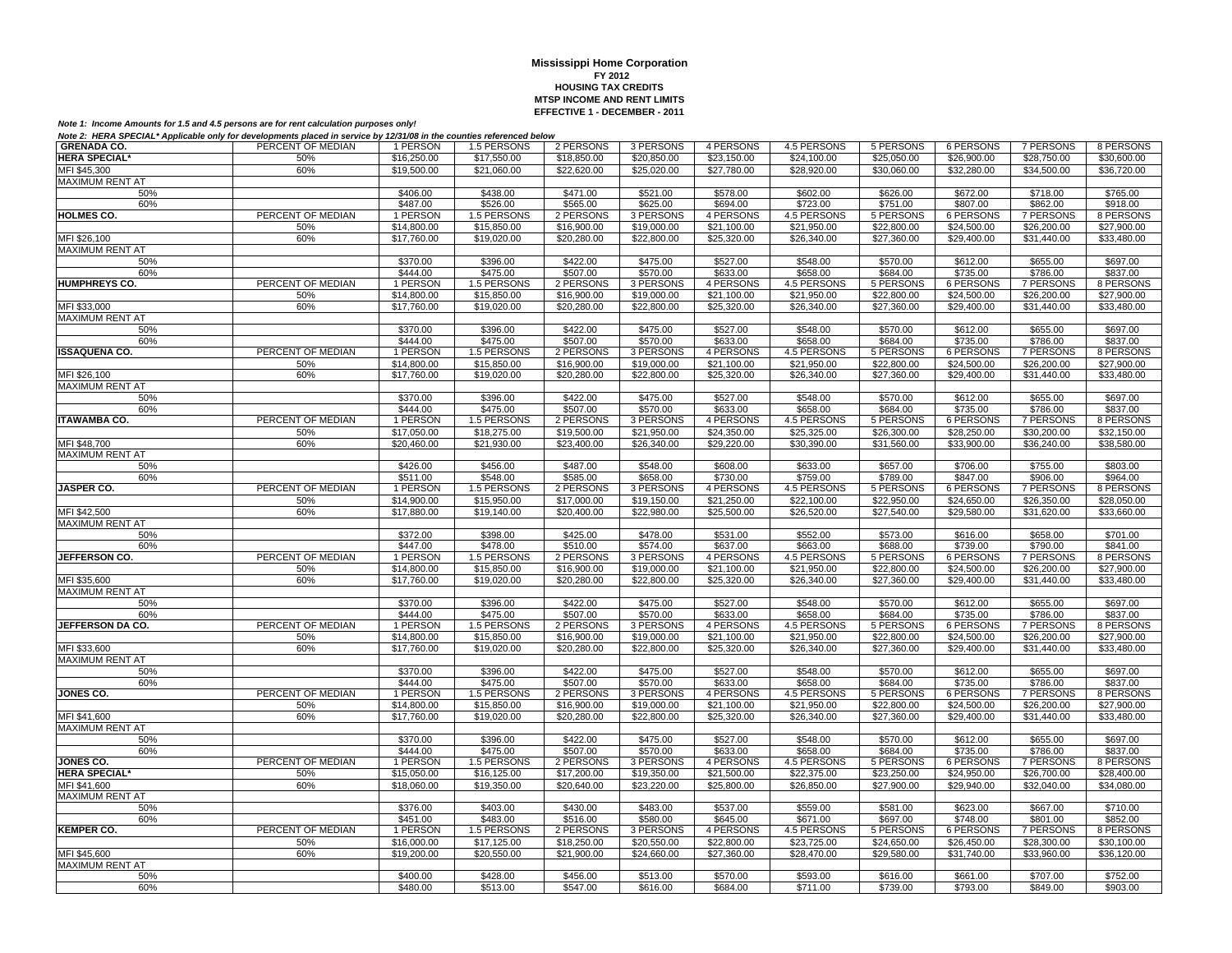| <b>GRENADA CO.</b>      | PERCENT OF MEDIAN | 1 PERSON                   | 1.5 PERSONS | 2 PERSONS                  | 3 PERSONS                  | 4 PERSONS                  | 4.5 PERSONS                | 5 PERSONS             | 6 PERSONS                  | 7 PERSONS                  | 8 PERSONS                  |
|-------------------------|-------------------|----------------------------|-------------|----------------------------|----------------------------|----------------------------|----------------------------|-----------------------|----------------------------|----------------------------|----------------------------|
| <b>HERA SPECIAL*</b>    | 50%               | \$16,250.00                | \$17,550.00 | \$18,850.00                | \$20,850.00                | \$23,150.00                | \$24,100.00                | \$25,050.00           | \$26,900.00                | \$28,750.00                | \$30,600.00                |
| MFI \$45,300            | 60%               | \$19,500.00                | \$21,060.00 | \$22,620.00                | \$25,020.00                | \$27,780.00                | \$28,920.00                | \$30,060.00           | \$32,280.00                | \$34,500.00                | \$36,720.00                |
| <b>MAXIMUM RENT AT</b>  |                   |                            |             |                            |                            |                            |                            |                       |                            |                            |                            |
| 50%                     |                   | \$406.00                   | \$438.00    | \$471.00                   | \$521.00                   | \$578.00                   | \$602.00                   | \$626.00              | \$672.00                   | \$718.00                   | \$765.00                   |
| 60%                     |                   | \$487.00                   | \$526.00    | \$565.00                   | \$625.00                   | \$694.00                   | \$723.00                   | \$751.00              | \$807.00                   | \$862.00                   | \$918.00                   |
| <b>HOLMES CO.</b>       | PERCENT OF MEDIAN | 1 PERSON                   | 1.5 PERSONS | 2 PERSONS                  | 3 PERSONS                  | 4 PERSONS                  | 4.5 PERSONS                | 5 PERSONS             | 6 PERSONS                  | 7 PERSONS                  | 8 PERSONS                  |
|                         | 50%               | \$14,800.00                | \$15,850.00 | \$16,900.00                | \$19,000.00                | \$21,100.00                | \$21,950.00                | \$22,800.00           | \$24,500.00                | \$26,200.00                | $\overline{$27,900.00}$    |
|                         | 60%               | \$17,760.00                | \$19,020.00 |                            |                            | \$25,320.00                |                            |                       | \$29,400.00                | \$31,440.00                |                            |
| MFI \$26,100            |                   |                            |             | \$20,280.00                | \$22,800.00                |                            | \$26,340.00                | \$27,360.00           |                            |                            | \$33,480.00                |
| MAXIMUM RENT AT         |                   |                            |             |                            |                            |                            |                            |                       |                            |                            |                            |
| 50%                     |                   | \$370.00                   | \$396.00    | \$422.00                   | \$475.00                   | \$527.00                   | \$548.00                   | \$570.00              | \$612.00                   | \$655.00                   | \$697.00                   |
| 60%                     |                   | \$444.00                   | \$475.00    | \$507.00                   | \$570.00                   | \$633.00                   | \$658.00                   | \$684.00              | \$735.00                   | \$786.00                   | \$837.00                   |
| <b>HUMPHREYS CO.</b>    | PERCENT OF MEDIAN | 1 PERSON                   | 1.5 PERSONS | 2 PERSONS                  | 3 PERSONS                  | 4 PERSONS                  | 4.5 PERSONS                | 5 PERSONS             | 6 PERSONS                  | 7 PERSONS                  | 8 PERSONS                  |
|                         | 50%               | \$14,800.00                | \$15,850.00 | \$16,900.00                | \$19,000.00                | \$21,100.00                | \$21,950.00                | \$22,800.00           | \$24,500.00                | \$26,200.00                | \$27,900.00                |
| MFI \$33,000            | 60%               | \$17,760.00                | \$19,020.00 | \$20,280.00                | \$22,800.00                | \$25,320.00                | \$26,340.00                | \$27,360.00           | \$29,400.00                | \$31,440.00                | \$33,480.00                |
| <b>MAXIMUM RENT AT</b>  |                   |                            |             |                            |                            |                            |                            |                       |                            |                            |                            |
| 50%                     |                   | \$370.00                   | \$396.00    | \$422.00                   | \$475.00                   | \$527.00                   | \$548.00                   | \$570.00              | \$612.00                   | \$655.00                   | \$697.00                   |
| 60%                     |                   | \$444.00                   | \$475.00    | \$507.00                   | \$570.00                   | \$633.00                   | \$658.00                   | \$684.00              | \$735.00                   | \$786.00                   | \$837.00                   |
| <b>ISSAQUENA CO.</b>    | PERCENT OF MEDIAN | 1 PERSON                   | 1.5 PERSONS | 2 PERSONS                  | 3 PERSONS                  | 4 PERSONS                  | <b>4.5 PERSONS</b>         | 5 PERSONS             | 6 PERSONS                  | <b>7 PERSONS</b>           | 8 PERSONS                  |
|                         | 50%               | \$14,800.00                | \$15,850.00 | \$16,900.00                | \$19,000.00                | \$21,100.00                | \$21,950.00                | \$22,800.00           | \$24,500.00                | \$26,200.00                | \$27,900.00                |
| MFI \$26,100            | 60%               | \$17,760.00                | \$19,020.00 | \$20,280.00                | \$22,800.00                | \$25,320.00                | \$26,340.00                | \$27,360.00           | \$29,400.00                | \$31,440.00                | \$33,480.00                |
| <b>MAXIMUM RENT AT</b>  |                   |                            |             |                            |                            |                            |                            |                       |                            |                            |                            |
| 50%                     |                   | \$370.00                   | \$396.00    | \$422.00                   | \$475.00                   | \$527.00                   | \$548.00                   | \$570.00              | \$612.00                   | \$655.00                   | \$697.00                   |
| 60%                     |                   | \$444.00                   | \$475.00    | \$507.00                   | \$570.00                   | \$633.00                   | \$658.00                   | \$684.00              | \$735.00                   | \$786.00                   | \$837.00                   |
| <b>ITAWAMBA CO.</b>     | PERCENT OF MEDIAN | 1 PERSON                   | 1.5 PERSONS | 2 PERSONS                  | 3 PERSONS                  | 4 PERSONS                  | 4.5 PERSONS                | 5 PERSONS             | 6 PERSONS                  | <b>7 PERSONS</b>           | 8 PERSONS                  |
|                         | 50%               | \$17.050.00                | \$18,275.00 | \$19,500.00                | \$21.950.00                | \$24,350.00                | \$25,325.00                | \$26,300.00           | \$28,250.00                | \$30,200.00                | \$32,150.00                |
| MFI \$48,700            | 60%               | \$20,460.00                | \$21,930.00 | \$23,400.00                | \$26,340.00                | \$29,220.00                | \$30,390.00                | \$31,560.00           | \$33,900.00                | \$36,240.00                | \$38,580.00                |
| <b>MAXIMUM RENT AT</b>  |                   |                            |             |                            |                            |                            |                            |                       |                            |                            |                            |
| 50%                     |                   | \$426.00                   | \$456.00    | \$487.00                   | \$548.00                   | \$608.00                   | \$633.00                   | \$657.00              | \$706.00                   | \$755.00                   | \$803.00                   |
| 60%                     |                   | \$511.00                   | \$548.00    | \$585.00                   | \$658.00                   | \$730.00                   | \$759.00                   | \$789.00              | \$847.00                   | \$906.00                   | \$964.00                   |
| <b>JASPER CO.</b>       | PERCENT OF MEDIAN | 1 PERSON                   | 1.5 PERSONS | 2 PERSONS                  | 3 PERSONS                  | 4 PERSONS                  | 4.5 PERSONS                | 5 PERSONS             | 6 PERSONS                  | 7 PERSONS                  | 8 PERSONS                  |
|                         | 50%               | \$14,900.00                | \$15,950.00 | \$17,000.00                | \$19,150.00                | \$21.250.00                | \$22,100.00                | \$22,950.00           | \$24,650.00                | \$26,350.00                | \$28,050,00                |
| MFI \$42,500            | 60%               | \$17,880.00                | \$19,140.00 | \$20,400.00                | \$22,980.00                | \$25,500.00                | \$26,520.00                | \$27,540.00           | \$29,580.00                | \$31,620.00                | \$33,660.00                |
| <b>MAXIMUM RENT AT</b>  |                   |                            |             |                            |                            |                            |                            |                       |                            |                            |                            |
| 50%                     |                   | \$372.00                   | \$398.00    | \$425.00                   | \$478.00                   | \$531.00                   | \$552.00                   | \$573.00              | \$616.00                   | \$658.00                   | \$701.00                   |
| 60%                     |                   | \$447.00                   | \$478.00    | \$510.00                   | \$574.00                   | \$637.00                   | \$663.00                   | \$688.00              | \$739.00                   | \$790.00                   | \$841.00                   |
| <b>JEFFERSON CO.</b>    | PERCENT OF MEDIAN | 1 PERSON                   | 1.5 PERSONS | 2 PERSONS                  | 3 PERSONS                  | 4 PERSONS                  | 4.5 PERSONS                | 5 PERSONS             | 6 PERSONS                  | <b>7 PERSONS</b>           | 8 PERSONS                  |
|                         | 50%               | \$14,800.00                | \$15,850.00 | \$16,900.00                | \$19,000.00                | \$21,100.00                | \$21,950.00                | \$22,800.00           | \$24,500.00                | \$26,200.00                | \$27,900.00                |
| MFI \$35,600            | 60%               | \$17,760.00                | \$19,020.00 | \$20,280.00                | \$22,800.00                | \$25,320.00                | \$26,340.00                | \$27,360.00           | \$29,400.00                | \$31,440.00                | \$33,480.00                |
| <b>MAXIMUM RENT AT</b>  |                   |                            |             |                            |                            |                            |                            |                       |                            |                            |                            |
| 50%                     |                   | \$370.00                   | \$396.00    | \$422.00                   | \$475.00                   | \$527.00                   | \$548.00                   | \$570.00              | \$612.00                   | \$655.00                   | \$697.00                   |
| 60%                     |                   | \$444.00                   | \$475.00    | \$507.00                   | \$570.00                   | \$633.00                   | \$658.00                   | \$684.00              | \$735.00                   | \$786.00                   | \$837.00                   |
| <b>JEFFERSON DA CO.</b> | PERCENT OF MEDIAN | 1 PERSON                   | 1.5 PERSONS | 2 PERSONS                  | 3 PERSONS                  | 4 PERSONS                  | 4.5 PERSONS                | 5 PERSONS             | 6 PERSONS                  | 7 PERSONS                  | 8 PERSONS                  |
|                         | 50%               | \$14,800.00                | \$15,850.00 | \$16,900.00                | \$19,000.00                | \$21,100.00                | \$21.950.00                | \$22,800.00           | \$24,500.00                | \$26,200.00                | \$27,900.00                |
| MFI \$33,600            | 60%               | \$17,760.00                | \$19,020.00 | \$20,280.00                | \$22,800.00                | \$25,320.00                | \$26,340.00                | \$27,360.00           | \$29,400.00                | \$31,440.00                | \$33,480.00                |
| MAXIMUM RENT AT         |                   |                            |             |                            |                            |                            |                            |                       |                            |                            |                            |
| 50%                     |                   | \$370.00                   | \$396.00    | \$422.00                   | \$475.00                   | \$527.00                   | \$548.00                   | \$570.00              | \$612.00                   | \$655.00                   | \$697.00                   |
|                         |                   | \$444.00                   | \$475.00    | \$507.00                   | \$570.00                   | \$633.00                   | \$658.00                   |                       |                            |                            | \$837.00                   |
| 60%<br>JONES CO.        | PERCENT OF MEDIAN | 1 PERSON                   | 1.5 PERSONS | 2 PERSONS                  | 3 PERSONS                  | 4 PERSONS                  | 4.5 PERSONS                | \$684.00<br>5 PERSONS | \$735.00<br>6 PERSONS      | \$786.00<br>7 PERSONS      | 8 PERSONS                  |
|                         |                   |                            |             |                            |                            |                            |                            |                       |                            |                            |                            |
| MFI \$41,600            | 50%<br>60%        | \$14,800.00<br>\$17,760.00 | \$15,850.00 | \$16,900.00<br>\$20,280.00 | \$19,000.00<br>\$22,800.00 | \$21,100.00<br>\$25,320,00 | \$21,950.00<br>\$26,340.00 | \$22,800.00           | \$24,500.00<br>\$29,400.00 | \$26,200.00<br>\$31,440.00 | \$27,900.00<br>\$33,480,00 |
|                         |                   |                            | \$19,020,00 |                            |                            |                            |                            | \$27,360.00           |                            |                            |                            |
| <b>MAXIMUM RENT AT</b>  |                   |                            |             |                            |                            |                            |                            |                       |                            |                            |                            |
| 50%                     |                   | \$370.00                   | \$396.00    | \$422.00                   | \$475.00                   | \$527.00                   | \$548.00                   | \$570.00              | \$612.00                   | \$655.00                   | \$697.00                   |
| 60%                     |                   | \$444.00                   | \$475.00    | \$507.00                   | \$570.00                   | \$633.00                   | \$658.00                   | \$684.00              | \$735.00                   | \$786.00                   | \$837.00                   |
| JONES CO.               | PERCENT OF MEDIAN | 1 PERSON                   | 1.5 PERSONS | 2 PERSONS                  | 3 PERSONS                  | 4 PERSONS                  | 4.5 PERSONS                | <b>5 PERSONS</b>      | <b>6 PERSONS</b>           | <b>7 PERSONS</b>           | 8 PERSONS                  |
| <b>HERA SPECIAL*</b>    | 50%               | \$15,050.00                | \$16,125.00 | \$17,200.00                | \$19,350.00                | \$21,500.00                | \$22,375.00                | \$23,250.00           | \$24,950.00                | \$26,700.00                | \$28,400.00                |
| MFI \$41,600            | 60%               | \$18,060.00                | \$19,350.00 | \$20,640.00                | \$23,220.00                | \$25,800.00                | \$26,850.00                | \$27,900.00           | \$29,940.00                | \$32,040.00                | \$34,080.00                |
| <b>MAXIMUM RENT AT</b>  |                   |                            |             |                            |                            |                            |                            |                       |                            |                            |                            |
| 50%                     |                   | \$376.00                   | \$403.00    | \$430.00                   | \$483.00                   | \$537.00                   | \$559.00                   | \$581.00              | \$623.00                   | \$667.00                   | \$710.00                   |
| 60%                     |                   | \$451.00                   | \$483.00    | \$516.00                   | \$580.00                   | \$645.00                   | \$671.00                   | \$697.00              | \$748.00                   | \$801.00                   | \$852.00                   |
| <b>KEMPER CO.</b>       | PERCENT OF MEDIAN | 1 PERSON                   | 1.5 PERSONS | 2 PERSONS                  | 3 PERSONS                  | 4 PERSONS                  | 4.5 PERSONS                | 5 PERSONS             | <b>6 PERSONS</b>           | <b>7 PERSONS</b>           | 8 PERSONS                  |
|                         | 50%               | \$16,000.00                | \$17,125.00 | \$18,250.00                | \$20,550.00                | \$22,800.00                | \$23,725.00                | \$24,650.00           | \$26,450.00                | \$28,300.00                | \$30,100.00                |
| MFI \$45,600            | 60%               | \$19,200.00                | \$20,550.00 | \$21,900.00                | \$24,660.00                | \$27,360.00                | \$28,470.00                | \$29,580.00           | \$31,740.00                | \$33.960.00                | \$36,120.00                |
| <b>MAXIMUM RENT AT</b>  |                   |                            |             |                            |                            |                            |                            |                       |                            |                            |                            |
| 50%                     |                   | \$400.00                   | \$428.00    | \$456.00                   | \$513.00                   | \$570.00                   | \$593.00                   | \$616.00              | \$661.00                   | \$707.00                   | \$752.00                   |
| 60%                     |                   | \$480.00                   | \$513.00    | \$547.00                   | \$616.00                   | \$684.00                   | \$711.00                   | \$739.00              | \$793.00                   | \$849.00                   | \$903.00                   |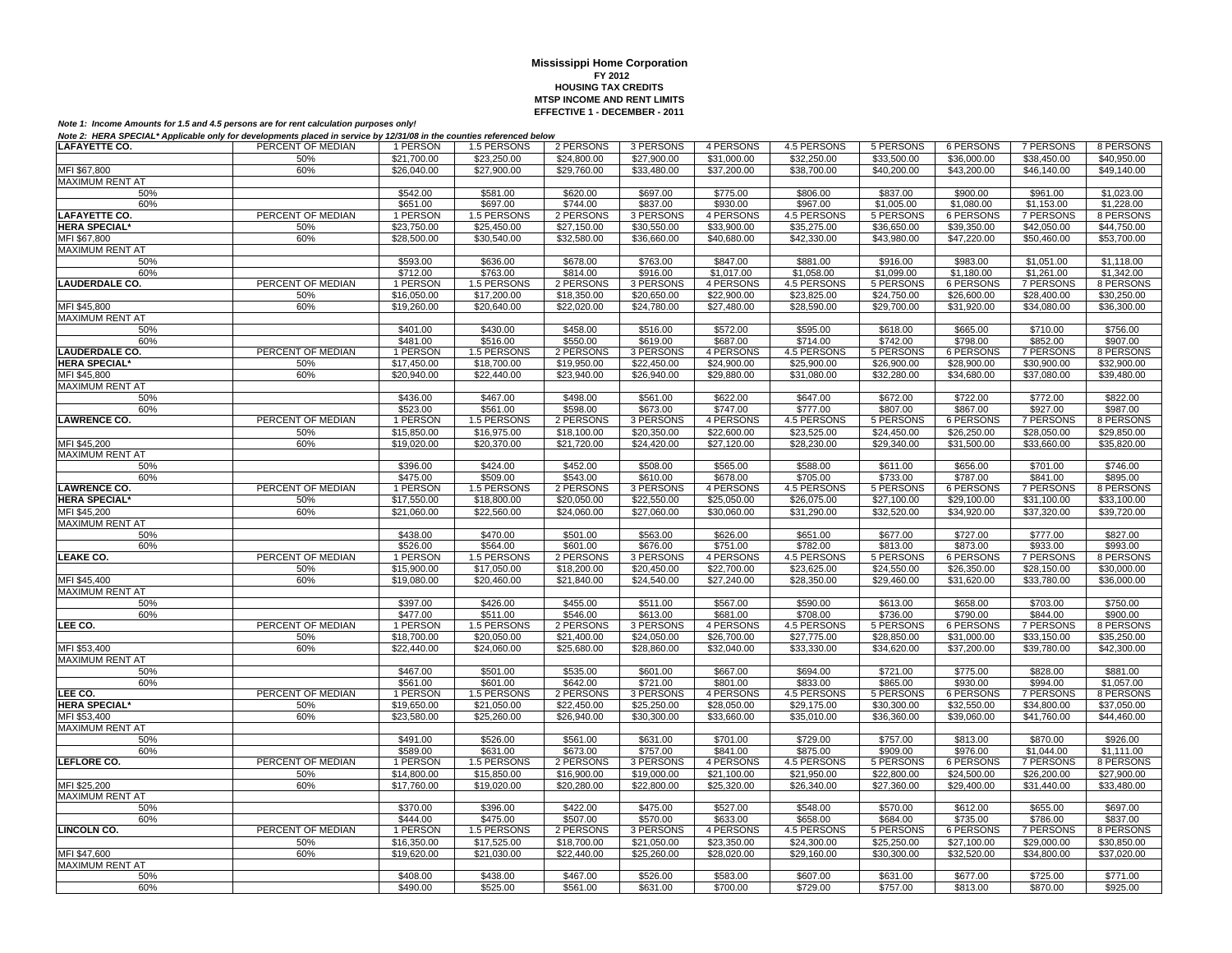| <b>LAFAYETTE CO.</b>   | PERCENT OF MEDIAN | 1 PERSON    | 1.5 PERSONS | 2 PERSONS   | 3 PERSONS   | 4 PERSONS               | 4.5 PERSONS | 5 PERSONS   | 6 PERSONS        | 7 PERSONS        | 8 PERSONS   |
|------------------------|-------------------|-------------|-------------|-------------|-------------|-------------------------|-------------|-------------|------------------|------------------|-------------|
|                        | 50%               | \$21,700.00 | \$23,250.00 | \$24,800.00 | \$27,900.00 | $\overline{$31,000.00}$ | \$32,250.00 | \$33,500.00 | \$36,000.00      | \$38,450.00      | \$40,950.00 |
| MFI \$67,800           | 60%               | \$26,040,00 | \$27,900.00 | \$29,760.00 | \$33,480.00 | \$37,200.00             | \$38,700.00 | \$40,200,00 | \$43,200.00      | \$46,140.00      | \$49,140.00 |
| <b>MAXIMUM RENT AT</b> |                   |             |             |             |             |                         |             |             |                  |                  |             |
| 50%                    |                   | \$542.00    | \$581.00    | \$620.00    | \$697.00    | \$775.00                | \$806.00    | \$837.00    | \$900.00         | \$961.00         | \$1,023.00  |
| 60%                    |                   | \$651.00    | \$697.00    | \$744.00    | \$837.00    | \$930.00                | \$967.00    | \$1,005.00  | \$1,080.00       | \$1,153.00       | \$1,228.00  |
| <b>LAFAYETTE CO.</b>   | PERCENT OF MEDIAN | 1 PERSON    | 1.5 PERSONS | 2 PERSONS   | 3 PERSONS   | 4 PERSONS               | 4.5 PERSONS | 5 PERSONS   | 6 PERSONS        | 7 PERSONS        | 8 PERSONS   |
| <b>HERA SPECIAL*</b>   | 50%               | \$23,750.00 | \$25,450.00 | \$27,150.00 | \$30,550.00 | \$33,900.00             | \$35,275.00 | \$36,650.00 | \$39,350.00      | \$42,050.00      | \$44,750.00 |
|                        | 60%               |             | \$30,540.00 | \$32,580.00 |             | \$40,680.00             | \$42,330.00 | \$43,980.00 | \$47,220.00      | \$50,460.00      | \$53,700.00 |
| MFI \$67,800           |                   | \$28,500.00 |             |             | \$36,660.00 |                         |             |             |                  |                  |             |
| MAXIMUM RENT AT        |                   |             |             |             |             |                         |             |             |                  |                  |             |
| 50%                    |                   | \$593.00    | \$636.00    | \$678.00    | \$763.00    | \$847.00                | \$881.00    | \$916.00    | \$983.00         | \$1,051.00       | \$1,118.00  |
| 60%                    |                   | \$712.00    | \$763.00    | \$814.00    | \$916.00    | \$1,017.00              | \$1.058.00  | \$1,099.00  | \$1.180.00       | \$1,261,00       | \$1,342.00  |
| <b>LAUDERDALE CO.</b>  | PERCENT OF MEDIAN | 1 PERSON    | 1.5 PERSONS | 2 PERSONS   | 3 PERSONS   | 4 PERSONS               | 4.5 PERSONS | 5 PERSONS   | 6 PERSONS        | 7 PERSONS        | 8 PERSONS   |
|                        | 50%               | \$16,050.00 | \$17,200.00 | \$18,350.00 | \$20,650.00 | \$22,900.00             | \$23,825.00 | \$24,750.00 | \$26,600.00      | \$28,400.00      | \$30,250.00 |
| MFI \$45,800           | 60%               | \$19,260.00 | \$20,640.00 | \$22,020.00 | \$24,780.00 | \$27,480.00             | \$28,590.00 | \$29,700.00 | \$31,920.00      | \$34,080.00      | \$36,300.00 |
| <b>MAXIMUM RENT AT</b> |                   |             |             |             |             |                         |             |             |                  |                  |             |
| 50%                    |                   | \$401.00    | \$430.00    | \$458.00    | \$516.00    | \$572.00                | \$595.00    | \$618.00    | \$665.00         | \$710.00         | \$756.00    |
| 60%                    |                   | \$481.00    | \$516.00    | \$550.00    | \$619.00    | \$687.00                | \$714.00    | \$742.00    | \$798.00         | \$852.00         | \$907.00    |
| <b>LAUDERDALE CO.</b>  | PERCENT OF MEDIAN | 1 PERSON    | 1.5 PERSONS | 2 PERSONS   | 3 PERSONS   | 4 PERSONS               | 4.5 PERSONS | 5 PERSONS   | <b>6 PERSONS</b> | <b>7 PERSONS</b> | 8 PERSONS   |
| <b>HERA SPECIAL*</b>   | 50%               | \$17,450.00 | \$18,700.00 | \$19,950.00 | \$22,450.00 | \$24,900.00             | \$25,900.00 | \$26,900.00 | \$28,900.00      | \$30,900.00      | \$32,900.00 |
| MFI \$45,800           | 60%               | \$20,940.00 | \$22,440.00 | \$23,940.00 | \$26,940.00 | \$29,880.00             | \$31,080.00 | \$32,280.00 | \$34,680.00      | \$37,080.00      | \$39,480.00 |
| <b>MAXIMUM RENT AT</b> |                   |             |             |             |             |                         |             |             |                  |                  |             |
| 50%                    |                   | \$436.00    | \$467.00    | \$498.00    | \$561.00    | \$622.00                | \$647.00    | \$672.00    | \$722.00         | \$772.00         | \$822.00    |
| 60%                    |                   | \$523.00    | \$561.00    | \$598.00    | \$673.00    | \$747.00                | \$777.00    | \$807.00    | \$867.00         | \$927.00         | \$987.00    |
| <b>LAWRENCE CO.</b>    | PERCENT OF MEDIAN | 1 PERSON    | 1.5 PERSONS | 2 PERSONS   | 3 PERSONS   | 4 PERSONS               | 4.5 PERSONS | 5 PERSONS   | <b>6 PERSONS</b> | 7 PERSONS        | 8 PERSONS   |
|                        | 50%               | \$15,850.00 | \$16,975.00 | \$18,100.00 | \$20,350.00 | \$22,600.00             | \$23,525.00 | \$24,450.00 | \$26,250.00      | \$28,050.00      | \$29,850.00 |
| MFI \$45,200           | 60%               | \$19,020.00 | \$20,370.00 | \$21,720.00 | \$24,420.00 | \$27,120.00             | \$28,230.00 | \$29,340.00 | \$31,500.00      | \$33,660.00      | \$35,820.00 |
| <b>MAXIMUM RENT AT</b> |                   |             |             |             |             |                         |             |             |                  |                  |             |
| 50%                    |                   | \$396.00    | \$424.00    | \$452.00    | \$508.00    | \$565.00                | \$588.00    | \$611.00    | \$656.00         | \$701.00         | \$746.00    |
| 60%                    |                   | \$475.00    | \$509.00    | \$543.00    | \$610.00    | \$678.00                | \$705.00    | \$733.00    | \$787.00         | \$841.00         | \$895.00    |
| <b>LAWRENCE CO.</b>    | PERCENT OF MEDIAN | 1 PERSON    | 1.5 PERSONS | 2 PERSONS   | 3 PERSONS   | 4 PERSONS               | 4.5 PERSONS | 5 PERSONS   | <b>6 PERSONS</b> | 7 PERSONS        | 8 PERSONS   |
| <b>HERA SPECIAL*</b>   | 50%               | \$17,550.00 | \$18,800.00 | \$20,050.00 | \$22,550.00 | \$25,050.00             | \$26,075.00 | \$27,100.00 | \$29,100.00      | \$31,100.00      | \$33,100.00 |
| MFI \$45,200           | 60%               | \$21,060.00 | \$22,560.00 | \$24,060.00 | \$27,060.00 | \$30,060.00             | \$31,290.00 | \$32,520.00 | \$34,920.00      | \$37,320.00      | \$39,720.00 |
| MAXIMUM RENT AT        |                   |             |             |             |             |                         |             |             |                  |                  |             |
| 50%                    |                   | \$438.00    | \$470.00    | \$501.00    | \$563.00    | \$626.00                | \$651.00    | \$677.00    | \$727.00         | \$777.00         | \$827.00    |
| 60%                    |                   | \$526.00    | \$564.00    | \$601.00    | \$676.00    | \$751.00                | \$782.00    | \$813.00    | \$873.00         | \$933.00         | \$993.00    |
| <b>LEAKE CO.</b>       | PERCENT OF MEDIAN | 1 PERSON    | 1.5 PERSONS | 2 PERSONS   | 3 PERSONS   | 4 PERSONS               | 4.5 PERSONS | 5 PERSONS   | <b>6 PERSONS</b> | 7 PERSONS        | 8 PERSONS   |
|                        |                   |             |             |             |             |                         |             |             |                  |                  |             |
|                        | 50%               | \$15,900.00 | \$17,050.00 | \$18,200.00 | \$20,450.00 | \$22,700.00             | \$23,625.00 | \$24,550.00 | \$26,350.00      | \$28,150.00      | \$30,000.00 |
| MFI \$45,400           | 60%               | \$19,080.00 | \$20,460.00 | \$21,840.00 | \$24,540.00 | \$27,240.00             | \$28,350.00 | \$29,460.00 | \$31,620.00      | \$33,780.00      | \$36,000.00 |
| <b>MAXIMUM RENT AT</b> |                   |             |             |             |             |                         |             |             |                  |                  |             |
| 50%                    |                   | \$397.00    | \$426.00    | \$455.00    | \$511.00    | \$567.00                | \$590.00    | \$613.00    | \$658.00         | \$703.00         | \$750.00    |
| 60%                    |                   | \$477.00    | \$511.00    | \$546.00    | \$613.00    | \$681.00                | \$708.00    | \$736.00    | \$790.00         | \$844.00         | \$900.00    |
| LEE CO.                | PERCENT OF MEDIAN | 1 PERSON    | 1.5 PERSONS | 2 PERSONS   | 3 PERSONS   | 4 PERSONS               | 4.5 PERSONS | 5 PERSONS   | <b>6 PERSONS</b> | 7 PERSONS        | 8 PERSONS   |
|                        | 50%               | \$18,700.00 | \$20.050.00 | \$21,400.00 | \$24.050.00 | \$26,700.00             | \$27,775.00 | \$28,850.00 | \$31,000.00      | \$33,150.00      | \$35,250.00 |
| MFI \$53,400           | 60%               | \$22,440.00 | \$24,060.00 | \$25,680.00 | \$28,860.00 | \$32,040.00             | \$33,330.00 | \$34,620.00 | \$37,200.00      | \$39,780.00      | \$42,300.00 |
| <b>MAXIMUM RENT AT</b> |                   |             |             |             |             |                         |             |             |                  |                  |             |
| 50%                    |                   | \$467.00    | \$501.00    | \$535.00    | \$601.00    | \$667.00                | \$694.00    | \$721.00    | \$775.00         | \$828.00         | \$881.00    |
| 60%                    |                   | \$561.00    | \$601.00    | \$642.00    | \$721.00    | \$801.00                | \$833.00    | \$865.00    | \$930.00         | \$994.00         | \$1,057.00  |
| LEE CO.                | PERCENT OF MEDIAN | 1 PERSON    | 1.5 PERSONS | 2 PERSONS   | 3 PERSONS   | 4 PERSONS               | 4.5 PERSONS | 5 PERSONS   | 6 PERSONS        | 7 PERSONS        | 8 PERSONS   |
| <b>HERA SPECIAL*</b>   | 50%               | \$19,650.00 | \$21,050.00 | \$22,450.00 | \$25,250.00 | \$28,050.00             | \$29,175.00 | \$30,300.00 | \$32,550.00      | \$34,800.00      | \$37,050.00 |
| MFI \$53.400           | 60%               | \$23,580.00 | \$25,260.00 | \$26,940.00 | \$30,300.00 | \$33,660,00             | \$35,010.00 | \$36,360.00 | \$39,060,00      | \$41,760.00      | \$44,460.00 |
| <b>MAXIMUM RENT AT</b> |                   |             |             |             |             |                         |             |             |                  |                  |             |
| 50%                    |                   | \$491.00    | \$526.00    | \$561.00    | \$631.00    | \$701.00                | \$729.00    | \$757.00    | \$813.00         | \$870.00         | \$926.00    |
| 60%                    |                   | \$589.00    | \$631.00    | \$673.00    | \$757.00    | \$841.00                | \$875.00    | \$909.00    | \$976.00         | \$1,044.00       | \$1.111.00  |
| LEFLORE CO.            | PERCENT OF MEDIAN | 1 PERSON    | 1.5 PERSONS | 2 PERSONS   | 3 PERSONS   | 4 PERSONS               | 4.5 PERSONS | 5 PERSONS   | 6 PERSONS        | <b>7 PERSONS</b> | 8 PERSONS   |
|                        | 50%               | \$14,800.00 | \$15,850.00 | \$16,900.00 | \$19,000.00 | \$21,100.00             | \$21,950.00 | \$22,800.00 | \$24,500.00      | \$26,200.00      | \$27,900.00 |
| MFI \$25,200           | 60%               | \$17,760.00 | \$19,020.00 | \$20,280.00 | \$22,800.00 | \$25,320.00             | \$26,340.00 | \$27,360.00 | \$29,400.00      | \$31,440.00      | \$33,480.00 |
| MAXIMUM RENT AT        |                   |             |             |             |             |                         |             |             |                  |                  |             |
| 50%                    |                   | \$370.00    | \$396.00    | \$422.00    | \$475.00    | \$527.00                | \$548.00    | \$570.00    | \$612.00         | \$655.00         | \$697.00    |
| 60%                    |                   | \$444.00    | \$475.00    | \$507.00    | \$570.00    | \$633.00                | \$658.00    | \$684.00    | \$735.00         | \$786.00         | \$837.00    |
| <b>LINCOLN CO.</b>     | PERCENT OF MEDIAN | 1 PERSON    | 1.5 PERSONS | 2 PERSONS   | 3 PERSONS   | 4 PERSONS               | 4.5 PERSONS | 5 PERSONS   | <b>6 PERSONS</b> | <b>7 PERSONS</b> | 8 PERSONS   |
|                        | 50%               | \$16,350.00 | \$17,525.00 | \$18,700.00 | \$21,050.00 | \$23,350.00             | \$24,300.00 | \$25,250.00 | \$27,100.00      | \$29,000.00      | \$30,850.00 |
| MFI \$47,600           | 60%               | \$19,620.00 | \$21.030.00 | \$22,440.00 | \$25,260.00 | \$28,020,00             | \$29,160.00 | \$30,300.00 | \$32,520.00      | \$34,800.00      | \$37,020.00 |
| <b>MAXIMUM RENT AT</b> |                   |             |             |             |             |                         |             |             |                  |                  |             |
| 50%                    |                   | \$408.00    | \$438.00    | \$467.00    | \$526.00    | \$583.00                | \$607.00    | \$631.00    | \$677.00         | \$725.00         | \$771.00    |
| 60%                    |                   | \$490.00    | \$525.00    | \$561.00    | \$631.00    | \$700.00                | \$729.00    | \$757.00    | \$813.00         | \$870.00         | \$925.00    |
|                        |                   |             |             |             |             |                         |             |             |                  |                  |             |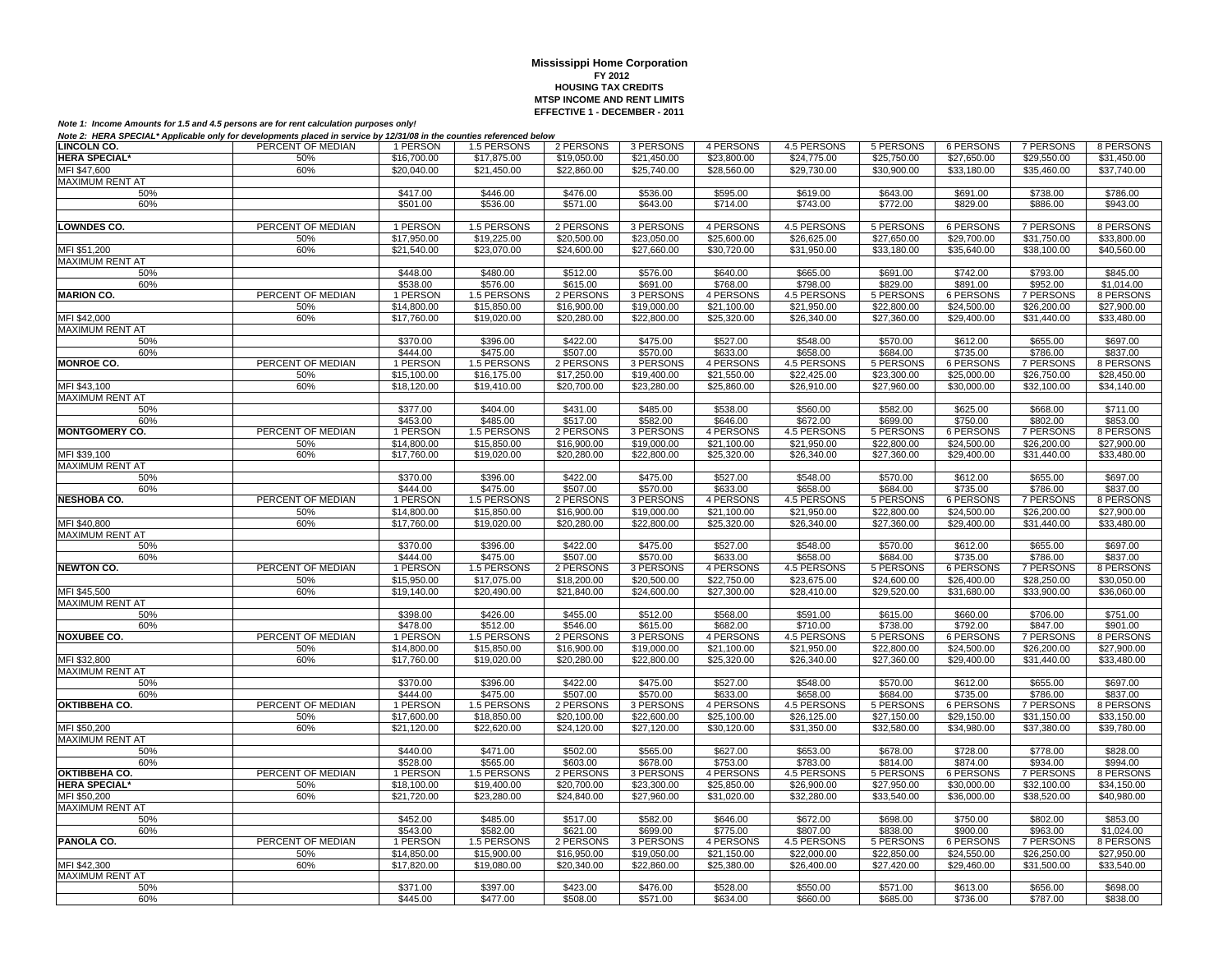| <b>LINCOLN CO.</b>                     | PERCENT OF MEDIAN | 1 PERSON             | 1.5 PERSONS             | 2 PERSONS                  | 3 PERSONS             | 4 PERSONS             | 4.5 PERSONS                | 5 PERSONS               | 6 PERSONS             | 7 PERSONS                    | 8 PERSONS                  |
|----------------------------------------|-------------------|----------------------|-------------------------|----------------------------|-----------------------|-----------------------|----------------------------|-------------------------|-----------------------|------------------------------|----------------------------|
| <b>HERA SPECIAL*</b>                   | 50%               | \$16,700.00          | \$17,875.00             | \$19,050.00                | \$21,450.00           | \$23,800.00           | \$24,775.00                | \$25,750.00             | \$27,650.00           | \$29,550.00                  | \$31,450.00                |
| MFI \$47,600                           | 60%               | \$20,040.00          | \$21,450.00             | \$22,860.00                | \$25,740.00           | \$28,560.00           | \$29,730.00                | \$30,900.00             | \$33,180.00           | \$35,460.00                  | \$37,740.00                |
| MAXIMUM RENT AT                        |                   |                      |                         |                            |                       |                       |                            |                         |                       |                              |                            |
| 50%                                    |                   | \$417.00             | \$446.00                | \$476.00                   | \$536.00              | \$595.00              | \$619.00                   | \$643.00                | \$691.00              | \$738.00                     | \$786.00                   |
| 60%                                    |                   | \$501.00             | \$536.00                | \$571.00                   | \$643.00              | \$714.00              | \$743.00                   | \$772.00                | \$829.00              | \$886.00                     | \$943.00                   |
|                                        |                   |                      |                         |                            |                       |                       |                            |                         |                       |                              |                            |
| <b>LOWNDES CO.</b>                     | PERCENT OF MEDIAN | 1 PERSON             | 1.5 PERSONS             | 2 PERSONS                  | 3 PERSONS             | 4 PERSONS             | 4.5 PERSONS                | 5 PERSONS               | 6 PERSONS             | <b>7 PERSONS</b>             | 8 PERSONS                  |
|                                        | 50%               | \$17,950.00          | \$19,225.00             | \$20,500.00                | \$23,050.00           | \$25,600.00           | \$26,625.00                | \$27,650.00             | \$29,700.00           | \$31,750.00                  | \$33,800.00                |
| MFI \$51,200                           | 60%               | \$21,540.00          | \$23,070.00             | \$24,600.00                | \$27,660.00           | \$30,720.00           | \$31,950.00                | \$33,180.00             | \$35,640.00           | \$38,100.00                  | \$40,560.00                |
| MAXIMUM RENT AT                        |                   |                      |                         |                            |                       |                       |                            |                         |                       |                              |                            |
| 50%                                    |                   | \$448.00             | \$480.00                | \$512.00                   | \$576.00              | \$640.00              | \$665.00                   | \$691.00                | \$742.00              | \$793.00                     | \$845.00                   |
| 60%                                    |                   | \$538.00             | \$576.00                | \$615.00                   | \$691.00              | \$768.00              | \$798.00                   | \$829.00                | \$891.00              | \$952.00                     | \$1,014.00                 |
| <b>MARION CO.</b>                      | PERCENT OF MEDIAN | 1 PERSON             | 1.5 PERSONS             | 2 PERSONS                  | 3 PERSONS             | 4 PERSONS             | 4.5 PERSONS                | 5 PERSONS               | <b>6 PERSONS</b>      | <b>7 PERSONS</b>             | 8 PERSONS                  |
|                                        | 50%               | \$14,800.00          | \$15,850.00             | \$16,900.00                | \$19,000.00           | \$21,100.00           | \$21,950.00                | \$22,800.00             | \$24,500.00           | \$26,200.00                  | \$27,900.00                |
| MFI \$42,000                           | 60%               | \$17,760.00          | \$19,020.00             | \$20,280.00                | \$22,800.00           | \$25,320.00           | \$26,340.00                | \$27,360.00             | \$29,400.00           | \$31,440.00                  | \$33,480.00                |
| MAXIMUM RENT AT                        |                   |                      |                         |                            |                       |                       |                            |                         |                       |                              |                            |
| 50%                                    |                   | \$370.00             | \$396.00                | \$422.00                   | \$475.00              | \$527.00              | \$548.00                   | \$570.00                | \$612.00              | \$655.00                     | \$697.00                   |
|                                        |                   |                      |                         |                            |                       |                       |                            |                         |                       |                              |                            |
| 60%<br><b>MONROE CO.</b>               | PERCENT OF MEDIAN | \$444.00<br>1 PERSON | \$475.00<br>1.5 PERSONS | \$507.00<br>2 PERSONS      | \$570.00<br>3 PERSONS | \$633.00<br>4 PERSONS | \$658.00<br>4.5 PERSONS    | \$684.00<br>5 PERSONS   | \$735.00<br>6 PERSONS | \$786.00<br>7 PERSONS        | \$837.00<br>8 PERSONS      |
|                                        |                   |                      |                         |                            |                       |                       |                            |                         |                       |                              |                            |
|                                        | 50%<br>60%        | \$15,100.00          | \$16,175.00             | \$17,250.00<br>\$20,700.00 | \$19,400.00           | \$21,550.00           | \$22,425.00<br>\$26,910.00 | \$23,300.00             | \$25,000.00           | \$26,750.00<br>\$32,100.00   | \$28,450.00<br>\$34,140.00 |
| MFI \$43,100                           |                   | \$18,120.00          | \$19,410.00             |                            | \$23,280.00           | \$25,860.00           |                            | \$27,960.00             | \$30,000.00           |                              |                            |
| MAXIMUM RENT AT                        |                   |                      |                         |                            |                       |                       |                            |                         |                       |                              |                            |
| 50%                                    |                   | \$377.00             | \$404.00                | \$431.00                   | \$485.00              | \$538.00              | \$560.00                   | \$582.00                | \$625.00              | \$668.00                     | \$711.00                   |
| 60%                                    | PERCENT OF MEDIAN | \$453.00             | \$485.00                | \$517.00                   | \$582.00              | \$646.00              | \$672.00<br>4.5 PERSONS    | \$699.00                | \$750.00              | \$802.00<br><b>7 PERSONS</b> | \$853.00                   |
| <b>MONTGOMERY CO.</b>                  |                   | 1 PERSON             | 1.5 PERSONS             | 2 PERSONS                  | 3 PERSONS             | 4 PERSONS             |                            | <b>5 PERSONS</b>        | 6 PERSONS             |                              | 8 PERSONS                  |
|                                        | 50%               | \$14,800.00          | \$15,850.00             | \$16,900.00                | \$19,000.00           | \$21,100.00           | \$21,950.00                | \$22,800.00             | \$24,500.00           | \$26,200.00                  | \$27,900.00                |
| MFI \$39,100<br><b>MAXIMUM RENT AT</b> | 60%               | \$17,760.00          | \$19,020.00             | \$20,280.00                | \$22,800.00           | \$25,320.00           | \$26,340.00                | \$27,360.00             | \$29,400.00           | \$31,440.00                  | \$33,480.00                |
|                                        |                   |                      |                         |                            |                       |                       |                            |                         |                       |                              |                            |
| 50%<br>60%                             |                   | \$370.00             | \$396.00                | \$422.00                   | \$475.00<br>\$570.00  | \$527.00              | \$548.00<br>\$658.00       | \$570.00                | \$612.00<br>\$735.00  | \$655.00                     | \$697.00<br>\$837.00       |
| <b>NESHOBA CO.</b>                     | PERCENT OF MEDIAN | \$444.00<br>1 PERSON | \$475.00<br>1.5 PERSONS | \$507.00<br>2 PERSONS      | 3 PERSONS             | \$633.00<br>4 PERSONS | 4.5 PERSONS                | \$684.00<br>5 PERSONS   | 6 PERSONS             | \$786.00<br><b>7 PERSONS</b> | 8 PERSONS                  |
|                                        | 50%               | \$14,800.00          | \$15,850.00             | \$16,900.00                | \$19,000.00           | \$21,100.00           | \$21,950.00                | \$22,800.00             | \$24,500.00           | \$26,200.00                  | \$27,900.00                |
| MFI \$40,800                           | 60%               | \$17,760.00          | \$19,020.00             | \$20,280.00                | \$22,800.00           | \$25,320.00           | \$26,340.00                | $\overline{$27,360.00}$ | \$29,400.00           | \$31,440.00                  | \$33,480.00                |
| <b>MAXIMUM RENT AT</b>                 |                   |                      |                         |                            |                       |                       |                            |                         |                       |                              |                            |
| 50%                                    |                   | \$370.00             | \$396.00                | \$422.00                   | \$475.00              | \$527.00              | \$548.00                   | \$570.00                | \$612.00              | \$655.00                     | \$697.00                   |
| 60%                                    |                   | \$444.00             | \$475.00                | \$507.00                   | \$570.00              | \$633.00              | \$658.00                   | \$684.00                | \$735.00              | \$786.00                     | \$837.00                   |
| <b>NEWTON CO.</b>                      | PERCENT OF MEDIAN | 1 PERSON             | 1.5 PERSONS             | 2 PERSONS                  | 3 PERSONS             | 4 PERSONS             | 4.5 PERSONS                | 5 PERSONS               | <b>6 PERSONS</b>      | <b>7 PERSONS</b>             | 8 PERSONS                  |
|                                        | 50%               | \$15,950.00          | \$17,075.00             | \$18,200.00                | \$20,500.00           | \$22,750.00           | \$23,675.00                | \$24,600.00             | \$26,400.00           | \$28,250.00                  | \$30,050.00                |
| MFI \$45,500                           | 60%               | \$19,140.00          | \$20,490.00             | \$21,840.00                | \$24,600.00           | \$27,300.00           | \$28,410.00                | \$29,520.00             | \$31,680.00           | \$33,900.00                  | \$36,060.00                |
| <b>MAXIMUM RENT AT</b>                 |                   |                      |                         |                            |                       |                       |                            |                         |                       |                              |                            |
| 50%                                    |                   | \$398.00             | \$426.00                | \$455.00                   | \$512.00              | \$568.00              | \$591.00                   | \$615.00                | \$660.00              | \$706.00                     | \$751.00                   |
| 60%                                    |                   | \$478.00             | \$512.00                | \$546.00                   | \$615.00              | \$682.00              | \$710.00                   | \$738.00                | \$792.00              | \$847.00                     | \$901.00                   |
| <b>NOXUBEE CO.</b>                     | PERCENT OF MEDIAN | 1 PERSON             | 1.5 PERSONS             | 2 PERSONS                  | 3 PERSONS             | 4 PERSONS             | 4.5 PERSONS                | 5 PERSONS               | 6 PERSONS             | 7 PERSONS                    | 8 PERSONS                  |
|                                        | 50%               | \$14,800.00          | \$15,850.00             | \$16,900.00                | \$19,000.00           | \$21,100.00           | \$21,950.00                | \$22,800.00             | \$24,500.00           | \$26,200.00                  | \$27,900.00                |
| MFI \$32,800                           | 60%               | \$17,760.00          | \$19,020,00             | \$20,280.00                | \$22,800.00           | \$25,320.00           | \$26,340.00                | \$27,360.00             | \$29,400.00           | \$31,440.00                  | \$33,480.00                |
| <b>MAXIMUM RENT AT</b>                 |                   |                      |                         |                            |                       |                       |                            |                         |                       |                              |                            |
| 50%                                    |                   | \$370.00             | \$396.00                | \$422.00                   | \$475.00              | \$527.00              | \$548.00                   | \$570.00                | \$612.00              | \$655.00                     | \$697.00                   |
| 60%                                    |                   | \$444.00             | \$475.00                | \$507.00                   | \$570.00              | \$633.00              | \$658.00                   | \$684.00                | \$735.00              | \$786.00                     | \$837.00                   |
| OKTIBBEHA CO.                          | PERCENT OF MEDIAN | 1 PERSON             | 1.5 PERSONS             | 2 PERSONS                  | 3 PERSONS             | 4 PERSONS             | 4.5 PERSONS                | 5 PERSONS               | 6 PERSONS             | <b>7 PERSONS</b>             | 8 PERSONS                  |
|                                        | 50%               | \$17,600.00          | \$18,850.00             | \$20,100.00                | \$22,600.00           | \$25,100.00           | \$26,125.00                | \$27,150.00             | \$29,150.00           | \$31,150.00                  | \$33,150.00                |
| MFI \$50,200                           | 60%               | \$21,120.00          | \$22,620.00             | \$24,120.00                | \$27,120.00           | \$30,120.00           | \$31,350.00                | \$32,580.00             | \$34,980.00           | \$37,380.00                  | \$39,780.00                |
| <b>MAXIMUM RENT AT</b>                 |                   |                      |                         |                            |                       |                       |                            |                         |                       |                              |                            |
| 50%                                    |                   | \$440.00             | \$471.00                | \$502.00                   | \$565.00              | \$627.00              | \$653.00                   | \$678.00                | \$728.00              | \$778.00                     | \$828.00                   |
| 60%                                    |                   | \$528.00             | \$565.00                | \$603.00                   | \$678.00              | \$753.00              | \$783.00                   | \$814.00                | \$874.00              | \$934.00                     | \$994.00                   |
| <b>OKTIBBEHA CO.</b>                   | PERCENT OF MEDIAN | 1 PERSON             | 1.5 PERSONS             | 2 PERSONS                  | 3 PERSONS             | 4 PERSONS             | 4.5 PERSONS                | 5 PERSONS               | 6 PERSONS             | <b>7 PERSONS</b>             | 8 PERSONS                  |
| <b>HERA SPECIAL*</b>                   | 50%               | \$18,100.00          | \$19,400.00             | \$20,700.00                | \$23,300.00           | \$25,850.00           | \$26,900.00                | \$27,950.00             | \$30,000.00           | \$32,100.00                  | \$34,150.00                |
| MFI \$50,200                           | 60%               | \$21,720.00          | \$23,280.00             | \$24,840.00                | \$27,960.00           | \$31,020.00           | \$32,280.00                | \$33,540.00             | \$36,000.00           | \$38,520.00                  | \$40,980.00                |
| <b>MAXIMUM RENT AT</b>                 |                   |                      |                         |                            |                       |                       |                            |                         |                       |                              |                            |
| 50%                                    |                   | \$452.00             | \$485.00                | \$517.00                   | \$582.00              | \$646.00              | \$672.00                   | \$698.00                | \$750.00              | \$802.00                     | \$853.00                   |
| 60%                                    |                   | \$543.00             | \$582.00                | \$621.00                   | \$699.00              | \$775.00              | \$807.00                   | \$838.00                | \$900.00              | \$963.00                     | \$1,024.00                 |
| PANOLA CO.                             | PERCENT OF MEDIAN | 1 PERSON             | 1.5 PERSONS             | 2 PERSONS                  | 3 PERSONS             | 4 PERSONS             | 4.5 PERSONS                | 5 PERSONS               | 6 PERSONS             | <b>7 PERSONS</b>             | 8 PERSONS                  |
|                                        | 50%               | \$14,850.00          | \$15,900.00             | \$16,950.00                | \$19,050.00           | \$21,150.00           | \$22,000.00                | \$22,850.00             | \$24,550.00           | \$26,250.00                  | \$27,950.00                |
| MFI \$42,300                           | 60%               | \$17,820.00          | \$19,080.00             | \$20,340.00                | \$22,860.00           | \$25,380,00           | \$26,400.00                | \$27,420.00             | \$29,460.00           | \$31,500.00                  | \$33,540.00                |
| MAXIMUM RENT AT                        |                   |                      |                         |                            |                       |                       |                            |                         |                       |                              |                            |
| 50%                                    |                   | \$371.00             | \$397.00                | \$423.00                   | \$476.00              | \$528.00              | \$550.00                   | \$571.00                | \$613.00              | \$656.00                     | \$698.00                   |
| 60%                                    |                   | \$445.00             | \$477.00                | \$508.00                   | \$571.00              | \$634.00              | \$660.00                   | \$685.00                | \$736.00              | \$787.00                     | \$838.00                   |
|                                        |                   |                      |                         |                            |                       |                       |                            |                         |                       |                              |                            |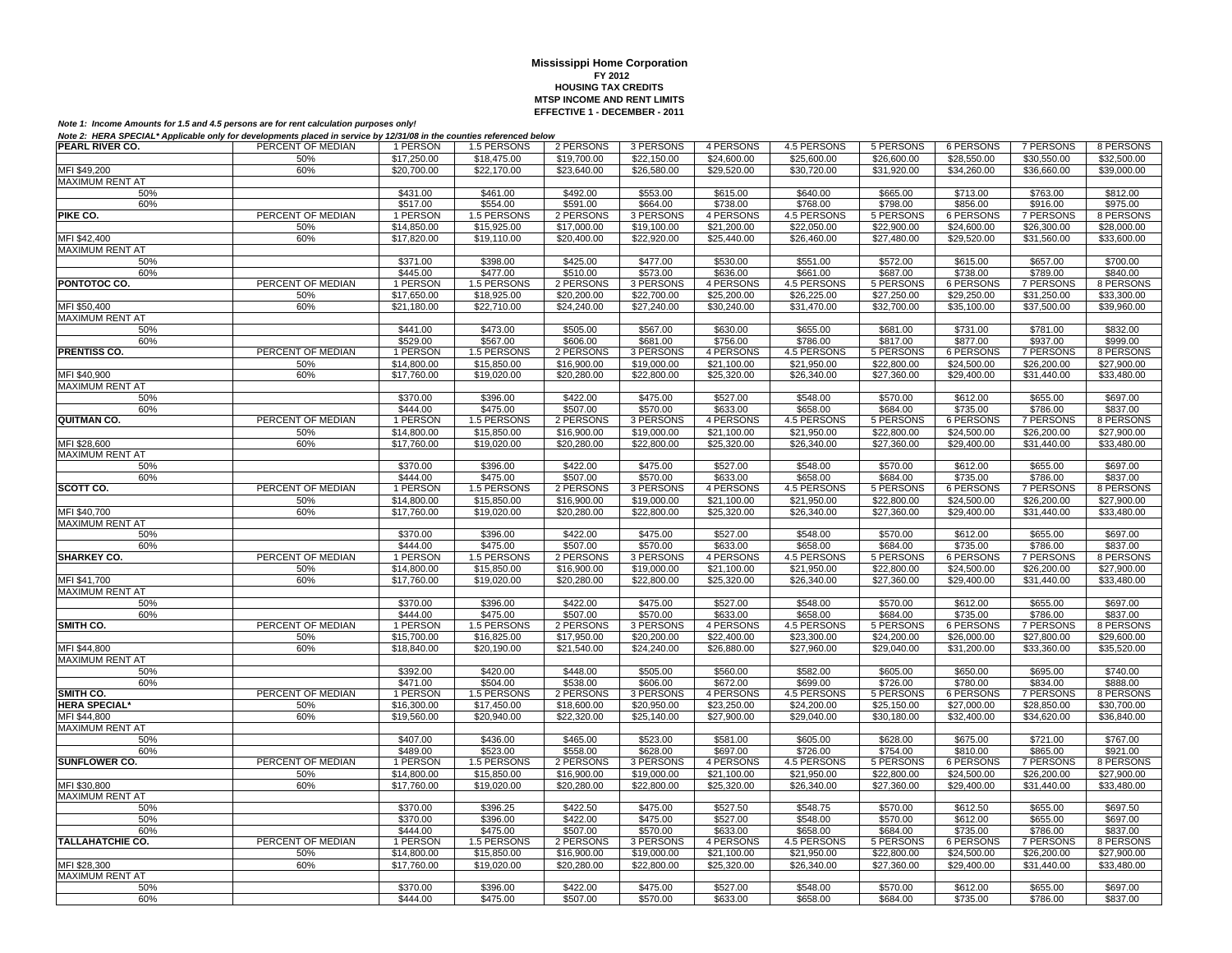| PEARL RIVER CO.                   | PERCENT OF MEDIAN        | 1 PERSON                | 1.5 PERSONS                | 2 PERSONS                | 3 PERSONS                | 4 PERSONS                | 4.5 PERSONS                | 5 PERSONS                | 6 PERSONS                       | 7 PERSONS                       | 8 PERSONS                |
|-----------------------------------|--------------------------|-------------------------|----------------------------|--------------------------|--------------------------|--------------------------|----------------------------|--------------------------|---------------------------------|---------------------------------|--------------------------|
|                                   | 50%                      | \$17,250.00             | \$18,475.00                | \$19,700.00              | \$22,150.00              | \$24,600.00              | \$25,600.00                | \$26,600.00              | \$28,550.00                     | \$30,550.00                     | \$32,500.00              |
| MFI \$49,200                      | 60%                      | \$20,700.00             | \$22,170.00                | \$23,640.00              | \$26,580.00              | \$29,520.00              | \$30,720.00                | \$31,920.00              | \$34,260.00                     | \$36,660.00                     | \$39,000.00              |
| <b>MAXIMUM RENT AT</b>            |                          |                         |                            |                          |                          |                          |                            |                          |                                 |                                 |                          |
| 50%                               |                          | \$431.00                | \$461.00                   | \$492.00                 | \$553.00                 | \$615.00                 | \$640.00                   | \$665.00                 | \$713.00                        | \$763.00                        | \$812.00                 |
| 60%                               |                          | \$517.00                | \$554.00                   | \$591.00                 | \$664.00                 | \$738.00                 | \$768.00                   | \$798.00                 | \$856.00                        | \$916.00                        | \$975.00                 |
| PIKE CO.                          | PERCENT OF MEDIAN        | 1 PERSON                | 1.5 PERSONS                | 2 PERSONS                | 3 PERSONS                | 4 PERSONS                | 4.5 PERSONS                | 5 PERSONS                | <b>6 PERSONS</b>                | <b>7 PERSONS</b>                | 8 PERSONS                |
|                                   | 50%                      | \$14,850.00             | \$15,925.00                | \$17,000.00              | \$19,100.00              | \$21,200.00              | \$22,050.00                | \$22,900.00              | \$24,600.00                     | \$26,300.00                     | \$28,000.00              |
| MFI \$42,400                      | 60%                      | \$17,820,00             | \$19.110.00                | \$20,400.00              | \$22,920.00              | \$25,440.00              | \$26,460.00                | \$27,480.00              | \$29,520.00                     | \$31,560.00                     | \$33,600.00              |
| <b>MAXIMUM RENT AT</b>            |                          |                         |                            |                          |                          |                          |                            |                          |                                 |                                 |                          |
| 50%                               |                          | \$371.00                | \$398.00                   | \$425.00                 | \$477.00                 | \$530.00                 | \$551.00                   | \$572.00                 | \$615.00                        | \$657.00                        | \$700.00                 |
| 60%                               |                          | \$445.00                | \$477.00                   | \$510.00                 | \$573.00                 | \$636.00                 | \$661.00                   | \$687.00                 | \$738.00                        | \$789.00                        | \$840.00                 |
| PONTOTOC CO.                      | PERCENT OF MEDIAN        | 1 PERSON                | 1.5 PERSONS                | 2 PERSONS                | 3 PERSONS                | 4 PERSONS                | 4.5 PERSONS                | 5 PERSONS                | <b>6 PERSONS</b>                | <b>7 PERSONS</b>                | 8 PERSONS                |
|                                   | 50%                      | \$17,650.00             | \$18,925.00                | \$20,200.00              | \$22,700.00              | \$25,200.00              | \$26,225.00                | \$27,250.00              | \$29,250.00                     | \$31,250.00                     | \$33,300.00              |
| MFI \$50,400<br>MAXIMUM RENT AT   | 60%                      | \$21,180.00             | \$22,710.00                | \$24,240.00              | \$27,240.00              | \$30,240.00              | \$31,470.00                | \$32,700.00              | \$35,100.00                     | \$37,500.00                     | \$39,960.00              |
| 50%                               |                          | \$441.00                | \$473.00                   | \$505.00                 | \$567.00                 | \$630.00                 | \$655.00                   | \$681.00                 | \$731.00                        | \$781.00                        | \$832.00                 |
| 60%                               |                          | \$529.00                | \$567.00                   | \$606.00                 | \$681.00                 | \$756.00                 | \$786.00                   | \$817.00                 | \$877.00                        | \$937.00                        | \$999.00                 |
| PRENTISS CO.                      | PERCENT OF MEDIAN        | 1 PERSON                | 1.5 PERSONS                | 2 PERSONS                | 3 PERSONS                | 4 PERSONS                | 4.5 PERSONS                | 5 PERSONS                | <b>6 PERSONS</b>                | 7 PERSONS                       | 8 PERSONS                |
|                                   | 50%                      | \$14,800.00             | \$15,850.00                | \$16,900.00              | \$19,000.00              | \$21,100.00              | \$21,950.00                | \$22,800.00              | \$24,500.00                     | \$26,200.00                     | \$27,900.00              |
| MFI \$40,900                      | 60%                      | \$17,760.00             | \$19,020.00                | \$20,280.00              | \$22,800.00              | \$25,320.00              | \$26,340.00                | \$27,360.00              | \$29,400.00                     | \$31,440.00                     | \$33,480.00              |
| <b>MAXIMUM RENT AT</b>            |                          |                         |                            |                          |                          |                          |                            |                          |                                 |                                 |                          |
| 50%                               |                          | \$370.00                | \$396.00                   | \$422.00                 | \$475.00                 | \$527.00                 | \$548.00                   | \$570.00                 | \$612.00                        | \$655.00                        | \$697.00                 |
| 60%                               |                          | \$444.00                | \$475.00                   | \$507.00                 | \$570.00                 | \$633.00                 | \$658.00                   | \$684.00                 | \$735.00                        | \$786.00                        | \$837.00                 |
| QUITMAN CO.                       | PERCENT OF MEDIAN        | 1 PERSON                | 1.5 PERSONS                | 2 PERSONS                | 3 PERSONS                | 4 PERSONS                | 4.5 PERSONS                | 5 PERSONS                | 6 PERSONS                       | <b>7 PERSONS</b>                | 8 PERSONS                |
|                                   | 50%                      | \$14,800.00             | \$15,850.00                | \$16,900.00              | \$19,000.00              | \$21,100.00              | \$21,950.00                | \$22,800.00              | \$24,500.00                     | \$26,200.00                     | \$27,900.00              |
| MFI \$28,600                      | 60%                      | \$17,760.00             | \$19,020.00                | \$20,280.00              | \$22,800.00              | \$25,320.00              | \$26,340.00                | \$27,360.00              | \$29,400.00                     | \$31,440.00                     | \$33,480.00              |
| <b>MAXIMUM RENT AT</b>            |                          |                         |                            |                          |                          |                          |                            |                          |                                 |                                 |                          |
| 50%                               |                          | \$370.00                | \$396.00                   | \$422.00                 | \$475.00                 | \$527.00                 | \$548.00                   | \$570.00                 | \$612.00                        | \$655.00                        | \$697.00                 |
| 60%                               |                          | \$444.00                | \$475.00                   | \$507.00                 | \$570.00                 | \$633.00                 | \$658.00                   | \$684.00                 | \$735.00                        | \$786.00                        | \$837.00                 |
| SCOTT CO.                         | PERCENT OF MEDIAN        | 1 PERSON                | 1.5 PERSONS                | 2 PERSONS                | 3 PERSONS                | 4 PERSONS                | 4.5 PERSONS                | 5 PERSONS                | 6 PERSONS                       | 7 PERSONS                       | 8 PERSONS                |
|                                   | 50%                      | \$14,800.00             | \$15,850.00                | \$16,900.00              | \$19,000.00              | \$21,100.00              | \$21,950.00                | \$22,800.00              | \$24,500.00                     | \$26,200.00                     | \$27,900.00              |
| MFI \$40,700                      | 60%                      | \$17,760.00             | \$19,020.00                | \$20,280.00              | \$22,800.00              | \$25,320.00              | \$26,340.00                | \$27,360.00              | \$29,400.00                     | \$31,440.00                     | \$33,480.00              |
| MAXIMUM RENT AT<br>50%            |                          | \$370.00                | \$396.00                   | \$422.00                 | \$475.00                 | \$527.00                 | \$548.00                   | \$570.00                 | \$612.00                        | \$655.00                        | \$697.00                 |
| 60%                               |                          | \$444.00                | \$475.00                   | \$507.00                 | \$570.00                 | \$633.00                 | \$658.00                   | \$684.00                 | \$735.00                        | \$786.00                        | \$837.00                 |
| <b>SHARKEY CO.</b>                | PERCENT OF MEDIAN        | 1 PERSON                | 1.5 PERSONS                | 2 PERSONS                | 3 PERSONS                | 4 PERSONS                | 4.5 PERSONS                | 5 PERSONS                | <b>6 PERSONS</b>                | 7 PERSONS                       | 8 PERSONS                |
|                                   | 50%                      | \$14,800.00             | \$15,850.00                | \$16,900.00              | \$19,000.00              | \$21,100.00              | \$21,950.00                | \$22,800.00              | \$24,500.00                     | \$26,200.00                     | \$27,900.00              |
| MFI \$41.700                      | 60%                      | \$17,760.00             | \$19,020.00                | \$20,280.00              | \$22,800.00              | \$25,320.00              | \$26,340.00                | \$27,360.00              | \$29,400.00                     | \$31,440.00                     | \$33,480.00              |
| <b>MAXIMUM RENT AT</b>            |                          |                         |                            |                          |                          |                          |                            |                          |                                 |                                 |                          |
| 50%                               |                          | \$370.00                | \$396.00                   | \$422.00                 | \$475.00                 | \$527.00                 | \$548.00                   | \$570.00                 | \$612.00                        | \$655.00                        | \$697.00                 |
| 60%                               |                          | \$444.00                | \$475.00                   | \$507.00                 | \$570.00                 | \$633.00                 | \$658.00                   | \$684.00                 | \$735.00                        | \$786.00                        | \$837.00                 |
| SMITH CO.                         | PERCENT OF MEDIAN        | 1 PERSON                | 1.5 PERSONS                | 2 PERSONS                | 3 PERSONS                | 4 PERSONS                | 4.5 PERSONS                | 5 PERSONS                | <b>6 PERSONS</b>                | 7 PERSONS                       | 8 PERSONS                |
|                                   | 50%                      | \$15,700.00             | \$16,825.00                | \$17,950.00              | \$20,200.00              | \$22,400.00              | \$23,300.00                | \$24,200.00              | \$26,000.00                     | \$27,800.00                     | \$29,600.00              |
| MFI \$44,800                      | 60%                      | \$18,840.00             | \$20.190.00                | \$21,540.00              | \$24,240.00              | \$26,880.00              | \$27,960.00                | \$29,040.00              | \$31,200.00                     | \$33,360.00                     | \$35,520.00              |
| MAXIMUM RENT AT                   |                          |                         |                            |                          |                          |                          |                            |                          |                                 |                                 |                          |
| 50%                               |                          | \$392.00                | \$420.00                   | \$448.00                 | \$505.00                 | \$560.00                 | \$582.00                   | \$605.00                 | \$650.00                        | \$695.00                        | \$740.00                 |
| 60%                               |                          | \$471.00                | \$504.00                   | \$538.00                 | \$606.00                 | \$672.00                 | \$699.00                   | \$726.00                 | \$780.00                        | \$834.00                        | \$888.00                 |
| SMITH CO.<br><b>HERA SPECIAL*</b> | PERCENT OF MEDIAN<br>50% | 1 PERSON<br>\$16,300.00 | 1.5 PERSONS<br>\$17,450.00 | 2 PERSONS<br>\$18,600.00 | 3 PERSONS<br>\$20,950.00 | 4 PERSONS<br>\$23,250.00 | 4.5 PERSONS<br>\$24,200.00 | 5 PERSONS<br>\$25,150.00 | <b>6 PERSONS</b><br>\$27,000.00 | <b>7 PERSONS</b><br>\$28,850.00 | 8 PERSONS<br>\$30,700.00 |
| MFI \$44,800                      | 60%                      | \$19,560.00             | \$20,940.00                | \$22,320.00              | \$25,140.00              | \$27,900.00              | \$29,040.00                | \$30,180.00              | \$32,400.00                     | \$34,620.00                     | \$36,840.00              |
| <b>MAXIMUM RENT AT</b>            |                          |                         |                            |                          |                          |                          |                            |                          |                                 |                                 |                          |
| 50%                               |                          | \$407.00                | \$436.00                   | \$465.00                 | \$523.00                 | \$581.00                 | \$605.00                   | \$628.00                 | \$675.00                        | \$721.00                        | \$767.00                 |
| 60%                               |                          | \$489.00                | \$523.00                   | \$558.00                 | \$628.00                 | \$697.00                 | \$726.00                   | \$754.00                 | \$810.00                        | \$865.00                        | \$921.00                 |
| SUNFLOWER CO.                     | PERCENT OF MEDIAN        | 1 PERSON                | 1.5 PERSONS                | 2 PERSONS                | 3 PERSONS                | 4 PERSONS                | 4.5 PERSONS                | 5 PERSONS                | <b>6 PERSONS</b>                | <b>7 PERSONS</b>                | 8 PERSONS                |
|                                   | 50%                      | \$14,800.00             | \$15,850.00                | \$16,900.00              | \$19,000.00              | \$21,100.00              | \$21,950.00                | \$22,800.00              | \$24,500.00                     | \$26,200.00                     | \$27,900.00              |
| MFI \$30,800                      | 60%                      | \$17,760.00             | \$19,020.00                | \$20,280.00              | \$22,800.00              | \$25,320.00              | \$26,340.00                | \$27,360.00              | \$29,400.00                     | \$31,440.00                     | \$33,480.00              |
| <b>MAXIMUM RENT AT</b>            |                          |                         |                            |                          |                          |                          |                            |                          |                                 |                                 |                          |
| 50%                               |                          | \$370.00                | \$396.25                   | \$422.50                 | \$475.00                 | \$527.50                 | \$548.75                   | \$570.00                 | \$612.50                        | \$655.00                        | \$697.50                 |
| 50%                               |                          | \$370.00                | \$396.00                   | \$422.00                 | \$475.00                 | \$527.00                 | \$548.00                   | \$570.00                 | \$612.00                        | \$655.00                        | \$697.00                 |
| 60%                               |                          | \$444.00                | \$475.00                   | \$507.00                 | \$570.00                 | \$633.00                 | \$658.00                   | \$684.00                 | \$735.00                        | \$786.00                        | \$837.00                 |
| <b>TALLAHATCHIE CO.</b>           | PERCENT OF MEDIAN        | 1 PERSON                | 1.5 PERSONS                | 2 PERSONS                | 3 PERSONS                | 4 PERSONS                | 4.5 PERSONS                | 5 PERSONS                | <b>6 PERSONS</b>                | <b>7 PERSONS</b>                | 8 PERSONS                |
|                                   | 50%                      | \$14,800.00             | \$15,850.00                | \$16,900.00              | \$19,000.00              | \$21,100.00              | \$21,950.00                | \$22,800.00              | $\overline{$24,500.00}$         | \$26,200.00                     | \$27,900.00              |
| MFI \$28,300                      | 60%                      | \$17,760.00             | \$19,020.00                | \$20,280.00              | \$22,800.00              | \$25,320.00              | \$26,340.00                | \$27,360.00              | \$29,400.00                     | \$31,440.00                     | \$33,480.00              |
| <b>MAXIMUM RENT AT</b>            |                          |                         |                            |                          |                          |                          |                            |                          |                                 |                                 |                          |
| 50%                               |                          | \$370.00                | \$396.00                   | \$422.00                 | \$475.00                 | \$527.00                 | \$548.00                   | \$570.00                 | \$612.00                        | \$655.00                        | \$697.00                 |
| 60%                               |                          | \$444.00                | \$475.00                   | \$507.00                 | \$570.00                 | \$633.00                 | \$658.00                   | \$684.00                 | \$735.00                        | \$786.00                        | \$837.00                 |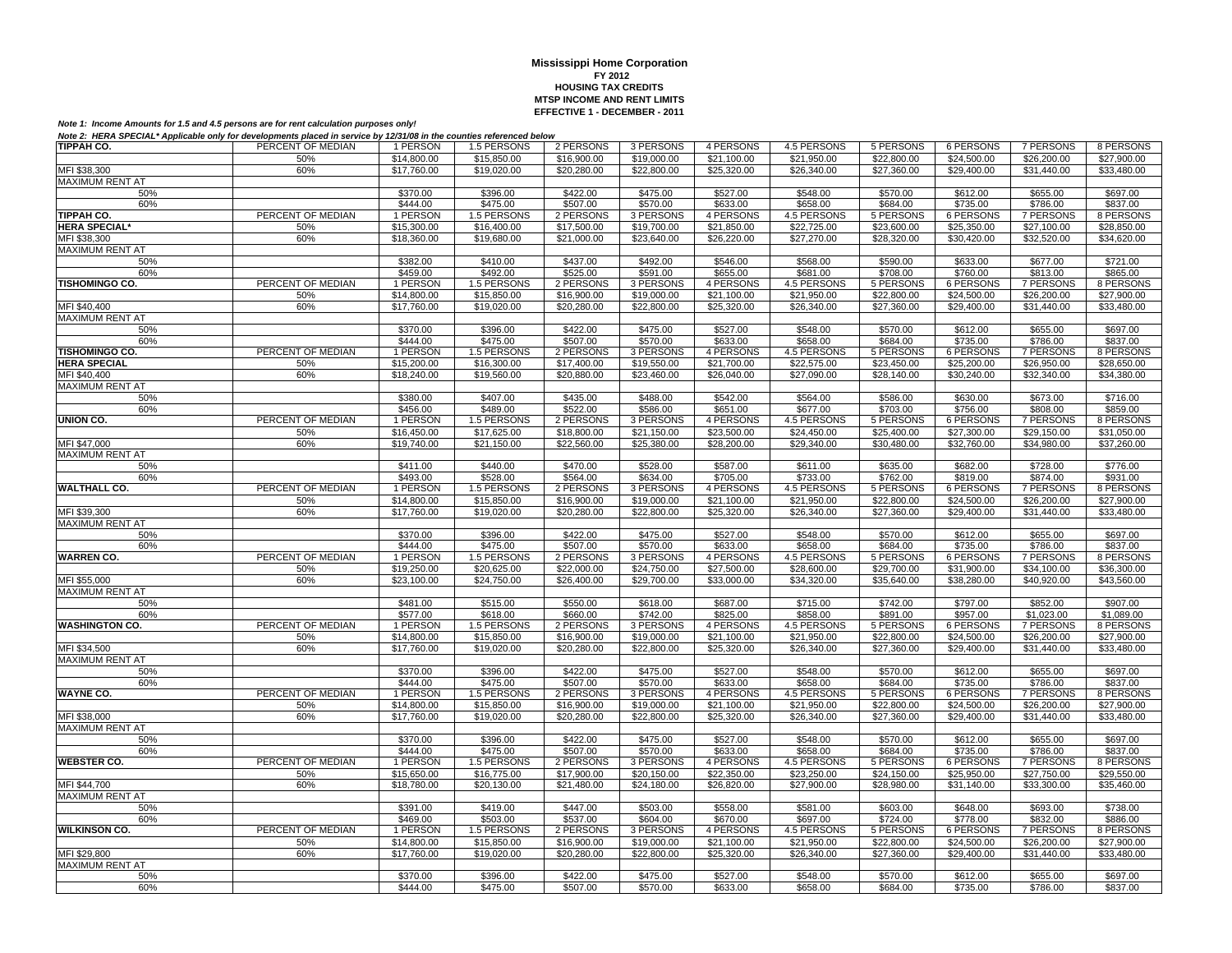| TIPPAH CO.             | PERCENT OF MEDIAN | 1 PERSON                | 1.5 PERSONS | 2 PERSONS   | 3 PERSONS               | 4 PERSONS   | 4.5 PERSONS        | 5 PERSONS        | 6 PERSONS        | 7 PERSONS        | 8 PERSONS   |
|------------------------|-------------------|-------------------------|-------------|-------------|-------------------------|-------------|--------------------|------------------|------------------|------------------|-------------|
|                        | 50%               | $\overline{$}14,800.00$ | \$15,850.00 | \$16,900.00 | \$19,000.00             | \$21,100.00 | \$21,950.00        | \$22,800.00      | \$24,500.00      | \$26,200.00      | \$27,900.00 |
| MFI \$38,300           | 60%               | \$17,760.00             | \$19,020.00 | \$20,280.00 | \$22,800.00             | \$25,320.00 | \$26,340.00        | \$27,360.00      | \$29,400.00      | \$31,440.00      | \$33,480.00 |
| MAXIMUM RENT AT        |                   |                         |             |             |                         |             |                    |                  |                  |                  |             |
| 50%                    |                   | \$370.00                | \$396.00    | \$422.00    | \$475.00                | \$527.00    | \$548.00           | \$570.00         | \$612.00         | \$655.00         | \$697.00    |
| 60%                    |                   | \$444.00                | \$475.00    | \$507.00    | \$570.00                | \$633.00    | \$658.00           | \$684.00         | \$735.00         | \$786.00         | \$837.00    |
| TIPPAH CO.             | PERCENT OF MEDIAN | 1 PERSON                | 1.5 PERSONS | 2 PERSONS   | 3 PERSONS               | 4 PERSONS   | <b>4.5 PERSONS</b> | <b>5 PERSONS</b> | <b>6 PERSONS</b> | <b>7 PERSONS</b> | 8 PERSONS   |
| <b>HERA SPECIAL*</b>   | 50%               | \$15,300.00             | \$16,400.00 | \$17,500.00 | \$19,700.00             | \$21,850.00 | \$22,725.00        | \$23,600.00      | \$25,350.00      | \$27,100.00      | \$28,850.00 |
| MFI \$38,300           | 60%               | \$18,360.00             | \$19,680.00 | \$21,000.00 | \$23,640.00             | \$26,220.00 | \$27,270.00        | \$28,320.00      | \$30,420.00      | \$32,520.00      | \$34,620.00 |
| MAXIMUM RENT AT        |                   |                         |             |             |                         |             |                    |                  |                  |                  |             |
| 50%                    |                   | \$382.00                | \$410.00    | \$437.00    | \$492.00                | \$546.00    | \$568.00           | \$590.00         | \$633.00         | \$677.00         | \$721.00    |
| 60%                    |                   | \$459.00                | \$492.00    | \$525.00    | \$591.00                | \$655.00    | \$681.00           | \$708.00         | \$760.00         | \$813.00         | \$865.00    |
| <b>TISHOMINGO CO.</b>  | PERCENT OF MEDIAN | 1 PERSON                | 1.5 PERSONS | 2 PERSONS   | 3 PERSONS               | 4 PERSONS   | 4.5 PERSONS        | 5 PERSONS        | 6 PERSONS        | <b>7 PERSONS</b> | 8 PERSONS   |
|                        | 50%               | \$14,800.00             | \$15,850.00 | \$16,900.00 | \$19,000.00             | \$21,100.00 | \$21,950.00        | \$22,800.00      | \$24,500.00      | \$26,200.00      | \$27,900.00 |
| MFI \$40,400           | 60%               | \$17,760.00             | \$19,020.00 | \$20,280.00 | \$22,800.00             | \$25,320.00 | \$26,340.00        | \$27,360.00      | \$29,400.00      | \$31,440.00      | \$33,480.00 |
| <b>MAXIMUM RENT AT</b> |                   |                         |             |             |                         |             |                    |                  |                  |                  |             |
| 50%                    |                   | \$370.00                | \$396.00    | \$422.00    | \$475.00                | \$527.00    | \$548.00           | \$570.00         | \$612.00         | \$655.00         | \$697.00    |
| 60%                    |                   | \$444.00                | \$475.00    | \$507.00    | \$570.00                | \$633.00    | \$658.00           | \$684.00         | \$735.00         | \$786.00         | \$837.00    |
| TISHOMINGO CO.         | PERCENT OF MEDIAN | 1 PERSON                | 1.5 PERSONS | 2 PERSONS   | 3 PERSONS               | 4 PERSONS   | <b>4.5 PERSONS</b> | 5 PERSONS        | 6 PERSONS        | <b>7 PERSONS</b> | 8 PERSONS   |
| <b>HERA SPECIAL</b>    | 50%               | \$15,200.00             | \$16,300.00 | \$17,400.00 | \$19,550.00             | \$21,700.00 | \$22,575.00        | \$23,450.00      | \$25,200.00      | \$26,950.00      | \$28,650.00 |
| MFI \$40,400           | 60%               | \$18,240.00             | \$19,560.00 | \$20,880.00 | \$23,460.00             | \$26,040.00 | \$27,090.00        | \$28,140.00      | \$30.240.00      | \$32,340.00      | \$34,380.00 |
| MAXIMUM RENT AT        |                   |                         |             |             |                         |             |                    |                  |                  |                  |             |
| 50%                    |                   | \$380.00                | \$407.00    | \$435.00    | \$488.00                | \$542.00    | \$564.00           | \$586.00         | \$630.00         | \$673.00         | \$716.00    |
| 60%                    |                   | \$456.00                | \$489.00    | \$522.00    | \$586.00                | \$651.00    | \$677.00           | \$703.00         | \$756.00         | \$808.00         | \$859.00    |
| UNION CO.              | PERCENT OF MEDIAN | 1 PERSON                | 1.5 PERSONS | 2 PERSONS   | 3 PERSONS               | 4 PERSONS   | 4.5 PERSONS        | 5 PERSONS        | 6 PERSONS        | <b>7 PERSONS</b> | 8 PERSONS   |
|                        | 50%               | \$16,450.00             | \$17,625.00 | \$18,800.00 | \$21,150.00             | \$23,500.00 | \$24,450.00        | \$25,400.00      | \$27,300.00      | \$29,150.00      | \$31,050.00 |
| MFI \$47,000           | 60%               | \$19,740.00             | \$21,150.00 | \$22,560.00 | \$25,380.00             | \$28,200.00 | \$29,340.00        | \$30,480.00      | \$32,760.00      | \$34,980.00      | \$37,260.00 |
| <b>MAXIMUM RENT AT</b> |                   |                         |             |             |                         |             |                    |                  |                  |                  |             |
| 50%                    |                   | \$411.00                | \$440.00    | \$470.00    | \$528.00                | \$587.00    | \$611.00           | \$635.00         | \$682.00         | \$728.00         | \$776.00    |
| 60%                    |                   | \$493.00                | \$528.00    | \$564.00    | \$634.00                | \$705.00    | \$733.00           | \$762.00         | \$819.00         | \$874.00         | \$931.00    |
| <b>WALTHALL CO.</b>    | PERCENT OF MEDIAN | 1 PERSON                | 1.5 PERSONS | 2 PERSONS   | 3 PERSONS               | 4 PERSONS   | 4.5 PERSONS        | 5 PERSONS        | <b>6 PERSONS</b> | <b>7 PERSONS</b> | 8 PERSONS   |
|                        | 50%               | $\overline{$}14,800.00$ | \$15,850.00 | \$16,900.00 | \$19,000.00             | \$21,100.00 | \$21.950.00        | \$22,800.00      | \$24,500.00      | \$26,200.00      | \$27,900.00 |
| MFI \$39,300           | 60%               | \$17,760.00             | \$19,020.00 | \$20,280.00 | \$22,800.00             | \$25,320.00 | \$26,340.00        | \$27,360.00      | \$29,400.00      | \$31,440.00      | \$33,480.00 |
| MAXIMUM RENT AT        |                   |                         |             |             |                         |             |                    |                  |                  |                  |             |
| 50%                    |                   | \$370.00                | \$396.00    | \$422.00    | \$475.00                | \$527.00    | \$548.00           | \$570.00         | \$612.00         | \$655.00         | \$697.00    |
| 60%                    |                   | \$444.00                | \$475.00    | \$507.00    | \$570.00                | \$633.00    | \$658.00           | \$684.00         | \$735.00         | \$786.00         | \$837.00    |
| <b>WARREN CO.</b>      | PERCENT OF MEDIAN | 1 PERSON                | 1.5 PERSONS | 2 PERSONS   | 3 PERSONS               | 4 PERSONS   | 4.5 PERSONS        | 5 PERSONS        | 6 PERSONS        | 7 PERSONS        | 8 PERSONS   |
|                        | 50%               | \$19,250.00             | \$20,625,00 | \$22,000.00 | $\overline{$24,750.00}$ | \$27,500.00 | \$28,600.00        | \$29,700.00      | \$31.900.00      | \$34,100.00      | \$36,300.00 |
| MFI \$55,000           | 60%               | \$23,100.00             | \$24,750.00 | \$26,400.00 | \$29,700.00             | \$33,000.00 | \$34,320.00        | \$35,640.00      | \$38,280.00      | \$40,920.00      | \$43,560.00 |
| <b>MAXIMUM RENT AT</b> |                   |                         |             |             |                         |             |                    |                  |                  |                  |             |
| 50%                    |                   | \$481.00                | \$515.00    | \$550.00    | \$618.00                | \$687.00    | \$715.00           | \$742.00         | \$797.00         | \$852.00         | \$907.00    |
| 60%                    |                   | \$577.00                | \$618.00    | \$660.00    | \$742.00                | \$825.00    | \$858.00           | \$891.00         | \$957.00         | \$1.023.00       | \$1.089.00  |
| <b>WASHINGTON CO.</b>  | PERCENT OF MEDIAN | 1 PERSON                | 1.5 PERSONS | 2 PERSONS   | 3 PERSONS               | 4 PERSONS   | 4.5 PERSONS        | 5 PERSONS        | <b>6 PERSONS</b> | <b>7 PERSONS</b> | 8 PERSONS   |
|                        | 50%               | \$14,800.00             | \$15,850.00 | \$16,900.00 | \$19,000.00             | \$21.100.00 | \$21.950.00        | \$22,800.00      | \$24,500.00      | \$26,200.00      | \$27,900.00 |
| MFI \$34,500           | 60%               | \$17,760.00             | \$19,020.00 | \$20,280.00 | \$22,800.00             | \$25,320.00 | \$26,340.00        | \$27,360.00      | \$29,400.00      | \$31,440.00      | \$33,480.00 |
| <b>MAXIMUM RENT AT</b> |                   |                         |             |             |                         |             |                    |                  |                  |                  |             |
| 50%                    |                   | \$370.00                | \$396.00    | \$422.00    | \$475.00                | \$527.00    | \$548.00           | \$570.00         | \$612.00         | \$655.00         | \$697.00    |
| 60%                    |                   | \$444.00                | \$475.00    | \$507.00    | \$570.00                | \$633.00    | \$658.00           | \$684.00         | \$735.00         | \$786.00         | \$837.00    |
| <b>WAYNE CO.</b>       | PERCENT OF MEDIAN | 1 PERSON                | 1.5 PERSONS | 2 PERSONS   | 3 PERSONS               | 4 PERSONS   | 4.5 PERSONS        | 5 PERSONS        | 6 PERSONS        | <b>7 PERSONS</b> | 8 PERSONS   |
|                        | 50%               | \$14,800.00             | \$15,850.00 | \$16,900.00 | \$19,000.00             | \$21.100.00 | \$21.950.00        | \$22,800.00      | \$24,500.00      | \$26,200.00      | \$27,900.00 |
| MFI \$38,000           | 60%               | \$17,760.00             | \$19,020.00 | \$20,280.00 | \$22,800.00             | \$25,320.00 | \$26,340.00        | \$27,360.00      | \$29,400.00      | \$31,440.00      | \$33,480.00 |
| <b>MAXIMUM RENT AT</b> |                   |                         |             |             |                         |             |                    |                  |                  |                  |             |
| 50%                    |                   | \$370.00                | \$396.00    | \$422.00    | \$475.00                | \$527.00    | \$548.00           | \$570.00         | \$612.00         | \$655.00         | \$697.00    |
| 60%                    |                   | \$444.00                | \$475.00    | \$507.00    | \$570.00                | \$633.00    | \$658.00           | \$684.00         | \$735.00         | \$786.00         | \$837.00    |
| <b>WEBSTER CO.</b>     | PERCENT OF MEDIAN | 1 PERSON                | 1.5 PERSONS | 2 PERSONS   | 3 PERSONS               | 4 PERSONS   | 4.5 PERSONS        | 5 PERSONS        | <b>6 PERSONS</b> | <b>7 PERSONS</b> | 8 PERSONS   |
|                        | 50%               | \$15,650.00             | \$16,775.00 | \$17,900.00 | \$20,150.00             | \$22,350.00 | \$23,250.00        | \$24,150.00      | \$25,950.00      | \$27,750.00      | \$29,550.00 |
| MFI \$44,700           | 60%               | \$18,780.00             | \$20,130.00 | \$21,480.00 | \$24,180.00             | \$26,820.00 | \$27,900.00        | \$28,980.00      | \$31,140.00      | \$33,300.00      | \$35,460.00 |
| <b>MAXIMUM RENT AT</b> |                   |                         |             |             |                         |             |                    |                  |                  |                  |             |
| 50%                    |                   | \$391.00                | \$419.00    | \$447.00    | \$503.00                | \$558.00    | \$581.00           | \$603.00         | \$648.00         | \$693.00         | \$738.00    |
| 60%                    |                   | \$469.00                | \$503.00    | \$537.00    | \$604.00                | \$670.00    | \$697.00           | \$724.00         | \$778.00         | \$832.00         | \$886.00    |
| <b>WILKINSON CO.</b>   | PERCENT OF MEDIAN | 1 PERSON                | 1.5 PERSONS | 2 PERSONS   | 3 PERSONS               | 4 PERSONS   | 4.5 PERSONS        | 5 PERSONS        | 6 PERSONS        | <b>7 PERSONS</b> | 8 PERSONS   |
|                        | 50%               | \$14,800.00             | \$15,850.00 | \$16,900.00 | \$19,000.00             | \$21,100.00 | \$21,950.00        | \$22,800.00      | \$24,500.00      | \$26,200.00      | \$27,900.00 |
| MFI \$29,800           | 60%               | \$17,760.00             | \$19,020.00 | \$20,280.00 | \$22,800.00             | \$25,320.00 | \$26,340.00        | \$27,360.00      | \$29,400.00      | \$31,440.00      | \$33,480.00 |
| <b>MAXIMUM RENT AT</b> |                   |                         |             |             |                         |             |                    |                  |                  |                  |             |
| 50%                    |                   | \$370.00                | \$396.00    | \$422.00    | \$475.00                | \$527.00    | \$548.00           | \$570.00         | \$612.00         | \$655.00         | \$697.00    |
| 60%                    |                   | \$444.00                | \$475.00    | \$507.00    | \$570.00                | \$633.00    | \$658.00           | \$684.00         | \$735.00         | \$786.00         | \$837.00    |
|                        |                   |                         |             |             |                         |             |                    |                  |                  |                  |             |